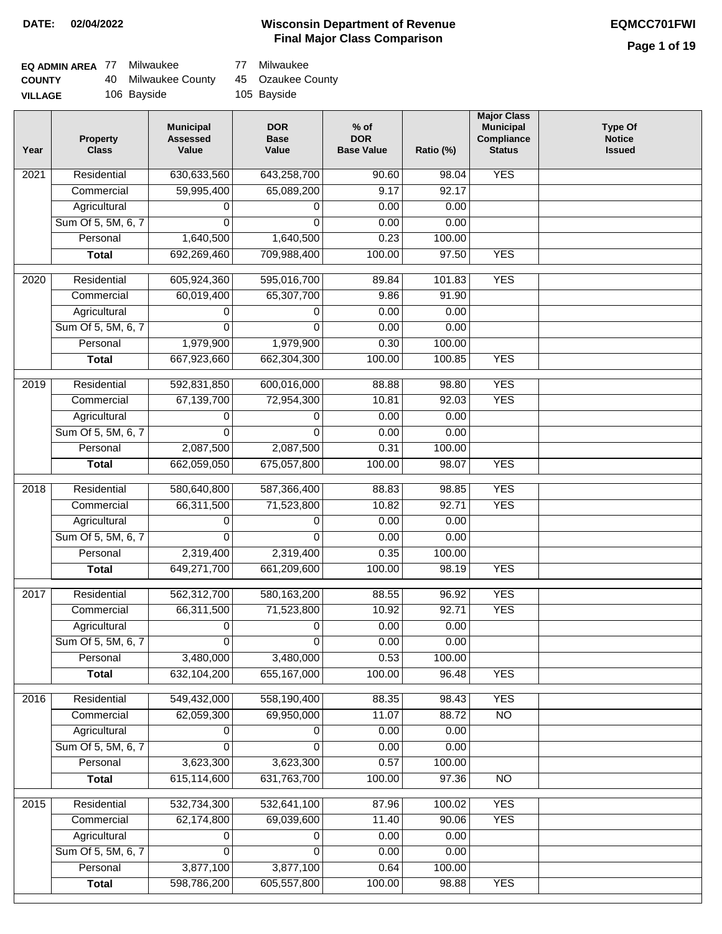#### **Wisconsin Department of Revenue Final Major Class Comparison DATE: 02/04/2022 EQMCC701FWI**

| EQ ADMIN AREA 77 | Milwaukee           | 77 Milwaukee      |
|------------------|---------------------|-------------------|
| <b>COUNTY</b>    | 40 Milwaukee County | 45 Ozaukee County |
| <b>VILLAGE</b>   | 106 Bayside         | 105 Bayside       |

| Year              | <b>Property</b><br><b>Class</b> | <b>Municipal</b><br><b>Assessed</b><br>Value | <b>DOR</b><br><b>Base</b><br>Value | % of<br><b>DOR</b><br><b>Base Value</b> | Ratio (%)       | <b>Major Class</b><br><b>Municipal</b><br>Compliance<br><b>Status</b> | <b>Type Of</b><br><b>Notice</b><br><b>Issued</b> |
|-------------------|---------------------------------|----------------------------------------------|------------------------------------|-----------------------------------------|-----------------|-----------------------------------------------------------------------|--------------------------------------------------|
| 2021              | Residential                     | 630,633,560                                  | 643,258,700                        | 90.60                                   | 98.04           | <b>YES</b>                                                            |                                                  |
|                   | Commercial                      | 59,995,400                                   | 65,089,200                         | 9.17                                    | 92.17           |                                                                       |                                                  |
|                   | Agricultural                    | 0                                            | 0                                  | 0.00                                    | 0.00            |                                                                       |                                                  |
|                   | Sum Of 5, 5M, 6, 7              | 0                                            | $\Omega$                           | 0.00                                    | 0.00            |                                                                       |                                                  |
|                   | Personal                        | 1,640,500                                    | 1,640,500                          | 0.23                                    | 100.00          |                                                                       |                                                  |
|                   | <b>Total</b>                    | 692,269,460                                  | 709,988,400                        | 100.00                                  | 97.50           | <b>YES</b>                                                            |                                                  |
| 2020              | Residential                     | 605,924,360                                  | 595,016,700                        | 89.84                                   | 101.83          | <b>YES</b>                                                            |                                                  |
|                   | Commercial                      | 60,019,400                                   | 65,307,700                         | 9.86                                    | 91.90           |                                                                       |                                                  |
|                   | Agricultural                    | 0                                            | 0                                  | 0.00                                    | 0.00            |                                                                       |                                                  |
|                   | Sum Of 5, 5M, 6, 7              | 0                                            | 0                                  | 0.00                                    | 0.00            |                                                                       |                                                  |
|                   | Personal                        | 1,979,900                                    | 1,979,900                          | 0.30                                    | 100.00          |                                                                       |                                                  |
|                   | <b>Total</b>                    | 667,923,660                                  | 662,304,300                        | 100.00                                  | 100.85          | <b>YES</b>                                                            |                                                  |
|                   |                                 |                                              |                                    |                                         |                 |                                                                       |                                                  |
| 2019              | Residential                     | 592,831,850                                  | 600,016,000                        | 88.88                                   | 98.80           | <b>YES</b>                                                            |                                                  |
|                   | Commercial                      | 67,139,700                                   | 72,954,300                         | 10.81                                   | 92.03           | <b>YES</b>                                                            |                                                  |
|                   | Agricultural                    | 0                                            | 0                                  | 0.00                                    | 0.00            |                                                                       |                                                  |
|                   | Sum Of 5, 5M, 6, 7              | $\Omega$                                     | 0                                  | 0.00                                    | 0.00            |                                                                       |                                                  |
|                   | Personal                        | 2,087,500                                    | 2,087,500                          | 0.31                                    | 100.00          |                                                                       |                                                  |
|                   | <b>Total</b>                    | 662,059,050                                  | 675,057,800                        | 100.00                                  | 98.07           | <b>YES</b>                                                            |                                                  |
| 2018              | Residential                     | 580,640,800                                  | 587,366,400                        | 88.83                                   | 98.85           | <b>YES</b>                                                            |                                                  |
|                   | Commercial                      | 66,311,500                                   | 71,523,800                         | 10.82                                   | 92.71           | <b>YES</b>                                                            |                                                  |
|                   | Agricultural                    | 0                                            | 0                                  | 0.00                                    | 0.00            |                                                                       |                                                  |
|                   | Sum Of 5, 5M, 6, 7              | $\Omega$                                     | $\Omega$                           | 0.00                                    | 0.00            |                                                                       |                                                  |
|                   | Personal                        | 2,319,400                                    | 2,319,400                          | 0.35                                    | 100.00          |                                                                       |                                                  |
|                   | <b>Total</b>                    | 649,271,700                                  | 661,209,600                        | 100.00                                  | 98.19           | <b>YES</b>                                                            |                                                  |
|                   |                                 |                                              |                                    |                                         |                 |                                                                       |                                                  |
| 2017              | Residential                     | 562,312,700                                  | 580, 163, 200                      | 88.55                                   | 96.92           | <b>YES</b>                                                            |                                                  |
|                   | Commercial                      | 66,311,500                                   | 71,523,800                         | 10.92                                   | 92.71           | <b>YES</b>                                                            |                                                  |
|                   | Agricultural                    | 0                                            | 0                                  | 0.00                                    | 0.00            |                                                                       |                                                  |
|                   | Sum Of 5, 5M, 6, 7              | 0                                            | 0                                  | 0.00                                    | 0.00            |                                                                       |                                                  |
|                   | Personal                        | 3,480,000                                    | 3,480,000                          | 0.53                                    | 100.00          |                                                                       |                                                  |
|                   | <b>Total</b>                    | 632,104,200                                  | 655, 167, 000                      | 100.00                                  | 96.48           | <b>YES</b>                                                            |                                                  |
| 2016              | Residential                     | 549,432,000                                  | 558,190,400                        | 88.35                                   | 98.43           | <b>YES</b>                                                            |                                                  |
|                   | Commercial                      | 62,059,300                                   | 69,950,000                         | 11.07                                   | 88.72           | $\overline{NO}$                                                       |                                                  |
|                   | Agricultural                    | 0                                            | 0                                  | 0.00                                    | 0.00            |                                                                       |                                                  |
|                   | Sum Of 5, 5M, 6, 7              | 0                                            | 0                                  | 0.00                                    | 0.00            |                                                                       |                                                  |
|                   | Personal                        | 3,623,300                                    | 3,623,300                          | 0.57                                    | 100.00          |                                                                       |                                                  |
|                   | <b>Total</b>                    | 615,114,600                                  | 631,763,700                        | 100.00                                  | 97.36           | N <sub>O</sub>                                                        |                                                  |
|                   |                                 |                                              |                                    |                                         |                 | <b>YES</b>                                                            |                                                  |
| $\overline{2015}$ | Residential<br>Commercial       | 532,734,300<br>62,174,800                    | 532,641,100<br>69,039,600          | 87.96<br>11.40                          | 100.02<br>90.06 | <b>YES</b>                                                            |                                                  |
|                   | Agricultural                    |                                              |                                    | 0.00                                    |                 |                                                                       |                                                  |
|                   |                                 | 0                                            | 0                                  |                                         | 0.00            |                                                                       |                                                  |
|                   | Sum Of 5, 5M, 6, 7<br>Personal  | 0                                            | 0                                  | 0.00<br>0.64                            | 0.00<br>100.00  |                                                                       |                                                  |
|                   | <b>Total</b>                    | 3,877,100<br>598,786,200                     | 3,877,100<br>605,557,800           | 100.00                                  | 98.88           | <b>YES</b>                                                            |                                                  |
|                   |                                 |                                              |                                    |                                         |                 |                                                                       |                                                  |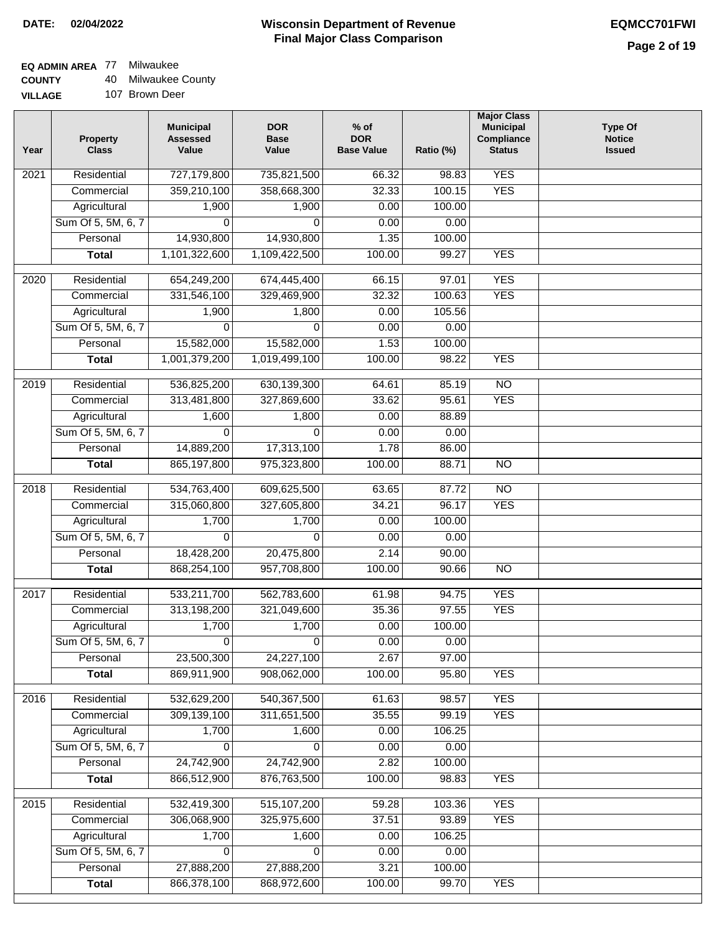### **EQ ADMIN AREA** 77 Milwaukee

**COUNTY** 40 Milwaukee County

| <b>VILLAGE</b> | 107 Brown Deer |
|----------------|----------------|
|                |                |

| Year              | <b>Property</b><br><b>Class</b>    | <b>Municipal</b><br><b>Assessed</b><br>Value | <b>DOR</b><br><b>Base</b><br>Value | % of<br><b>DOR</b><br><b>Base Value</b> | Ratio (%)       | <b>Major Class</b><br><b>Municipal</b><br>Compliance<br><b>Status</b> | <b>Type Of</b><br><b>Notice</b><br><b>Issued</b> |
|-------------------|------------------------------------|----------------------------------------------|------------------------------------|-----------------------------------------|-----------------|-----------------------------------------------------------------------|--------------------------------------------------|
| $\overline{202}1$ | Residential                        | 727,179,800                                  | 735,821,500                        | 66.32                                   | 98.83           | <b>YES</b>                                                            |                                                  |
|                   | Commercial                         | 359,210,100                                  | 358,668,300                        | 32.33                                   | 100.15          | <b>YES</b>                                                            |                                                  |
|                   | Agricultural                       | 1,900                                        | 1,900                              | 0.00                                    | 100.00          |                                                                       |                                                  |
|                   | Sum Of 5, 5M, 6, 7                 | $\Omega$                                     | $\Omega$                           | 0.00                                    | 0.00            |                                                                       |                                                  |
|                   | Personal                           | 14,930,800                                   | 14,930,800                         | 1.35                                    | 100.00          |                                                                       |                                                  |
|                   | <b>Total</b>                       | 1,101,322,600                                | 1,109,422,500                      | 100.00                                  | 99.27           | <b>YES</b>                                                            |                                                  |
| $\overline{2020}$ | Residential                        | 654,249,200                                  | 674,445,400                        | 66.15                                   | 97.01           | <b>YES</b>                                                            |                                                  |
|                   | Commercial                         | 331,546,100                                  | 329,469,900                        | 32.32                                   | 100.63          | <b>YES</b>                                                            |                                                  |
|                   | Agricultural                       | 1,900                                        | 1,800                              | 0.00                                    | 105.56          |                                                                       |                                                  |
|                   | Sum Of 5, 5M, 6, 7                 | 0                                            | $\Omega$                           | 0.00                                    | 0.00            |                                                                       |                                                  |
|                   | Personal                           | 15,582,000                                   | 15,582,000                         | 1.53                                    | 100.00          |                                                                       |                                                  |
|                   | <b>Total</b>                       | 1,001,379,200                                | 1,019,499,100                      | 100.00                                  | 98.22           | <b>YES</b>                                                            |                                                  |
| $\frac{1}{2019}$  | Residential                        | 536,825,200                                  | 630,139,300                        | 64.61                                   | 85.19           | $\overline{3}$                                                        |                                                  |
|                   | Commercial                         | 313,481,800                                  | 327,869,600                        | 33.62                                   | 95.61           | <b>YES</b>                                                            |                                                  |
|                   | Agricultural                       | 1,600                                        | 1,800                              | 0.00                                    | 88.89           |                                                                       |                                                  |
|                   | Sum Of 5, 5M, 6, 7                 | 0                                            | $\Omega$                           | 0.00                                    | 0.00            |                                                                       |                                                  |
|                   | Personal                           | 14,889,200                                   | 17,313,100                         | 1.78                                    | 86.00           |                                                                       |                                                  |
|                   | <b>Total</b>                       | 865,197,800                                  | 975,323,800                        | 100.00                                  | 88.71           | $\overline{NO}$                                                       |                                                  |
|                   |                                    |                                              |                                    |                                         |                 |                                                                       |                                                  |
| 2018              | Residential                        | 534,763,400<br>315,060,800                   | 609,625,500                        | 63.65                                   | 87.72           | $\overline{10}$<br><b>YES</b>                                         |                                                  |
|                   | Commercial                         | 1,700                                        | 327,605,800<br>1,700               | 34.21<br>0.00                           | 96.17<br>100.00 |                                                                       |                                                  |
|                   | Agricultural<br>Sum Of 5, 5M, 6, 7 | 0                                            | 0                                  | 0.00                                    | 0.00            |                                                                       |                                                  |
|                   | Personal                           | 18,428,200                                   | 20,475,800                         | 2.14                                    | 90.00           |                                                                       |                                                  |
|                   | <b>Total</b>                       | 868,254,100                                  | 957,708,800                        | 100.00                                  | 90.66           | $\overline{10}$                                                       |                                                  |
|                   |                                    |                                              |                                    |                                         |                 |                                                                       |                                                  |
| $\overline{2017}$ | Residential                        | 533,211,700                                  | 562,783,600                        | 61.98                                   | 94.75           | <b>YES</b>                                                            |                                                  |
|                   | Commercial                         | 313,198,200                                  | 321,049,600                        | 35.36                                   | 97.55           | <b>YES</b>                                                            |                                                  |
|                   | Agricultural                       | 1,700                                        | 1,700                              | 0.00                                    | 100.00          |                                                                       |                                                  |
|                   | Sum Of 5, 5M, 6, 7                 | $\overline{\mathsf{o}}$                      | $\overline{0}$                     | 0.00                                    | 0.00            |                                                                       |                                                  |
|                   | Personal                           | 23,500,300                                   | 24,227,100                         | 2.67                                    | 97.00           |                                                                       |                                                  |
|                   | <b>Total</b>                       | 869,911,900                                  | 908,062,000                        | 100.00                                  | 95.80           | <b>YES</b>                                                            |                                                  |
| 2016              | Residential                        | 532,629,200                                  | 540, 367, 500                      | 61.63                                   | 98.57           | <b>YES</b>                                                            |                                                  |
|                   | Commercial                         | 309,139,100                                  | 311,651,500                        | 35.55                                   | 99.19           | <b>YES</b>                                                            |                                                  |
|                   | Agricultural                       | 1,700                                        | 1,600                              | 0.00                                    | 106.25          |                                                                       |                                                  |
|                   | Sum Of 5, 5M, 6, 7                 | 0                                            | $\Omega$                           | 0.00                                    | 0.00            |                                                                       |                                                  |
|                   | Personal                           | 24,742,900                                   | 24,742,900                         | 2.82                                    | 100.00          |                                                                       |                                                  |
|                   | <b>Total</b>                       | 866,512,900                                  | 876,763,500                        | 100.00                                  | 98.83           | <b>YES</b>                                                            |                                                  |
| 2015              | Residential                        | 532,419,300                                  | 515, 107, 200                      | 59.28                                   | 103.36          | <b>YES</b>                                                            |                                                  |
|                   | Commercial                         | 306,068,900                                  | 325,975,600                        | 37.51                                   | 93.89           | <b>YES</b>                                                            |                                                  |
|                   | Agricultural                       | 1,700                                        | 1,600                              | 0.00                                    | 106.25          |                                                                       |                                                  |
|                   | Sum Of 5, 5M, 6, 7                 | 0                                            | 0                                  | 0.00                                    | 0.00            |                                                                       |                                                  |
|                   | Personal                           | 27,888,200                                   | 27,888,200                         | 3.21                                    | 100.00          |                                                                       |                                                  |
|                   | <b>Total</b>                       | 866,378,100                                  | 868,972,600                        | 100.00                                  | 99.70           | <b>YES</b>                                                            |                                                  |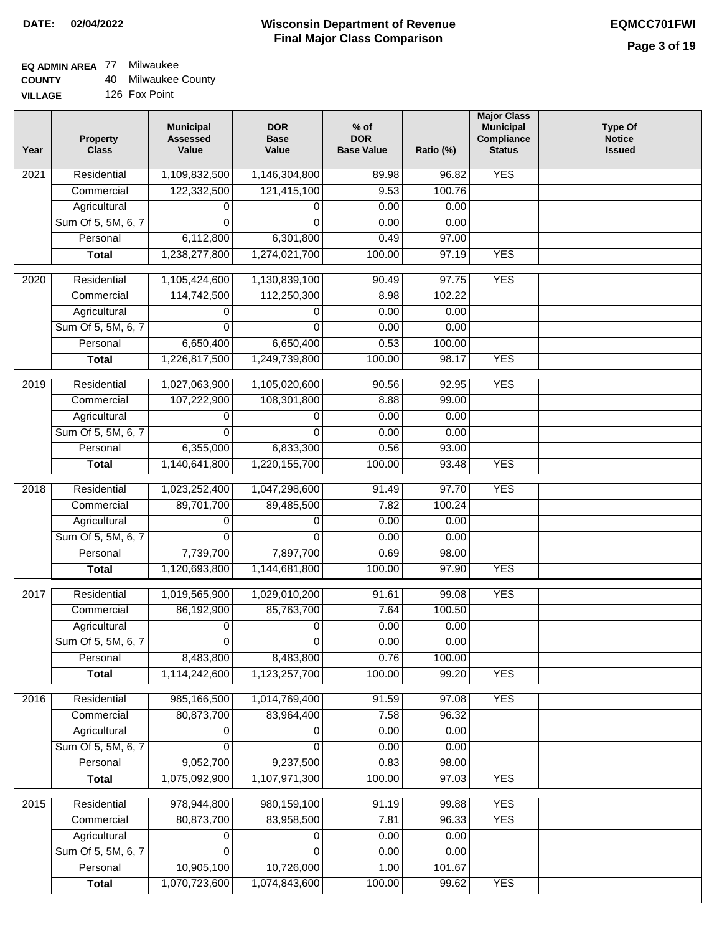## **EQ ADMIN AREA** 77 Milwaukee

| <b>COUNTY</b> |  | 40 Milwaukee County |  |
|---------------|--|---------------------|--|
|---------------|--|---------------------|--|

**VILLAGE** 126 Fox Point

| Year | <b>Property</b><br><b>Class</b> | <b>Municipal</b><br><b>Assessed</b><br>Value | <b>DOR</b><br><b>Base</b><br>Value | $%$ of<br><b>DOR</b><br><b>Base Value</b> | Ratio (%) | <b>Major Class</b><br><b>Municipal</b><br>Compliance<br><b>Status</b> | <b>Type Of</b><br><b>Notice</b><br><b>Issued</b> |
|------|---------------------------------|----------------------------------------------|------------------------------------|-------------------------------------------|-----------|-----------------------------------------------------------------------|--------------------------------------------------|
| 2021 | Residential                     | 1,109,832,500                                | 1,146,304,800                      | 89.98                                     | 96.82     | <b>YES</b>                                                            |                                                  |
|      | Commercial                      | 122,332,500                                  | 121,415,100                        | 9.53                                      | 100.76    |                                                                       |                                                  |
|      | Agricultural                    | 0                                            | 0                                  | 0.00                                      | 0.00      |                                                                       |                                                  |
|      | Sum Of 5, 5M, 6, 7              | $\Omega$                                     | $\Omega$                           | 0.00                                      | 0.00      |                                                                       |                                                  |
|      | Personal                        | 6,112,800                                    | 6,301,800                          | 0.49                                      | 97.00     |                                                                       |                                                  |
|      | <b>Total</b>                    | 1,238,277,800                                | 1,274,021,700                      | 100.00                                    | 97.19     | <b>YES</b>                                                            |                                                  |
| 2020 | Residential                     | 1,105,424,600                                | 1,130,839,100                      | 90.49                                     | 97.75     | <b>YES</b>                                                            |                                                  |
|      | Commercial                      | 114,742,500                                  | 112,250,300                        | 8.98                                      | 102.22    |                                                                       |                                                  |
|      | Agricultural                    | 0                                            | 0                                  | 0.00                                      | 0.00      |                                                                       |                                                  |
|      | Sum Of 5, 5M, 6, 7              | $\Omega$                                     | $\Omega$                           | 0.00                                      | 0.00      |                                                                       |                                                  |
|      | Personal                        | 6,650,400                                    | 6,650,400                          | 0.53                                      | 100.00    |                                                                       |                                                  |
|      | <b>Total</b>                    | 1,226,817,500                                | 1,249,739,800                      | 100.00                                    | 98.17     | <b>YES</b>                                                            |                                                  |
| 2019 | Residential                     | 1,027,063,900                                | 1,105,020,600                      | 90.56                                     | 92.95     | <b>YES</b>                                                            |                                                  |
|      | Commercial                      | 107,222,900                                  | 108,301,800                        | 8.88                                      | 99.00     |                                                                       |                                                  |
|      | Agricultural                    | 0                                            | 0                                  | 0.00                                      | 0.00      |                                                                       |                                                  |
|      | Sum Of 5, 5M, 6, 7              | 0                                            | 0                                  | 0.00                                      | 0.00      |                                                                       |                                                  |
|      | Personal                        | 6,355,000                                    | 6,833,300                          | 0.56                                      | 93.00     |                                                                       |                                                  |
|      | <b>Total</b>                    | 1,140,641,800                                | 1,220,155,700                      | 100.00                                    | 93.48     | <b>YES</b>                                                            |                                                  |
| 2018 | Residential                     | 1,023,252,400                                | 1,047,298,600                      | 91.49                                     | 97.70     | <b>YES</b>                                                            |                                                  |
|      | Commercial                      | 89,701,700                                   | 89,485,500                         | 7.82                                      | 100.24    |                                                                       |                                                  |
|      | Agricultural                    | 0                                            | 0                                  | 0.00                                      | 0.00      |                                                                       |                                                  |
|      | Sum Of 5, 5M, 6, 7              | 0                                            | $\mathbf 0$                        | 0.00                                      | 0.00      |                                                                       |                                                  |
|      | Personal                        | 7,739,700                                    | 7,897,700                          | 0.69                                      | 98.00     |                                                                       |                                                  |
|      | <b>Total</b>                    | 1,120,693,800                                | 1,144,681,800                      | 100.00                                    | 97.90     | <b>YES</b>                                                            |                                                  |
| 2017 | Residential                     | 1,019,565,900                                | 1,029,010,200                      | 91.61                                     | 99.08     | <b>YES</b>                                                            |                                                  |
|      | Commercial                      | 86,192,900                                   | 85,763,700                         | 7.64                                      | 100.50    |                                                                       |                                                  |
|      | Agricultural                    | 0                                            | 0                                  | 0.00                                      | 0.00      |                                                                       |                                                  |
|      | Sum Of 5, 5M, 6, 7              | 0                                            | 0                                  | 0.00                                      | 0.00      |                                                                       |                                                  |
|      | Personal                        | 8,483,800                                    | 8,483,800                          | 0.76                                      | 100.00    |                                                                       |                                                  |
|      | <b>Total</b>                    | 1,114,242,600                                | 1,123,257,700                      | 100.00                                    | 99.20     | <b>YES</b>                                                            |                                                  |
|      | Residential                     | 985,166,500                                  | 1,014,769,400                      | 91.59                                     | 97.08     | <b>YES</b>                                                            |                                                  |
| 2016 | Commercial                      | 80,873,700                                   | 83,964,400                         | 7.58                                      | 96.32     |                                                                       |                                                  |
|      | Agricultural                    | 0                                            | 0                                  | 0.00                                      | 0.00      |                                                                       |                                                  |
|      | Sum Of 5, 5M, 6, 7              | 0                                            | 0                                  | 0.00                                      | 0.00      |                                                                       |                                                  |
|      | Personal                        | 9,052,700                                    | 9,237,500                          | 0.83                                      | 98.00     |                                                                       |                                                  |
|      | <b>Total</b>                    | 1,075,092,900                                | 1,107,971,300                      | 100.00                                    | 97.03     | <b>YES</b>                                                            |                                                  |
|      |                                 |                                              |                                    |                                           |           |                                                                       |                                                  |
| 2015 | Residential                     | 978,944,800                                  | 980, 159, 100                      | 91.19                                     | 99.88     | <b>YES</b>                                                            |                                                  |
|      | Commercial                      | 80,873,700                                   | 83,958,500                         | 7.81                                      | 96.33     | <b>YES</b>                                                            |                                                  |
|      | Agricultural                    | 0                                            | 0                                  | 0.00                                      | 0.00      |                                                                       |                                                  |
|      | Sum Of 5, 5M, 6, 7              | 0                                            | $\Omega$                           | 0.00                                      | 0.00      |                                                                       |                                                  |
|      | Personal                        | 10,905,100                                   | 10,726,000                         | 1.00                                      | 101.67    |                                                                       |                                                  |
|      | <b>Total</b>                    | 1,070,723,600                                | 1,074,843,600                      | 100.00                                    | 99.62     | <b>YES</b>                                                            |                                                  |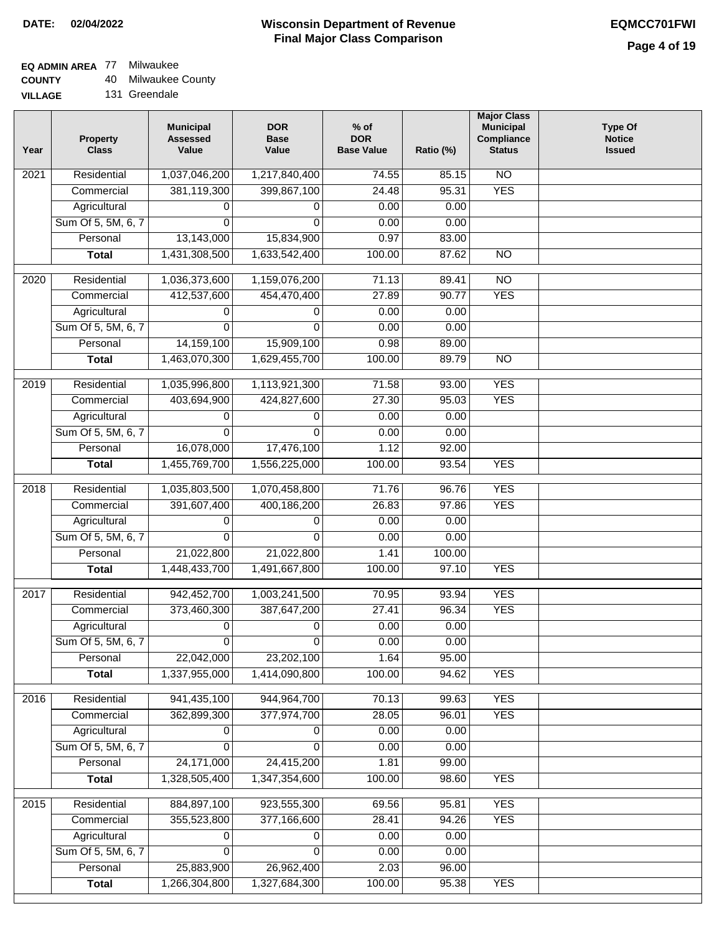### **EQ ADMIN AREA** 77 Milwaukee

**COUNTY** 40 Milwaukee County

**VILLAGE** 131 Greendale

| Year              | <b>Property</b><br><b>Class</b>    | <b>Municipal</b><br><b>Assessed</b><br>Value | <b>DOR</b><br><b>Base</b><br>Value | $%$ of<br><b>DOR</b><br><b>Base Value</b> | Ratio (%)      | <b>Major Class</b><br><b>Municipal</b><br>Compliance<br><b>Status</b> | <b>Type Of</b><br><b>Notice</b><br><b>Issued</b> |
|-------------------|------------------------------------|----------------------------------------------|------------------------------------|-------------------------------------------|----------------|-----------------------------------------------------------------------|--------------------------------------------------|
| 2021              | Residential                        | 1,037,046,200                                | 1,217,840,400                      | 74.55                                     | 85.15          | N <sub>O</sub>                                                        |                                                  |
|                   | Commercial                         | 381,119,300                                  | 399,867,100                        | 24.48                                     | 95.31          | <b>YES</b>                                                            |                                                  |
|                   | Agricultural                       | 0                                            | 0                                  | 0.00                                      | 0.00           |                                                                       |                                                  |
|                   | Sum Of 5, 5M, 6, 7                 | $\Omega$                                     | $\Omega$                           | 0.00                                      | 0.00           |                                                                       |                                                  |
|                   | Personal                           | 13,143,000                                   | 15,834,900                         | 0.97                                      | 83.00          |                                                                       |                                                  |
|                   | <b>Total</b>                       | 1,431,308,500                                | 1,633,542,400                      | 100.00                                    | 87.62          | $\overline{NO}$                                                       |                                                  |
|                   |                                    |                                              |                                    |                                           |                | $\overline{NO}$                                                       |                                                  |
| 2020              | Residential                        | 1,036,373,600<br>412,537,600                 | 1,159,076,200                      | 71.13<br>27.89                            | 89.41<br>90.77 | <b>YES</b>                                                            |                                                  |
|                   | Commercial                         |                                              | 454,470,400                        | 0.00                                      | 0.00           |                                                                       |                                                  |
|                   | Agricultural<br>Sum Of 5, 5M, 6, 7 | 0<br>$\Omega$                                | 0<br>$\Omega$                      | 0.00                                      | 0.00           |                                                                       |                                                  |
|                   | Personal                           | 14, 159, 100                                 | 15,909,100                         | 0.98                                      | 89.00          |                                                                       |                                                  |
|                   | <b>Total</b>                       | 1,463,070,300                                | 1,629,455,700                      | 100.00                                    | 89.79          | $\overline{NO}$                                                       |                                                  |
|                   |                                    |                                              |                                    |                                           |                |                                                                       |                                                  |
| 2019              | Residential                        | 1,035,996,800                                | 1,113,921,300                      | 71.58                                     | 93.00          | <b>YES</b>                                                            |                                                  |
|                   | Commercial                         | 403,694,900                                  | 424,827,600                        | 27.30                                     | 95.03          | <b>YES</b>                                                            |                                                  |
|                   | Agricultural                       | 0                                            | 0                                  | 0.00                                      | 0.00           |                                                                       |                                                  |
|                   | Sum Of 5, 5M, 6, 7                 | 0                                            | 0                                  | 0.00                                      | 0.00           |                                                                       |                                                  |
|                   | Personal                           | 16,078,000                                   | 17,476,100                         | 1.12                                      | 92.00          |                                                                       |                                                  |
|                   | <b>Total</b>                       | 1,455,769,700                                | 1,556,225,000                      | 100.00                                    | 93.54          | <b>YES</b>                                                            |                                                  |
| $\overline{2018}$ | Residential                        | 1,035,803,500                                | 1,070,458,800                      | 71.76                                     | 96.76          | <b>YES</b>                                                            |                                                  |
|                   | Commercial                         | 391,607,400                                  | 400,186,200                        | 26.83                                     | 97.86          | <b>YES</b>                                                            |                                                  |
|                   | Agricultural                       | 0                                            | 0                                  | 0.00                                      | 0.00           |                                                                       |                                                  |
|                   | Sum Of 5, 5M, 6, 7                 | $\Omega$                                     | $\Omega$                           | 0.00                                      | 0.00           |                                                                       |                                                  |
|                   | Personal                           | 21,022,800                                   | 21,022,800                         | 1.41                                      | 100.00         |                                                                       |                                                  |
|                   | <b>Total</b>                       | 1,448,433,700                                | 1,491,667,800                      | 100.00                                    | 97.10          | <b>YES</b>                                                            |                                                  |
| 2017              | Residential                        | 942,452,700                                  | 1,003,241,500                      | 70.95                                     | 93.94          | <b>YES</b>                                                            |                                                  |
|                   | Commercial                         | 373,460,300                                  | 387,647,200                        | 27.41                                     | 96.34          | <b>YES</b>                                                            |                                                  |
|                   | Agricultural                       | 0                                            | 0                                  | 0.00                                      | 0.00           |                                                                       |                                                  |
|                   | Sum Of 5, 5M, 6, 7                 | $\overline{0}$                               | 0                                  | 0.00                                      | 0.00           |                                                                       |                                                  |
|                   | Personal                           | 22,042,000                                   | 23,202,100                         | 1.64                                      | 95.00          |                                                                       |                                                  |
|                   | <b>Total</b>                       | 1,337,955,000                                | 1,414,090,800                      | 100.00                                    | 94.62          | <b>YES</b>                                                            |                                                  |
| 2016              | Residential                        | 941,435,100                                  | 944, 964, 700                      | 70.13                                     | 99.63          | <b>YES</b>                                                            |                                                  |
|                   | Commercial                         | 362,899,300                                  | 377,974,700                        | 28.05                                     | 96.01          | <b>YES</b>                                                            |                                                  |
|                   | Agricultural                       | 0                                            | 0                                  | 0.00                                      | 0.00           |                                                                       |                                                  |
|                   | Sum Of 5, 5M, 6, 7                 | 0                                            | $\Omega$                           | 0.00                                      | 0.00           |                                                                       |                                                  |
|                   | Personal                           | 24,171,000                                   | 24,415,200                         | 1.81                                      | 99.00          |                                                                       |                                                  |
|                   | <b>Total</b>                       | 1,328,505,400                                | 1,347,354,600                      | 100.00                                    | 98.60          | <b>YES</b>                                                            |                                                  |
|                   |                                    |                                              |                                    |                                           |                |                                                                       |                                                  |
| 2015              | Residential                        | 884,897,100                                  | 923,555,300                        | 69.56                                     | 95.81          | <b>YES</b>                                                            |                                                  |
|                   | Commercial                         | 355,523,800                                  | 377,166,600                        | 28.41                                     | 94.26          | <b>YES</b>                                                            |                                                  |
|                   | Agricultural                       | 0                                            | 0                                  | 0.00                                      | 0.00           |                                                                       |                                                  |
|                   | Sum Of 5, 5M, 6, 7                 | $\Omega$                                     | $\Omega$                           | 0.00                                      | 0.00           |                                                                       |                                                  |
|                   | Personal                           | 25,883,900                                   | 26,962,400                         | 2.03                                      | 96.00          |                                                                       |                                                  |
|                   | <b>Total</b>                       | 1,266,304,800                                | 1,327,684,300                      | 100.00                                    | 95.38          | <b>YES</b>                                                            |                                                  |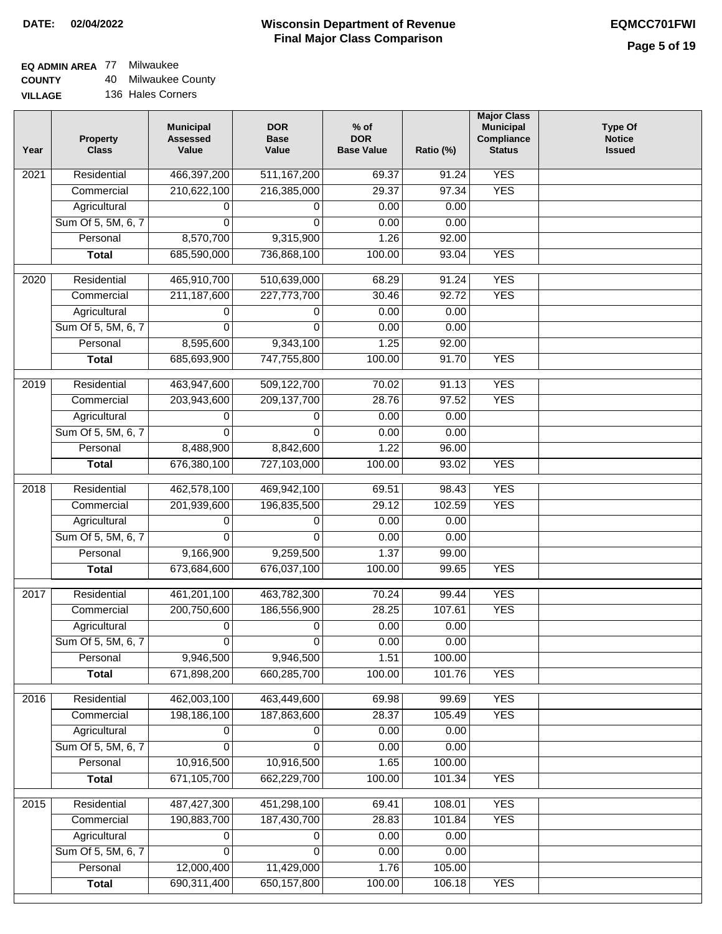### **EQ ADMIN AREA** 77 Milwaukee

**COUNTY** 40 Milwaukee County

| Year | <b>Property</b><br><b>Class</b> | <b>Municipal</b><br><b>Assessed</b><br>Value | <b>DOR</b><br><b>Base</b><br>Value | $%$ of<br><b>DOR</b><br><b>Base Value</b> | Ratio (%) | <b>Major Class</b><br><b>Municipal</b><br>Compliance<br><b>Status</b> | <b>Type Of</b><br><b>Notice</b><br><b>Issued</b> |
|------|---------------------------------|----------------------------------------------|------------------------------------|-------------------------------------------|-----------|-----------------------------------------------------------------------|--------------------------------------------------|
| 2021 | Residential                     | 466,397,200                                  | 511, 167, 200                      | 69.37                                     | 91.24     | <b>YES</b>                                                            |                                                  |
|      | Commercial                      | 210,622,100                                  | 216,385,000                        | 29.37                                     | 97.34     | <b>YES</b>                                                            |                                                  |
|      | Agricultural                    | 0                                            | 0                                  | 0.00                                      | 0.00      |                                                                       |                                                  |
|      | Sum Of 5, 5M, 6, 7              | 0                                            | 0                                  | 0.00                                      | 0.00      |                                                                       |                                                  |
|      | Personal                        | 8,570,700                                    | 9,315,900                          | 1.26                                      | 92.00     |                                                                       |                                                  |
|      | <b>Total</b>                    | 685,590,000                                  | 736,868,100                        | 100.00                                    | 93.04     | <b>YES</b>                                                            |                                                  |
| 2020 | Residential                     | 465,910,700                                  | 510,639,000                        | 68.29                                     | 91.24     | <b>YES</b>                                                            |                                                  |
|      | Commercial                      | 211, 187, 600                                | 227,773,700                        | 30.46                                     | 92.72     | <b>YES</b>                                                            |                                                  |
|      | Agricultural                    | 0                                            | 0                                  | 0.00                                      | 0.00      |                                                                       |                                                  |
|      | Sum Of 5, 5M, 6, 7              | 0                                            | $\Omega$                           | 0.00                                      | 0.00      |                                                                       |                                                  |
|      | Personal                        | 8,595,600                                    | 9,343,100                          | 1.25                                      | 92.00     |                                                                       |                                                  |
|      | <b>Total</b>                    | 685,693,900                                  | 747,755,800                        | 100.00                                    | 91.70     | <b>YES</b>                                                            |                                                  |
|      |                                 |                                              |                                    |                                           |           |                                                                       |                                                  |
| 2019 | Residential                     | 463,947,600                                  | 509,122,700                        | 70.02                                     | 91.13     | <b>YES</b>                                                            |                                                  |
|      | Commercial                      | 203,943,600                                  | 209, 137, 700                      | 28.76                                     | 97.52     | <b>YES</b>                                                            |                                                  |
|      | Agricultural                    | 0                                            | 0                                  | 0.00                                      | 0.00      |                                                                       |                                                  |
|      | Sum Of 5, 5M, 6, 7              | 0                                            | 0                                  | 0.00                                      | 0.00      |                                                                       |                                                  |
|      | Personal                        | 8,488,900                                    | 8,842,600                          | 1.22                                      | 96.00     |                                                                       |                                                  |
|      | <b>Total</b>                    | 676,380,100                                  | 727,103,000                        | 100.00                                    | 93.02     | <b>YES</b>                                                            |                                                  |
| 2018 | Residential                     | 462,578,100                                  | 469,942,100                        | 69.51                                     | 98.43     | <b>YES</b>                                                            |                                                  |
|      | Commercial                      | 201,939,600                                  | 196,835,500                        | 29.12                                     | 102.59    | <b>YES</b>                                                            |                                                  |
|      | Agricultural                    | 0                                            | 0                                  | 0.00                                      | 0.00      |                                                                       |                                                  |
|      | Sum Of 5, 5M, 6, 7              | $\Omega$                                     | $\Omega$                           | 0.00                                      | 0.00      |                                                                       |                                                  |
|      | Personal                        | 9,166,900                                    | 9,259,500                          | 1.37                                      | 99.00     |                                                                       |                                                  |
|      | <b>Total</b>                    | 673,684,600                                  | 676,037,100                        | 100.00                                    | 99.65     | <b>YES</b>                                                            |                                                  |
| 2017 | Residential                     | 461,201,100                                  | 463,782,300                        | 70.24                                     | 99.44     | <b>YES</b>                                                            |                                                  |
|      | Commercial                      | 200,750,600                                  | 186,556,900                        | 28.25                                     | 107.61    | <b>YES</b>                                                            |                                                  |
|      | Agricultural                    | 0                                            | 0                                  | 0.00                                      | 0.00      |                                                                       |                                                  |
|      | Sum Of 5, 5M, 6, 7              | 0                                            | 0                                  | 0.00                                      | 0.00      |                                                                       |                                                  |
|      | Personal                        | 9,946,500                                    | 9,946,500                          | 1.51                                      | 100.00    |                                                                       |                                                  |
|      | <b>Total</b>                    | 671,898,200                                  | 660,285,700                        | 100.00                                    | 101.76    | <b>YES</b>                                                            |                                                  |
| 2016 | Residential                     | 462,003,100                                  | 463,449,600                        | 69.98                                     | 99.69     | <b>YES</b>                                                            |                                                  |
|      | Commercial                      | 198,186,100                                  | 187,863,600                        | 28.37                                     | 105.49    | <b>YES</b>                                                            |                                                  |
|      | Agricultural                    | 0                                            | 0                                  | 0.00                                      | 0.00      |                                                                       |                                                  |
|      | Sum Of 5, 5M, 6, 7              | 0                                            | 0                                  | 0.00                                      | 0.00      |                                                                       |                                                  |
|      | Personal                        | 10,916,500                                   | 10,916,500                         | 1.65                                      | 100.00    |                                                                       |                                                  |
|      | <b>Total</b>                    | 671,105,700                                  | 662,229,700                        | 100.00                                    | 101.34    | <b>YES</b>                                                            |                                                  |
| 2015 | Residential                     | 487, 427, 300                                | 451,298,100                        | 69.41                                     | 108.01    | <b>YES</b>                                                            |                                                  |
|      | Commercial                      | 190,883,700                                  | 187,430,700                        | 28.83                                     | 101.84    | <b>YES</b>                                                            |                                                  |
|      | Agricultural                    |                                              |                                    | 0.00                                      | 0.00      |                                                                       |                                                  |
|      | Sum Of 5, 5M, 6, 7              | 0<br>0                                       | 0<br>0                             | 0.00                                      | 0.00      |                                                                       |                                                  |
|      | Personal                        | 12,000,400                                   | 11,429,000                         | 1.76                                      | 105.00    |                                                                       |                                                  |
|      | <b>Total</b>                    | 690,311,400                                  | 650, 157, 800                      | 100.00                                    | 106.18    | <b>YES</b>                                                            |                                                  |
|      |                                 |                                              |                                    |                                           |           |                                                                       |                                                  |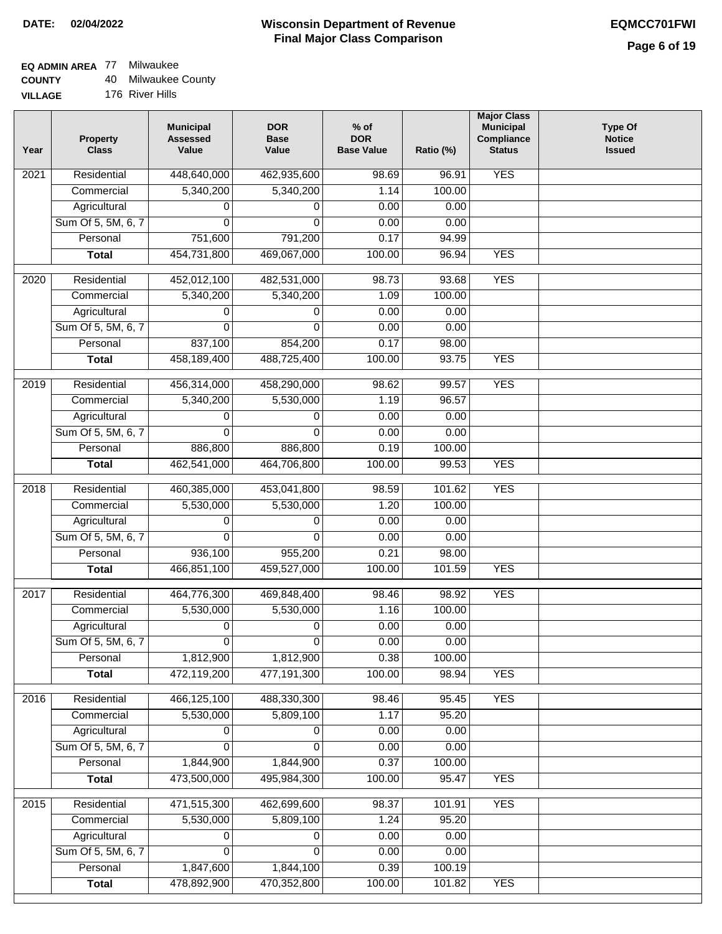### **EQ ADMIN AREA** 77 Milwaukee

**COUNTY** 40 Milwaukee County

**VILLAGE** 176 River Hills

| <b>YES</b><br>Residential<br>$\overline{202}1$<br>448,640,000<br>462,935,600<br>98.69<br>96.91<br>5,340,200<br>5,340,200<br>100.00<br>Commercial<br>1.14<br>Agricultural<br>0.00<br>0.00<br>0<br>0<br>Sum Of 5, 5M, 6, 7<br>$\Omega$<br>$\mathbf{0}$<br>0.00<br>0.00<br>751,600<br>Personal<br>791,200<br>0.17<br>94.99<br>454,731,800<br><b>YES</b><br><b>Total</b><br>469,067,000<br>100.00<br>96.94<br><b>YES</b><br>$\overline{2020}$<br>Residential<br>452,012,100<br>482,531,000<br>98.73<br>93.68<br>Commercial<br>5,340,200<br>5,340,200<br>1.09<br>100.00<br>0.00<br>0.00<br>Agricultural<br>0<br>0<br>Sum Of 5, 5M, 6, 7<br>0.00<br>$\Omega$<br>0<br>0.00<br>Personal<br>837,100<br>854,200<br>0.17<br>98.00<br><b>YES</b><br>458,189,400<br>488,725,400<br>100.00<br>93.75<br><b>Total</b><br><b>YES</b><br>Residential<br>456,314,000<br>458,290,000<br>98.62<br>99.57<br>2019<br>5,340,200<br>5,530,000<br>96.57<br>Commercial<br>1.19<br>0.00<br>Agricultural<br>0.00<br>0<br>0<br>Sum Of 5, 5M, 6, 7<br>0.00<br>0.00<br>$\Omega$<br>0<br>Personal<br>886,800<br>886,800<br>0.19<br>100.00<br>462,541,000<br>100.00<br><b>YES</b><br><b>Total</b><br>464,706,800<br>99.53<br>Residential<br>460,385,000<br>453,041,800<br>101.62<br><b>YES</b><br>2018<br>98.59<br>5,530,000<br>Commercial<br>5,530,000<br>1.20<br>100.00<br>Agricultural<br>0.00<br>0.00<br>0<br>0<br>Sum Of 5, 5M, 6, 7<br>0<br>0<br>0.00<br>0.00<br>Personal<br>936,100<br>0.21<br>98.00<br>955,200<br>466,851,100<br>459,527,000<br>100.00<br><b>YES</b><br><b>Total</b><br>101.59<br>2017<br>Residential<br>464,776,300<br>469,848,400<br>98.92<br><b>YES</b><br>98.46<br>Commercial<br>5,530,000<br>5,530,000<br>1.16<br>100.00<br>0<br>0<br>0.00<br>Agricultural<br>0.00<br>Sum Of 5, 5M, 6, 7<br>0.00<br>0.00<br>$\overline{0}$<br>$\overline{0}$<br>1,812,900<br>1,812,900<br>0.38<br>Personal<br>100.00<br>472,119,200<br>477,191,300<br>100.00<br>98.94<br><b>YES</b><br><b>Total</b><br>466,125,100<br><b>YES</b><br>2016<br>Residential<br>488,330,300<br>95.45<br>98.46<br>5,530,000<br>5,809,100<br>1.17<br>95.20<br>Commercial<br>Agricultural<br>0.00<br>0.00<br>0<br>0<br>Sum Of 5, 5M, 6, 7<br>0.00<br>0.00<br>$\Omega$<br>$\Omega$<br>Personal<br>1,844,900<br>1,844,900<br>0.37<br>100.00<br>473,500,000<br>495,984,300<br>100.00<br>95.47<br><b>YES</b><br><b>Total</b><br>Residential<br><b>YES</b><br>471,515,300<br>462,699,600<br>98.37<br>101.91<br>2015<br>5,530,000<br>Commercial<br>5,809,100<br>1.24<br>95.20<br>0.00<br>0.00<br>Agricultural<br>0<br>0<br>Sum Of 5, 5M, 6, 7<br>0.00<br>0.00<br>0<br>0<br>0.39<br>Personal<br>1,847,600<br>1,844,100<br>100.19<br>478,892,900<br>470,352,800<br>100.00<br><b>YES</b><br><b>Total</b><br>101.82 | Year | <b>Property</b><br><b>Class</b> | <b>Municipal</b><br><b>Assessed</b><br>Value | <b>DOR</b><br><b>Base</b><br>Value | $%$ of<br><b>DOR</b><br><b>Base Value</b> | Ratio (%) | <b>Major Class</b><br><b>Municipal</b><br>Compliance<br><b>Status</b> | <b>Type Of</b><br><b>Notice</b><br><b>Issued</b> |
|--------------------------------------------------------------------------------------------------------------------------------------------------------------------------------------------------------------------------------------------------------------------------------------------------------------------------------------------------------------------------------------------------------------------------------------------------------------------------------------------------------------------------------------------------------------------------------------------------------------------------------------------------------------------------------------------------------------------------------------------------------------------------------------------------------------------------------------------------------------------------------------------------------------------------------------------------------------------------------------------------------------------------------------------------------------------------------------------------------------------------------------------------------------------------------------------------------------------------------------------------------------------------------------------------------------------------------------------------------------------------------------------------------------------------------------------------------------------------------------------------------------------------------------------------------------------------------------------------------------------------------------------------------------------------------------------------------------------------------------------------------------------------------------------------------------------------------------------------------------------------------------------------------------------------------------------------------------------------------------------------------------------------------------------------------------------------------------------------------------------------------------------------------------------------------------------------------------------------------------------------------------------------------------------------------------------------------------------------------------------------------------------------------------------------------------------------------------------------------------------------------------------------------------------------------------------------------------------------------------------------------------------------------------------------------------------------------------------------------------------------------------|------|---------------------------------|----------------------------------------------|------------------------------------|-------------------------------------------|-----------|-----------------------------------------------------------------------|--------------------------------------------------|
|                                                                                                                                                                                                                                                                                                                                                                                                                                                                                                                                                                                                                                                                                                                                                                                                                                                                                                                                                                                                                                                                                                                                                                                                                                                                                                                                                                                                                                                                                                                                                                                                                                                                                                                                                                                                                                                                                                                                                                                                                                                                                                                                                                                                                                                                                                                                                                                                                                                                                                                                                                                                                                                                                                                                                              |      |                                 |                                              |                                    |                                           |           |                                                                       |                                                  |
|                                                                                                                                                                                                                                                                                                                                                                                                                                                                                                                                                                                                                                                                                                                                                                                                                                                                                                                                                                                                                                                                                                                                                                                                                                                                                                                                                                                                                                                                                                                                                                                                                                                                                                                                                                                                                                                                                                                                                                                                                                                                                                                                                                                                                                                                                                                                                                                                                                                                                                                                                                                                                                                                                                                                                              |      |                                 |                                              |                                    |                                           |           |                                                                       |                                                  |
|                                                                                                                                                                                                                                                                                                                                                                                                                                                                                                                                                                                                                                                                                                                                                                                                                                                                                                                                                                                                                                                                                                                                                                                                                                                                                                                                                                                                                                                                                                                                                                                                                                                                                                                                                                                                                                                                                                                                                                                                                                                                                                                                                                                                                                                                                                                                                                                                                                                                                                                                                                                                                                                                                                                                                              |      |                                 |                                              |                                    |                                           |           |                                                                       |                                                  |
|                                                                                                                                                                                                                                                                                                                                                                                                                                                                                                                                                                                                                                                                                                                                                                                                                                                                                                                                                                                                                                                                                                                                                                                                                                                                                                                                                                                                                                                                                                                                                                                                                                                                                                                                                                                                                                                                                                                                                                                                                                                                                                                                                                                                                                                                                                                                                                                                                                                                                                                                                                                                                                                                                                                                                              |      |                                 |                                              |                                    |                                           |           |                                                                       |                                                  |
|                                                                                                                                                                                                                                                                                                                                                                                                                                                                                                                                                                                                                                                                                                                                                                                                                                                                                                                                                                                                                                                                                                                                                                                                                                                                                                                                                                                                                                                                                                                                                                                                                                                                                                                                                                                                                                                                                                                                                                                                                                                                                                                                                                                                                                                                                                                                                                                                                                                                                                                                                                                                                                                                                                                                                              |      |                                 |                                              |                                    |                                           |           |                                                                       |                                                  |
|                                                                                                                                                                                                                                                                                                                                                                                                                                                                                                                                                                                                                                                                                                                                                                                                                                                                                                                                                                                                                                                                                                                                                                                                                                                                                                                                                                                                                                                                                                                                                                                                                                                                                                                                                                                                                                                                                                                                                                                                                                                                                                                                                                                                                                                                                                                                                                                                                                                                                                                                                                                                                                                                                                                                                              |      |                                 |                                              |                                    |                                           |           |                                                                       |                                                  |
|                                                                                                                                                                                                                                                                                                                                                                                                                                                                                                                                                                                                                                                                                                                                                                                                                                                                                                                                                                                                                                                                                                                                                                                                                                                                                                                                                                                                                                                                                                                                                                                                                                                                                                                                                                                                                                                                                                                                                                                                                                                                                                                                                                                                                                                                                                                                                                                                                                                                                                                                                                                                                                                                                                                                                              |      |                                 |                                              |                                    |                                           |           |                                                                       |                                                  |
|                                                                                                                                                                                                                                                                                                                                                                                                                                                                                                                                                                                                                                                                                                                                                                                                                                                                                                                                                                                                                                                                                                                                                                                                                                                                                                                                                                                                                                                                                                                                                                                                                                                                                                                                                                                                                                                                                                                                                                                                                                                                                                                                                                                                                                                                                                                                                                                                                                                                                                                                                                                                                                                                                                                                                              |      |                                 |                                              |                                    |                                           |           |                                                                       |                                                  |
|                                                                                                                                                                                                                                                                                                                                                                                                                                                                                                                                                                                                                                                                                                                                                                                                                                                                                                                                                                                                                                                                                                                                                                                                                                                                                                                                                                                                                                                                                                                                                                                                                                                                                                                                                                                                                                                                                                                                                                                                                                                                                                                                                                                                                                                                                                                                                                                                                                                                                                                                                                                                                                                                                                                                                              |      |                                 |                                              |                                    |                                           |           |                                                                       |                                                  |
|                                                                                                                                                                                                                                                                                                                                                                                                                                                                                                                                                                                                                                                                                                                                                                                                                                                                                                                                                                                                                                                                                                                                                                                                                                                                                                                                                                                                                                                                                                                                                                                                                                                                                                                                                                                                                                                                                                                                                                                                                                                                                                                                                                                                                                                                                                                                                                                                                                                                                                                                                                                                                                                                                                                                                              |      |                                 |                                              |                                    |                                           |           |                                                                       |                                                  |
|                                                                                                                                                                                                                                                                                                                                                                                                                                                                                                                                                                                                                                                                                                                                                                                                                                                                                                                                                                                                                                                                                                                                                                                                                                                                                                                                                                                                                                                                                                                                                                                                                                                                                                                                                                                                                                                                                                                                                                                                                                                                                                                                                                                                                                                                                                                                                                                                                                                                                                                                                                                                                                                                                                                                                              |      |                                 |                                              |                                    |                                           |           |                                                                       |                                                  |
|                                                                                                                                                                                                                                                                                                                                                                                                                                                                                                                                                                                                                                                                                                                                                                                                                                                                                                                                                                                                                                                                                                                                                                                                                                                                                                                                                                                                                                                                                                                                                                                                                                                                                                                                                                                                                                                                                                                                                                                                                                                                                                                                                                                                                                                                                                                                                                                                                                                                                                                                                                                                                                                                                                                                                              |      |                                 |                                              |                                    |                                           |           |                                                                       |                                                  |
|                                                                                                                                                                                                                                                                                                                                                                                                                                                                                                                                                                                                                                                                                                                                                                                                                                                                                                                                                                                                                                                                                                                                                                                                                                                                                                                                                                                                                                                                                                                                                                                                                                                                                                                                                                                                                                                                                                                                                                                                                                                                                                                                                                                                                                                                                                                                                                                                                                                                                                                                                                                                                                                                                                                                                              |      |                                 |                                              |                                    |                                           |           |                                                                       |                                                  |
|                                                                                                                                                                                                                                                                                                                                                                                                                                                                                                                                                                                                                                                                                                                                                                                                                                                                                                                                                                                                                                                                                                                                                                                                                                                                                                                                                                                                                                                                                                                                                                                                                                                                                                                                                                                                                                                                                                                                                                                                                                                                                                                                                                                                                                                                                                                                                                                                                                                                                                                                                                                                                                                                                                                                                              |      |                                 |                                              |                                    |                                           |           |                                                                       |                                                  |
|                                                                                                                                                                                                                                                                                                                                                                                                                                                                                                                                                                                                                                                                                                                                                                                                                                                                                                                                                                                                                                                                                                                                                                                                                                                                                                                                                                                                                                                                                                                                                                                                                                                                                                                                                                                                                                                                                                                                                                                                                                                                                                                                                                                                                                                                                                                                                                                                                                                                                                                                                                                                                                                                                                                                                              |      |                                 |                                              |                                    |                                           |           |                                                                       |                                                  |
|                                                                                                                                                                                                                                                                                                                                                                                                                                                                                                                                                                                                                                                                                                                                                                                                                                                                                                                                                                                                                                                                                                                                                                                                                                                                                                                                                                                                                                                                                                                                                                                                                                                                                                                                                                                                                                                                                                                                                                                                                                                                                                                                                                                                                                                                                                                                                                                                                                                                                                                                                                                                                                                                                                                                                              |      |                                 |                                              |                                    |                                           |           |                                                                       |                                                  |
|                                                                                                                                                                                                                                                                                                                                                                                                                                                                                                                                                                                                                                                                                                                                                                                                                                                                                                                                                                                                                                                                                                                                                                                                                                                                                                                                                                                                                                                                                                                                                                                                                                                                                                                                                                                                                                                                                                                                                                                                                                                                                                                                                                                                                                                                                                                                                                                                                                                                                                                                                                                                                                                                                                                                                              |      |                                 |                                              |                                    |                                           |           |                                                                       |                                                  |
|                                                                                                                                                                                                                                                                                                                                                                                                                                                                                                                                                                                                                                                                                                                                                                                                                                                                                                                                                                                                                                                                                                                                                                                                                                                                                                                                                                                                                                                                                                                                                                                                                                                                                                                                                                                                                                                                                                                                                                                                                                                                                                                                                                                                                                                                                                                                                                                                                                                                                                                                                                                                                                                                                                                                                              |      |                                 |                                              |                                    |                                           |           |                                                                       |                                                  |
|                                                                                                                                                                                                                                                                                                                                                                                                                                                                                                                                                                                                                                                                                                                                                                                                                                                                                                                                                                                                                                                                                                                                                                                                                                                                                                                                                                                                                                                                                                                                                                                                                                                                                                                                                                                                                                                                                                                                                                                                                                                                                                                                                                                                                                                                                                                                                                                                                                                                                                                                                                                                                                                                                                                                                              |      |                                 |                                              |                                    |                                           |           |                                                                       |                                                  |
|                                                                                                                                                                                                                                                                                                                                                                                                                                                                                                                                                                                                                                                                                                                                                                                                                                                                                                                                                                                                                                                                                                                                                                                                                                                                                                                                                                                                                                                                                                                                                                                                                                                                                                                                                                                                                                                                                                                                                                                                                                                                                                                                                                                                                                                                                                                                                                                                                                                                                                                                                                                                                                                                                                                                                              |      |                                 |                                              |                                    |                                           |           |                                                                       |                                                  |
|                                                                                                                                                                                                                                                                                                                                                                                                                                                                                                                                                                                                                                                                                                                                                                                                                                                                                                                                                                                                                                                                                                                                                                                                                                                                                                                                                                                                                                                                                                                                                                                                                                                                                                                                                                                                                                                                                                                                                                                                                                                                                                                                                                                                                                                                                                                                                                                                                                                                                                                                                                                                                                                                                                                                                              |      |                                 |                                              |                                    |                                           |           |                                                                       |                                                  |
|                                                                                                                                                                                                                                                                                                                                                                                                                                                                                                                                                                                                                                                                                                                                                                                                                                                                                                                                                                                                                                                                                                                                                                                                                                                                                                                                                                                                                                                                                                                                                                                                                                                                                                                                                                                                                                                                                                                                                                                                                                                                                                                                                                                                                                                                                                                                                                                                                                                                                                                                                                                                                                                                                                                                                              |      |                                 |                                              |                                    |                                           |           |                                                                       |                                                  |
|                                                                                                                                                                                                                                                                                                                                                                                                                                                                                                                                                                                                                                                                                                                                                                                                                                                                                                                                                                                                                                                                                                                                                                                                                                                                                                                                                                                                                                                                                                                                                                                                                                                                                                                                                                                                                                                                                                                                                                                                                                                                                                                                                                                                                                                                                                                                                                                                                                                                                                                                                                                                                                                                                                                                                              |      |                                 |                                              |                                    |                                           |           |                                                                       |                                                  |
|                                                                                                                                                                                                                                                                                                                                                                                                                                                                                                                                                                                                                                                                                                                                                                                                                                                                                                                                                                                                                                                                                                                                                                                                                                                                                                                                                                                                                                                                                                                                                                                                                                                                                                                                                                                                                                                                                                                                                                                                                                                                                                                                                                                                                                                                                                                                                                                                                                                                                                                                                                                                                                                                                                                                                              |      |                                 |                                              |                                    |                                           |           |                                                                       |                                                  |
|                                                                                                                                                                                                                                                                                                                                                                                                                                                                                                                                                                                                                                                                                                                                                                                                                                                                                                                                                                                                                                                                                                                                                                                                                                                                                                                                                                                                                                                                                                                                                                                                                                                                                                                                                                                                                                                                                                                                                                                                                                                                                                                                                                                                                                                                                                                                                                                                                                                                                                                                                                                                                                                                                                                                                              |      |                                 |                                              |                                    |                                           |           |                                                                       |                                                  |
|                                                                                                                                                                                                                                                                                                                                                                                                                                                                                                                                                                                                                                                                                                                                                                                                                                                                                                                                                                                                                                                                                                                                                                                                                                                                                                                                                                                                                                                                                                                                                                                                                                                                                                                                                                                                                                                                                                                                                                                                                                                                                                                                                                                                                                                                                                                                                                                                                                                                                                                                                                                                                                                                                                                                                              |      |                                 |                                              |                                    |                                           |           |                                                                       |                                                  |
|                                                                                                                                                                                                                                                                                                                                                                                                                                                                                                                                                                                                                                                                                                                                                                                                                                                                                                                                                                                                                                                                                                                                                                                                                                                                                                                                                                                                                                                                                                                                                                                                                                                                                                                                                                                                                                                                                                                                                                                                                                                                                                                                                                                                                                                                                                                                                                                                                                                                                                                                                                                                                                                                                                                                                              |      |                                 |                                              |                                    |                                           |           |                                                                       |                                                  |
|                                                                                                                                                                                                                                                                                                                                                                                                                                                                                                                                                                                                                                                                                                                                                                                                                                                                                                                                                                                                                                                                                                                                                                                                                                                                                                                                                                                                                                                                                                                                                                                                                                                                                                                                                                                                                                                                                                                                                                                                                                                                                                                                                                                                                                                                                                                                                                                                                                                                                                                                                                                                                                                                                                                                                              |      |                                 |                                              |                                    |                                           |           |                                                                       |                                                  |
|                                                                                                                                                                                                                                                                                                                                                                                                                                                                                                                                                                                                                                                                                                                                                                                                                                                                                                                                                                                                                                                                                                                                                                                                                                                                                                                                                                                                                                                                                                                                                                                                                                                                                                                                                                                                                                                                                                                                                                                                                                                                                                                                                                                                                                                                                                                                                                                                                                                                                                                                                                                                                                                                                                                                                              |      |                                 |                                              |                                    |                                           |           |                                                                       |                                                  |
|                                                                                                                                                                                                                                                                                                                                                                                                                                                                                                                                                                                                                                                                                                                                                                                                                                                                                                                                                                                                                                                                                                                                                                                                                                                                                                                                                                                                                                                                                                                                                                                                                                                                                                                                                                                                                                                                                                                                                                                                                                                                                                                                                                                                                                                                                                                                                                                                                                                                                                                                                                                                                                                                                                                                                              |      |                                 |                                              |                                    |                                           |           |                                                                       |                                                  |
|                                                                                                                                                                                                                                                                                                                                                                                                                                                                                                                                                                                                                                                                                                                                                                                                                                                                                                                                                                                                                                                                                                                                                                                                                                                                                                                                                                                                                                                                                                                                                                                                                                                                                                                                                                                                                                                                                                                                                                                                                                                                                                                                                                                                                                                                                                                                                                                                                                                                                                                                                                                                                                                                                                                                                              |      |                                 |                                              |                                    |                                           |           |                                                                       |                                                  |
|                                                                                                                                                                                                                                                                                                                                                                                                                                                                                                                                                                                                                                                                                                                                                                                                                                                                                                                                                                                                                                                                                                                                                                                                                                                                                                                                                                                                                                                                                                                                                                                                                                                                                                                                                                                                                                                                                                                                                                                                                                                                                                                                                                                                                                                                                                                                                                                                                                                                                                                                                                                                                                                                                                                                                              |      |                                 |                                              |                                    |                                           |           |                                                                       |                                                  |
|                                                                                                                                                                                                                                                                                                                                                                                                                                                                                                                                                                                                                                                                                                                                                                                                                                                                                                                                                                                                                                                                                                                                                                                                                                                                                                                                                                                                                                                                                                                                                                                                                                                                                                                                                                                                                                                                                                                                                                                                                                                                                                                                                                                                                                                                                                                                                                                                                                                                                                                                                                                                                                                                                                                                                              |      |                                 |                                              |                                    |                                           |           |                                                                       |                                                  |
|                                                                                                                                                                                                                                                                                                                                                                                                                                                                                                                                                                                                                                                                                                                                                                                                                                                                                                                                                                                                                                                                                                                                                                                                                                                                                                                                                                                                                                                                                                                                                                                                                                                                                                                                                                                                                                                                                                                                                                                                                                                                                                                                                                                                                                                                                                                                                                                                                                                                                                                                                                                                                                                                                                                                                              |      |                                 |                                              |                                    |                                           |           |                                                                       |                                                  |
|                                                                                                                                                                                                                                                                                                                                                                                                                                                                                                                                                                                                                                                                                                                                                                                                                                                                                                                                                                                                                                                                                                                                                                                                                                                                                                                                                                                                                                                                                                                                                                                                                                                                                                                                                                                                                                                                                                                                                                                                                                                                                                                                                                                                                                                                                                                                                                                                                                                                                                                                                                                                                                                                                                                                                              |      |                                 |                                              |                                    |                                           |           |                                                                       |                                                  |
|                                                                                                                                                                                                                                                                                                                                                                                                                                                                                                                                                                                                                                                                                                                                                                                                                                                                                                                                                                                                                                                                                                                                                                                                                                                                                                                                                                                                                                                                                                                                                                                                                                                                                                                                                                                                                                                                                                                                                                                                                                                                                                                                                                                                                                                                                                                                                                                                                                                                                                                                                                                                                                                                                                                                                              |      |                                 |                                              |                                    |                                           |           |                                                                       |                                                  |
|                                                                                                                                                                                                                                                                                                                                                                                                                                                                                                                                                                                                                                                                                                                                                                                                                                                                                                                                                                                                                                                                                                                                                                                                                                                                                                                                                                                                                                                                                                                                                                                                                                                                                                                                                                                                                                                                                                                                                                                                                                                                                                                                                                                                                                                                                                                                                                                                                                                                                                                                                                                                                                                                                                                                                              |      |                                 |                                              |                                    |                                           |           |                                                                       |                                                  |
|                                                                                                                                                                                                                                                                                                                                                                                                                                                                                                                                                                                                                                                                                                                                                                                                                                                                                                                                                                                                                                                                                                                                                                                                                                                                                                                                                                                                                                                                                                                                                                                                                                                                                                                                                                                                                                                                                                                                                                                                                                                                                                                                                                                                                                                                                                                                                                                                                                                                                                                                                                                                                                                                                                                                                              |      |                                 |                                              |                                    |                                           |           |                                                                       |                                                  |
|                                                                                                                                                                                                                                                                                                                                                                                                                                                                                                                                                                                                                                                                                                                                                                                                                                                                                                                                                                                                                                                                                                                                                                                                                                                                                                                                                                                                                                                                                                                                                                                                                                                                                                                                                                                                                                                                                                                                                                                                                                                                                                                                                                                                                                                                                                                                                                                                                                                                                                                                                                                                                                                                                                                                                              |      |                                 |                                              |                                    |                                           |           |                                                                       |                                                  |
|                                                                                                                                                                                                                                                                                                                                                                                                                                                                                                                                                                                                                                                                                                                                                                                                                                                                                                                                                                                                                                                                                                                                                                                                                                                                                                                                                                                                                                                                                                                                                                                                                                                                                                                                                                                                                                                                                                                                                                                                                                                                                                                                                                                                                                                                                                                                                                                                                                                                                                                                                                                                                                                                                                                                                              |      |                                 |                                              |                                    |                                           |           |                                                                       |                                                  |
|                                                                                                                                                                                                                                                                                                                                                                                                                                                                                                                                                                                                                                                                                                                                                                                                                                                                                                                                                                                                                                                                                                                                                                                                                                                                                                                                                                                                                                                                                                                                                                                                                                                                                                                                                                                                                                                                                                                                                                                                                                                                                                                                                                                                                                                                                                                                                                                                                                                                                                                                                                                                                                                                                                                                                              |      |                                 |                                              |                                    |                                           |           |                                                                       |                                                  |
|                                                                                                                                                                                                                                                                                                                                                                                                                                                                                                                                                                                                                                                                                                                                                                                                                                                                                                                                                                                                                                                                                                                                                                                                                                                                                                                                                                                                                                                                                                                                                                                                                                                                                                                                                                                                                                                                                                                                                                                                                                                                                                                                                                                                                                                                                                                                                                                                                                                                                                                                                                                                                                                                                                                                                              |      |                                 |                                              |                                    |                                           |           |                                                                       |                                                  |
|                                                                                                                                                                                                                                                                                                                                                                                                                                                                                                                                                                                                                                                                                                                                                                                                                                                                                                                                                                                                                                                                                                                                                                                                                                                                                                                                                                                                                                                                                                                                                                                                                                                                                                                                                                                                                                                                                                                                                                                                                                                                                                                                                                                                                                                                                                                                                                                                                                                                                                                                                                                                                                                                                                                                                              |      |                                 |                                              |                                    |                                           |           |                                                                       |                                                  |
|                                                                                                                                                                                                                                                                                                                                                                                                                                                                                                                                                                                                                                                                                                                                                                                                                                                                                                                                                                                                                                                                                                                                                                                                                                                                                                                                                                                                                                                                                                                                                                                                                                                                                                                                                                                                                                                                                                                                                                                                                                                                                                                                                                                                                                                                                                                                                                                                                                                                                                                                                                                                                                                                                                                                                              |      |                                 |                                              |                                    |                                           |           |                                                                       |                                                  |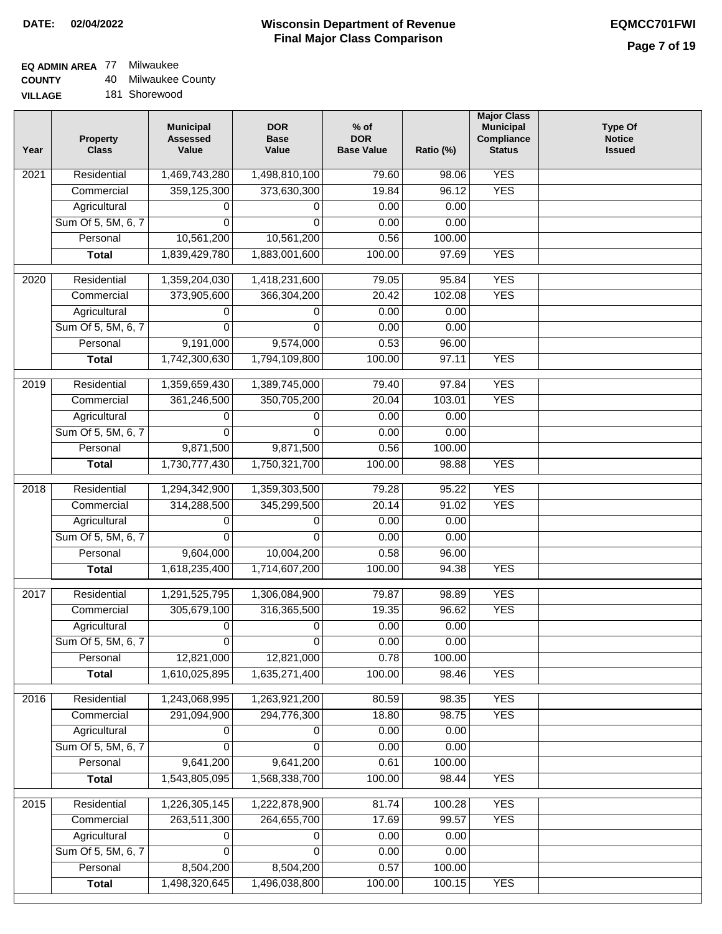## **EQ ADMIN AREA** 77 Milwaukee

**COUNTY** 40 Milwaukee County

**VILLAGE** 181 Shorewood

| Year | <b>Property</b><br><b>Class</b> | <b>Municipal</b><br><b>Assessed</b><br>Value | <b>DOR</b><br><b>Base</b><br>Value | $%$ of<br><b>DOR</b><br><b>Base Value</b> | Ratio (%) | <b>Major Class</b><br><b>Municipal</b><br>Compliance<br><b>Status</b> | <b>Type Of</b><br><b>Notice</b><br><b>Issued</b> |
|------|---------------------------------|----------------------------------------------|------------------------------------|-------------------------------------------|-----------|-----------------------------------------------------------------------|--------------------------------------------------|
| 2021 | Residential                     | 1,469,743,280                                | 1,498,810,100                      | 79.60                                     | 98.06     | <b>YES</b>                                                            |                                                  |
|      | Commercial                      | 359,125,300                                  | 373,630,300                        | 19.84                                     | 96.12     | <b>YES</b>                                                            |                                                  |
|      | Agricultural                    | 0                                            | 0                                  | 0.00                                      | 0.00      |                                                                       |                                                  |
|      | Sum Of 5, 5M, 6, 7              | 0                                            | $\Omega$                           | 0.00                                      | 0.00      |                                                                       |                                                  |
|      | Personal                        | 10,561,200                                   | 10,561,200                         | 0.56                                      | 100.00    |                                                                       |                                                  |
|      | <b>Total</b>                    | 1,839,429,780                                | 1,883,001,600                      | 100.00                                    | 97.69     | <b>YES</b>                                                            |                                                  |
| 2020 | Residential                     | 1,359,204,030                                | 1,418,231,600                      | 79.05                                     | 95.84     | <b>YES</b>                                                            |                                                  |
|      | Commercial                      | 373,905,600                                  | 366,304,200                        | 20.42                                     | 102.08    | <b>YES</b>                                                            |                                                  |
|      | Agricultural                    | 0                                            | 0                                  | 0.00                                      | 0.00      |                                                                       |                                                  |
|      | Sum Of 5, 5M, 6, 7              | 0                                            | $\Omega$                           | 0.00                                      | 0.00      |                                                                       |                                                  |
|      | Personal                        | 9,191,000                                    | 9,574,000                          | 0.53                                      | 96.00     |                                                                       |                                                  |
|      | <b>Total</b>                    | 1,742,300,630                                | 1,794,109,800                      | 100.00                                    | 97.11     | <b>YES</b>                                                            |                                                  |
| 2019 | Residential                     | 1,359,659,430                                | 1,389,745,000                      | 79.40                                     | 97.84     | <b>YES</b>                                                            |                                                  |
|      | Commercial                      | 361,246,500                                  | 350,705,200                        | 20.04                                     | 103.01    | <b>YES</b>                                                            |                                                  |
|      | Agricultural                    | 0                                            | 0                                  | 0.00                                      | 0.00      |                                                                       |                                                  |
|      | Sum Of 5, 5M, 6, 7              | 0                                            | $\Omega$                           | 0.00                                      | 0.00      |                                                                       |                                                  |
|      | Personal                        | 9,871,500                                    | 9,871,500                          | 0.56                                      | 100.00    |                                                                       |                                                  |
|      | <b>Total</b>                    | 1,730,777,430                                | 1,750,321,700                      | 100.00                                    | 98.88     | <b>YES</b>                                                            |                                                  |
|      |                                 |                                              |                                    |                                           |           |                                                                       |                                                  |
| 2018 | Residential                     | 1,294,342,900                                | 1,359,303,500                      | 79.28                                     | 95.22     | <b>YES</b>                                                            |                                                  |
|      | Commercial                      | 314,288,500                                  | 345,299,500                        | 20.14                                     | 91.02     | <b>YES</b>                                                            |                                                  |
|      | Agricultural                    | 0                                            | 0                                  | 0.00                                      | 0.00      |                                                                       |                                                  |
|      | Sum Of 5, 5M, 6, 7              | 0                                            | $\Omega$                           | 0.00                                      | 0.00      |                                                                       |                                                  |
|      | Personal                        | 9,604,000                                    | 10,004,200                         | 0.58                                      | 96.00     |                                                                       |                                                  |
|      | <b>Total</b>                    | 1,618,235,400                                | 1,714,607,200                      | 100.00                                    | 94.38     | <b>YES</b>                                                            |                                                  |
| 2017 | Residential                     | 1,291,525,795                                | 1,306,084,900                      | 79.87                                     | 98.89     | <b>YES</b>                                                            |                                                  |
|      | Commercial                      | 305,679,100                                  | 316,365,500                        | 19.35                                     | 96.62     | <b>YES</b>                                                            |                                                  |
|      | Agricultural                    | 0                                            | 0                                  | 0.00                                      | 0.00      |                                                                       |                                                  |
|      | Sum Of 5, 5M, 6, 7              | 0                                            | 0                                  | 0.00                                      | 0.00      |                                                                       |                                                  |
|      | Personal                        | 12,821,000                                   | 12,821,000                         | 0.78                                      | 100.00    |                                                                       |                                                  |
|      | <b>Total</b>                    | 1,610,025,895                                | 1,635,271,400                      | 100.00                                    | 98.46     | <b>YES</b>                                                            |                                                  |
| 2016 | Residential                     | 1,243,068,995                                | 1,263,921,200                      | 80.59                                     | 98.35     | <b>YES</b>                                                            |                                                  |
|      | Commercial                      | 291,094,900                                  | 294,776,300                        | 18.80                                     | 98.75     | <b>YES</b>                                                            |                                                  |
|      | Agricultural                    | 0                                            | 0                                  | 0.00                                      | 0.00      |                                                                       |                                                  |
|      | Sum Of 5, 5M, 6, 7              | 0                                            | $\Omega$                           | 0.00                                      | 0.00      |                                                                       |                                                  |
|      | Personal                        | 9,641,200                                    | 9,641,200                          | 0.61                                      | 100.00    |                                                                       |                                                  |
|      | <b>Total</b>                    | 1,543,805,095                                | 1,568,338,700                      | 100.00                                    | 98.44     | <b>YES</b>                                                            |                                                  |
| 2015 | Residential                     | 1,226,305,145                                | 1,222,878,900                      | 81.74                                     | 100.28    | <b>YES</b>                                                            |                                                  |
|      | Commercial                      | 263,511,300                                  | 264,655,700                        | 17.69                                     | 99.57     | <b>YES</b>                                                            |                                                  |
|      | Agricultural                    | 0                                            | 0                                  | 0.00                                      | 0.00      |                                                                       |                                                  |
|      | Sum Of 5, 5M, 6, 7              | 0                                            | $\Omega$                           | 0.00                                      | 0.00      |                                                                       |                                                  |
|      | Personal                        | 8,504,200                                    | 8,504,200                          | 0.57                                      | 100.00    |                                                                       |                                                  |
|      | <b>Total</b>                    | 1,498,320,645                                | 1,496,038,800                      | 100.00                                    | 100.15    | <b>YES</b>                                                            |                                                  |
|      |                                 |                                              |                                    |                                           |           |                                                                       |                                                  |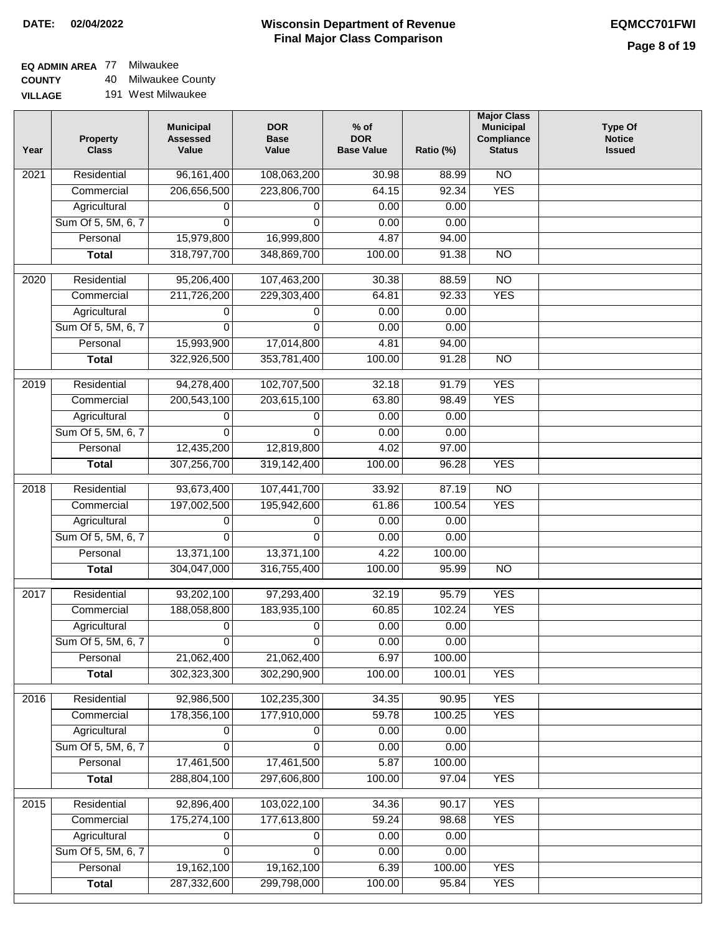#### **Wisconsin Department of Revenue Final Major Class Comparison DATE: 02/04/2022 EQMCC701FWI**

٦

# **EQ ADMIN AREA** 77 Milwaukee

**COUNTY VILLAGE** 40 Milwaukee County

| ЭE | 191 West Milwaukee |
|----|--------------------|
|    |                    |

| Year             | <b>Property</b><br><b>Class</b> | <b>Municipal</b><br><b>Assessed</b><br>Value | <b>DOR</b><br><b>Base</b><br>Value | $%$ of<br><b>DOR</b><br><b>Base Value</b> | Ratio (%) | <b>Major Class</b><br><b>Municipal</b><br>Compliance<br><b>Status</b> | <b>Type Of</b><br><b>Notice</b><br><b>Issued</b> |
|------------------|---------------------------------|----------------------------------------------|------------------------------------|-------------------------------------------|-----------|-----------------------------------------------------------------------|--------------------------------------------------|
| 2021             | Residential                     | 96, 161, 400                                 | 108,063,200                        | 30.98                                     | 88.99     | <b>NO</b>                                                             |                                                  |
|                  | Commercial                      | 206,656,500                                  | 223,806,700                        | 64.15                                     | 92.34     | <b>YES</b>                                                            |                                                  |
|                  | Agricultural                    | 0                                            | 0                                  | 0.00                                      | 0.00      |                                                                       |                                                  |
|                  | Sum Of 5, 5M, 6, 7              | 0                                            | $\Omega$                           | 0.00                                      | 0.00      |                                                                       |                                                  |
|                  | Personal                        | 15,979,800                                   | 16,999,800                         | 4.87                                      | 94.00     |                                                                       |                                                  |
|                  | <b>Total</b>                    | 318,797,700                                  | 348,869,700                        | 100.00                                    | 91.38     | $\overline{NO}$                                                       |                                                  |
| 2020             | Residential                     | 95,206,400                                   | 107,463,200                        | 30.38                                     | 88.59     | $\overline{10}$                                                       |                                                  |
|                  | Commercial                      | 211,726,200                                  | 229,303,400                        | 64.81                                     | 92.33     | <b>YES</b>                                                            |                                                  |
|                  | Agricultural                    | 0                                            | 0                                  | 0.00                                      | 0.00      |                                                                       |                                                  |
|                  | Sum Of 5, 5M, 6, 7              | $\Omega$                                     | $\Omega$                           | 0.00                                      | 0.00      |                                                                       |                                                  |
|                  | Personal                        | 15,993,900                                   | 17,014,800                         | 4.81                                      | 94.00     |                                                                       |                                                  |
|                  | <b>Total</b>                    | 322,926,500                                  | 353,781,400                        | 100.00                                    | 91.28     | <b>NO</b>                                                             |                                                  |
|                  |                                 |                                              |                                    |                                           |           |                                                                       |                                                  |
| $\frac{2019}{ }$ | Residential                     | 94,278,400                                   | 102,707,500                        | 32.18                                     | 91.79     | <b>YES</b>                                                            |                                                  |
|                  | Commercial                      | 200,543,100                                  | 203,615,100                        | 63.80                                     | 98.49     | <b>YES</b>                                                            |                                                  |
|                  | Agricultural                    | 0                                            | 0                                  | 0.00                                      | 0.00      |                                                                       |                                                  |
|                  | Sum Of 5, 5M, 6, 7              | $\Omega$                                     | $\Omega$                           | 0.00                                      | 0.00      |                                                                       |                                                  |
|                  | Personal                        | 12,435,200                                   | 12,819,800                         | 4.02                                      | 97.00     |                                                                       |                                                  |
|                  | <b>Total</b>                    | 307,256,700                                  | 319,142,400                        | 100.00                                    | 96.28     | <b>YES</b>                                                            |                                                  |
| 2018             | Residential                     | 93,673,400                                   | 107,441,700                        | 33.92                                     | 87.19     | $\overline{NO}$                                                       |                                                  |
|                  | Commercial                      | 197,002,500                                  | 195,942,600                        | 61.86                                     | 100.54    | <b>YES</b>                                                            |                                                  |
|                  | Agricultural                    | 0                                            | 0                                  | 0.00                                      | 0.00      |                                                                       |                                                  |
|                  | Sum Of 5, 5M, 6, 7              | $\Omega$                                     | $\Omega$                           | 0.00                                      | 0.00      |                                                                       |                                                  |
|                  | Personal                        | 13,371,100                                   | 13,371,100                         | 4.22                                      | 100.00    |                                                                       |                                                  |
|                  | <b>Total</b>                    | 304,047,000                                  | 316,755,400                        | 100.00                                    | 95.99     | $\overline{10}$                                                       |                                                  |
| 2017             | Residential                     | 93,202,100                                   | 97,293,400                         | 32.19                                     | 95.79     | <b>YES</b>                                                            |                                                  |
|                  | Commercial                      | 188,058,800                                  | 183,935,100                        | 60.85                                     | 102.24    | <b>YES</b>                                                            |                                                  |
|                  | Agricultural                    | 0                                            | 0                                  | 0.00                                      | 0.00      |                                                                       |                                                  |
|                  | Sum Of 5, 5M, 6, 7              | $\overline{0}$                               | 0                                  | 0.00                                      | 0.00      |                                                                       |                                                  |
|                  | Personal                        | 21,062,400                                   | 21,062,400                         | 6.97                                      | 100.00    |                                                                       |                                                  |
|                  | <b>Total</b>                    | 302,323,300                                  | 302,290,900                        | 100.00                                    | 100.01    | <b>YES</b>                                                            |                                                  |
| 2016             | Residential                     | 92,986,500                                   | 102,235,300                        | 34.35                                     | 90.95     | <b>YES</b>                                                            |                                                  |
|                  | Commercial                      | 178,356,100                                  | 177,910,000                        | 59.78                                     | 100.25    | <b>YES</b>                                                            |                                                  |
|                  | Agricultural                    | 0                                            | 0                                  | 0.00                                      | 0.00      |                                                                       |                                                  |
|                  | Sum Of 5, 5M, 6, 7              | 0                                            | 0                                  | 0.00                                      | 0.00      |                                                                       |                                                  |
|                  | Personal                        | 17,461,500                                   | 17,461,500                         | 5.87                                      | 100.00    |                                                                       |                                                  |
|                  | <b>Total</b>                    | 288,804,100                                  | 297,606,800                        | 100.00                                    | 97.04     | <b>YES</b>                                                            |                                                  |
| 2015             | Residential                     | 92,896,400                                   | 103,022,100                        | 34.36                                     | 90.17     | <b>YES</b>                                                            |                                                  |
|                  | Commercial                      | 175,274,100                                  | 177,613,800                        | 59.24                                     | 98.68     | <b>YES</b>                                                            |                                                  |
|                  | Agricultural                    | 0                                            | 0                                  | 0.00                                      | 0.00      |                                                                       |                                                  |
|                  | Sum Of 5, 5M, 6, 7              | 0                                            | $\mathbf 0$                        | 0.00                                      | 0.00      |                                                                       |                                                  |
|                  | Personal                        | 19,162,100                                   | 19,162,100                         | 6.39                                      | 100.00    | <b>YES</b>                                                            |                                                  |
|                  | <b>Total</b>                    | 287,332,600                                  | 299,798,000                        | 100.00                                    | 95.84     | <b>YES</b>                                                            |                                                  |
|                  |                                 |                                              |                                    |                                           |           |                                                                       |                                                  |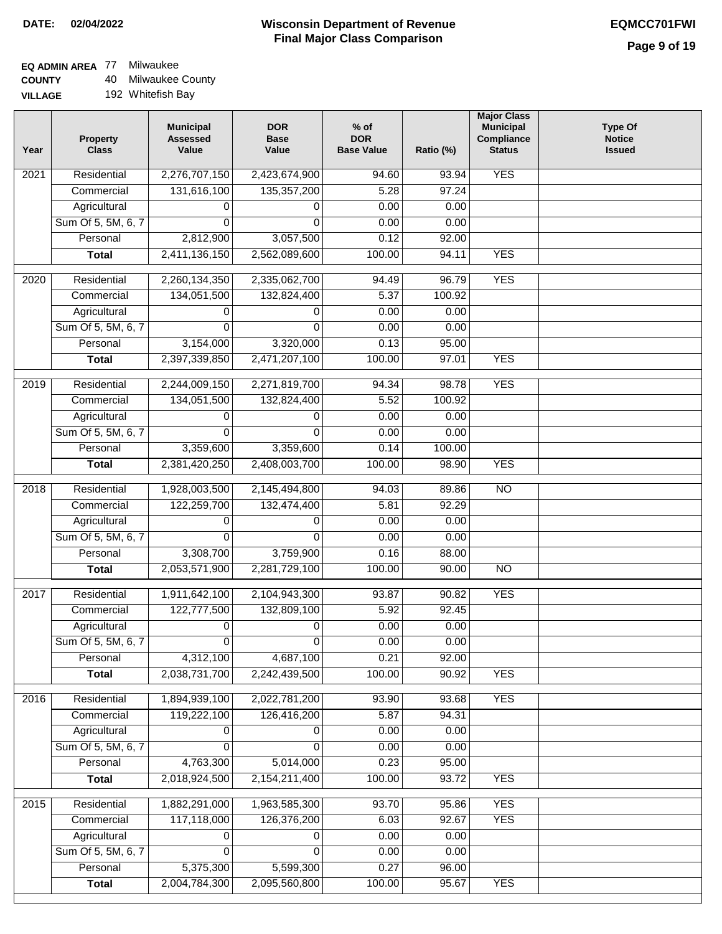## **EQ ADMIN AREA** 77 Milwaukee

**COUNTY VILLA** 40 Milwaukee County

| Year              | <b>Property</b><br><b>Class</b> | <b>Municipal</b><br><b>Assessed</b><br>Value | <b>DOR</b><br><b>Base</b><br>Value | $%$ of<br><b>DOR</b><br><b>Base Value</b> | Ratio (%) | <b>Major Class</b><br><b>Municipal</b><br>Compliance<br><b>Status</b> | <b>Type Of</b><br><b>Notice</b><br><b>Issued</b> |
|-------------------|---------------------------------|----------------------------------------------|------------------------------------|-------------------------------------------|-----------|-----------------------------------------------------------------------|--------------------------------------------------|
| 2021              | Residential                     | 2,276,707,150                                | 2,423,674,900                      | 94.60                                     | 93.94     | <b>YES</b>                                                            |                                                  |
|                   | Commercial                      | 131,616,100                                  | 135, 357, 200                      | 5.28                                      | 97.24     |                                                                       |                                                  |
|                   | Agricultural                    | 0                                            | 0                                  | 0.00                                      | 0.00      |                                                                       |                                                  |
|                   | Sum Of 5, 5M, 6, 7              | 0                                            | 0                                  | 0.00                                      | 0.00      |                                                                       |                                                  |
|                   | Personal                        | 2,812,900                                    | 3,057,500                          | 0.12                                      | 92.00     |                                                                       |                                                  |
|                   | <b>Total</b>                    | 2,411,136,150                                | 2,562,089,600                      | 100.00                                    | 94.11     | <b>YES</b>                                                            |                                                  |
| 2020              | Residential                     | 2,260,134,350                                | 2,335,062,700                      | 94.49                                     | 96.79     | <b>YES</b>                                                            |                                                  |
|                   | Commercial                      | 134,051,500                                  | 132,824,400                        | 5.37                                      | 100.92    |                                                                       |                                                  |
|                   | Agricultural                    | 0                                            | 0                                  | 0.00                                      | 0.00      |                                                                       |                                                  |
|                   | Sum Of 5, 5M, 6, 7              | 0                                            | $\Omega$                           | 0.00                                      | 0.00      |                                                                       |                                                  |
|                   | Personal                        | 3,154,000                                    | 3,320,000                          | 0.13                                      | 95.00     |                                                                       |                                                  |
|                   | <b>Total</b>                    | 2,397,339,850                                | 2,471,207,100                      | 100.00                                    | 97.01     | <b>YES</b>                                                            |                                                  |
|                   |                                 |                                              |                                    |                                           |           |                                                                       |                                                  |
| 2019              | Residential                     | 2,244,009,150                                | 2,271,819,700                      | 94.34                                     | 98.78     | <b>YES</b>                                                            |                                                  |
|                   | Commercial                      | 134,051,500                                  | 132,824,400                        | 5.52                                      | 100.92    |                                                                       |                                                  |
|                   | Agricultural                    | 0                                            | 0                                  | 0.00                                      | 0.00      |                                                                       |                                                  |
|                   | Sum Of 5, 5M, 6, 7              | 0                                            | 0                                  | 0.00                                      | 0.00      |                                                                       |                                                  |
|                   | Personal                        | 3,359,600                                    | 3,359,600                          | 0.14                                      | 100.00    |                                                                       |                                                  |
|                   | <b>Total</b>                    | 2,381,420,250                                | 2,408,003,700                      | 100.00                                    | 98.90     | <b>YES</b>                                                            |                                                  |
| $\overline{2018}$ | Residential                     | 1,928,003,500                                | 2,145,494,800                      | 94.03                                     | 89.86     | $\overline{NO}$                                                       |                                                  |
|                   | Commercial                      | 122,259,700                                  | 132,474,400                        | 5.81                                      | 92.29     |                                                                       |                                                  |
|                   | Agricultural                    | 0                                            | 0                                  | 0.00                                      | 0.00      |                                                                       |                                                  |
|                   | Sum Of 5, 5M, 6, 7              | $\Omega$                                     | $\Omega$                           | 0.00                                      | 0.00      |                                                                       |                                                  |
|                   | Personal                        | 3,308,700                                    | 3,759,900                          | 0.16                                      | 88.00     |                                                                       |                                                  |
|                   | <b>Total</b>                    | 2,053,571,900                                | 2,281,729,100                      | 100.00                                    | 90.00     | $\overline{10}$                                                       |                                                  |
| 2017              | Residential                     | 1,911,642,100                                | 2,104,943,300                      | 93.87                                     | 90.82     | <b>YES</b>                                                            |                                                  |
|                   | Commercial                      | 122,777,500                                  | 132,809,100                        | 5.92                                      | 92.45     |                                                                       |                                                  |
|                   | Agricultural                    | 0                                            | 0                                  | 0.00                                      | 0.00      |                                                                       |                                                  |
|                   | Sum Of 5, 5M, 6, 7              | 0                                            | 0                                  | 0.00                                      | 0.00      |                                                                       |                                                  |
|                   | Personal                        | 4,312,100                                    | 4,687,100                          | 0.21                                      | 92.00     |                                                                       |                                                  |
|                   | <b>Total</b>                    | 2,038,731,700                                | 2,242,439,500                      | 100.00                                    | 90.92     | <b>YES</b>                                                            |                                                  |
|                   |                                 |                                              |                                    |                                           |           |                                                                       |                                                  |
| 2016              | Residential                     | 1,894,939,100                                | 2,022,781,200                      | 93.90                                     | 93.68     | <b>YES</b>                                                            |                                                  |
|                   | Commercial                      | 119,222,100                                  | 126,416,200                        | 5.87                                      | 94.31     |                                                                       |                                                  |
|                   | Agricultural                    | 0                                            | 0                                  | 0.00                                      | 0.00      |                                                                       |                                                  |
|                   | Sum Of 5, 5M, 6, 7              | 0                                            | 0                                  | 0.00                                      | 0.00      |                                                                       |                                                  |
|                   | Personal                        | 4,763,300                                    | 5,014,000                          | 0.23                                      | 95.00     |                                                                       |                                                  |
|                   | <b>Total</b>                    | 2,018,924,500                                | 2,154,211,400                      | 100.00                                    | 93.72     | <b>YES</b>                                                            |                                                  |
| 2015              | Residential                     | 1,882,291,000                                | 1,963,585,300                      | 93.70                                     | 95.86     | <b>YES</b>                                                            |                                                  |
|                   | Commercial                      | 117,118,000                                  | 126,376,200                        | 6.03                                      | 92.67     | <b>YES</b>                                                            |                                                  |
|                   | Agricultural                    | 0                                            | 0                                  | 0.00                                      | 0.00      |                                                                       |                                                  |
|                   | Sum Of 5, 5M, 6, 7              | 0                                            | 0                                  | 0.00                                      | 0.00      |                                                                       |                                                  |
|                   | Personal                        | 5,375,300                                    | 5,599,300                          | 0.27                                      | 96.00     |                                                                       |                                                  |
|                   | <b>Total</b>                    | 2,004,784,300                                | 2,095,560,800                      | 100.00                                    | 95.67     | <b>YES</b>                                                            |                                                  |
|                   |                                 |                                              |                                    |                                           |           |                                                                       |                                                  |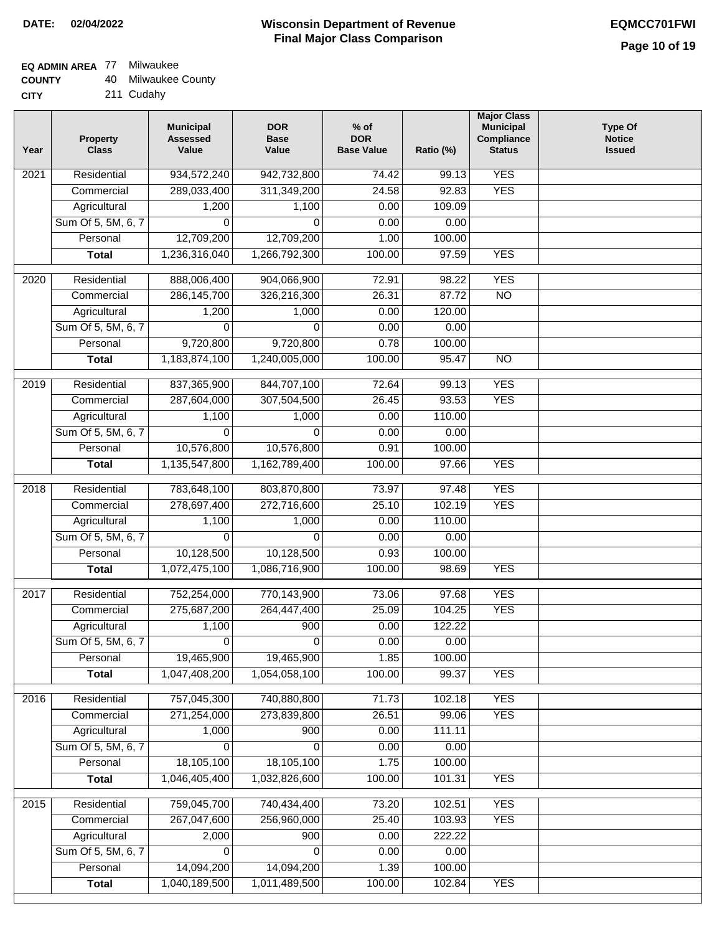## **EQ ADMIN AREA** 77 Milwaukee

| <b>COUNTY</b> | 40 Milwaukee County |
|---------------|---------------------|
|---------------|---------------------|

**CITY** 211 Cudahy

| Year              | <b>Property</b><br><b>Class</b> | <b>Municipal</b><br><b>Assessed</b><br>Value | <b>DOR</b><br><b>Base</b><br>Value | % of<br><b>DOR</b><br><b>Base Value</b> | Ratio (%)        | <b>Major Class</b><br><b>Municipal</b><br>Compliance<br><b>Status</b> | <b>Type Of</b><br><b>Notice</b><br><b>Issued</b> |
|-------------------|---------------------------------|----------------------------------------------|------------------------------------|-----------------------------------------|------------------|-----------------------------------------------------------------------|--------------------------------------------------|
| $\overline{202}1$ | Residential                     | 934,572,240                                  | 942,732,800                        | 74.42                                   | 99.13            | <b>YES</b>                                                            |                                                  |
|                   | Commercial                      | 289,033,400                                  | 311,349,200                        | 24.58                                   | 92.83            | <b>YES</b>                                                            |                                                  |
|                   | Agricultural                    | 1,200                                        | 1,100                              | 0.00                                    | 109.09           |                                                                       |                                                  |
|                   | Sum Of 5, 5M, 6, 7              | $\Omega$                                     | $\Omega$                           | 0.00                                    | 0.00             |                                                                       |                                                  |
|                   | Personal                        | 12,709,200                                   | 12,709,200                         | 1.00                                    | 100.00           |                                                                       |                                                  |
|                   | <b>Total</b>                    | 1,236,316,040                                | 1,266,792,300                      | 100.00                                  | 97.59            | <b>YES</b>                                                            |                                                  |
| $\overline{2020}$ | Residential                     | 888,006,400                                  | 904,066,900                        | 72.91                                   | 98.22            | <b>YES</b>                                                            |                                                  |
|                   | Commercial                      | 286, 145, 700                                | 326,216,300                        | 26.31                                   | 87.72            | $\overline{NO}$                                                       |                                                  |
|                   | Agricultural                    | 1,200                                        | 1,000                              | 0.00                                    | 120.00           |                                                                       |                                                  |
|                   | Sum Of 5, 5M, 6, 7              | $\Omega$                                     | $\Omega$                           | 0.00                                    | 0.00             |                                                                       |                                                  |
|                   | Personal                        | 9,720,800                                    | 9,720,800                          | 0.78                                    | 100.00           |                                                                       |                                                  |
|                   | <b>Total</b>                    | 1,183,874,100                                | 1,240,005,000                      | 100.00                                  | 95.47            | $\overline{NO}$                                                       |                                                  |
| 2019              | Residential                     | 837, 365, 900                                | 844,707,100                        | 72.64                                   | 99.13            | <b>YES</b>                                                            |                                                  |
|                   | Commercial                      | 287,604,000                                  | 307,504,500                        | 26.45                                   | 93.53            | <b>YES</b>                                                            |                                                  |
|                   | Agricultural                    | 1,100                                        | 1,000                              | 0.00                                    | 110.00           |                                                                       |                                                  |
|                   | Sum Of 5, 5M, 6, 7              | 0                                            | $\Omega$                           | 0.00                                    | 0.00             |                                                                       |                                                  |
|                   | Personal                        | 10,576,800                                   | 10,576,800                         | 0.91                                    | 100.00           |                                                                       |                                                  |
|                   | <b>Total</b>                    | 1,135,547,800                                | 1,162,789,400                      | 100.00                                  | 97.66            | <b>YES</b>                                                            |                                                  |
| 2018              | Residential                     | 783,648,100                                  | 803,870,800                        | 73.97                                   | 97.48            | <b>YES</b>                                                            |                                                  |
|                   | Commercial                      | 278,697,400                                  | 272,716,600                        | 25.10                                   | 102.19           | <b>YES</b>                                                            |                                                  |
|                   | Agricultural                    | 1,100                                        | 1,000                              | 0.00                                    | 110.00           |                                                                       |                                                  |
|                   | Sum Of 5, 5M, 6, 7              | 0                                            | 0                                  | 0.00                                    | 0.00             |                                                                       |                                                  |
|                   | Personal                        | 10,128,500                                   | 10,128,500                         | 0.93                                    | 100.00           |                                                                       |                                                  |
|                   | <b>Total</b>                    | 1,072,475,100                                | 1,086,716,900                      | 100.00                                  | 98.69            | <b>YES</b>                                                            |                                                  |
| 2017              | Residential                     | 752,254,000                                  | 770,143,900                        | 73.06                                   | 97.68            | <b>YES</b>                                                            |                                                  |
|                   | Commercial                      | 275,687,200                                  | 264,447,400                        | 25.09                                   | 104.25           | <b>YES</b>                                                            |                                                  |
|                   | Agricultural                    | 1,100                                        | 900                                | 0.00                                    | 122.22           |                                                                       |                                                  |
|                   | Sum Of 5, 5M, 6, 7              | $\overline{\mathsf{o}}$                      | 0                                  | 0.00                                    | 0.00             |                                                                       |                                                  |
|                   | Personal                        | 19,465,900                                   | 19,465,900                         | 1.85                                    | 100.00           |                                                                       |                                                  |
|                   | <b>Total</b>                    | 1,047,408,200                                | 1,054,058,100                      | 100.00                                  | 99.37            | <b>YES</b>                                                            |                                                  |
| 2016              | Residential                     | 757,045,300                                  | 740,880,800                        | 71.73                                   | 102.18           | <b>YES</b>                                                            |                                                  |
|                   | Commercial                      | 271,254,000                                  | 273,839,800                        | 26.51                                   | 99.06            | <b>YES</b>                                                            |                                                  |
|                   | Agricultural                    | 1,000                                        | 900                                | 0.00                                    | 111.11           |                                                                       |                                                  |
|                   | Sum Of 5, 5M, 6, 7              | $\Omega$                                     | $\Omega$                           | 0.00                                    | 0.00             |                                                                       |                                                  |
|                   | Personal                        | 18,105,100                                   | 18,105,100                         | 1.75                                    | 100.00           |                                                                       |                                                  |
|                   | <b>Total</b>                    | 1,046,405,400                                | 1,032,826,600                      | 100.00                                  | 101.31           | <b>YES</b>                                                            |                                                  |
|                   |                                 |                                              |                                    |                                         |                  |                                                                       |                                                  |
| 2015              | Residential                     | 759,045,700                                  | 740,434,400                        | 73.20                                   | 102.51           | <b>YES</b>                                                            |                                                  |
|                   | Commercial                      | 267,047,600                                  | 256,960,000                        | 25.40                                   | 103.93           | <b>YES</b>                                                            |                                                  |
|                   | Agricultural                    | 2,000                                        | 900                                | 0.00                                    | 222.22           |                                                                       |                                                  |
|                   | Sum Of 5, 5M, 6, 7<br>Personal  | 0                                            | 0                                  | 0.00                                    | 0.00             |                                                                       |                                                  |
|                   |                                 | 14,094,200<br>1,040,189,500                  | 14,094,200<br>1,011,489,500        | 1.39<br>100.00                          | 100.00<br>102.84 | <b>YES</b>                                                            |                                                  |
|                   | <b>Total</b>                    |                                              |                                    |                                         |                  |                                                                       |                                                  |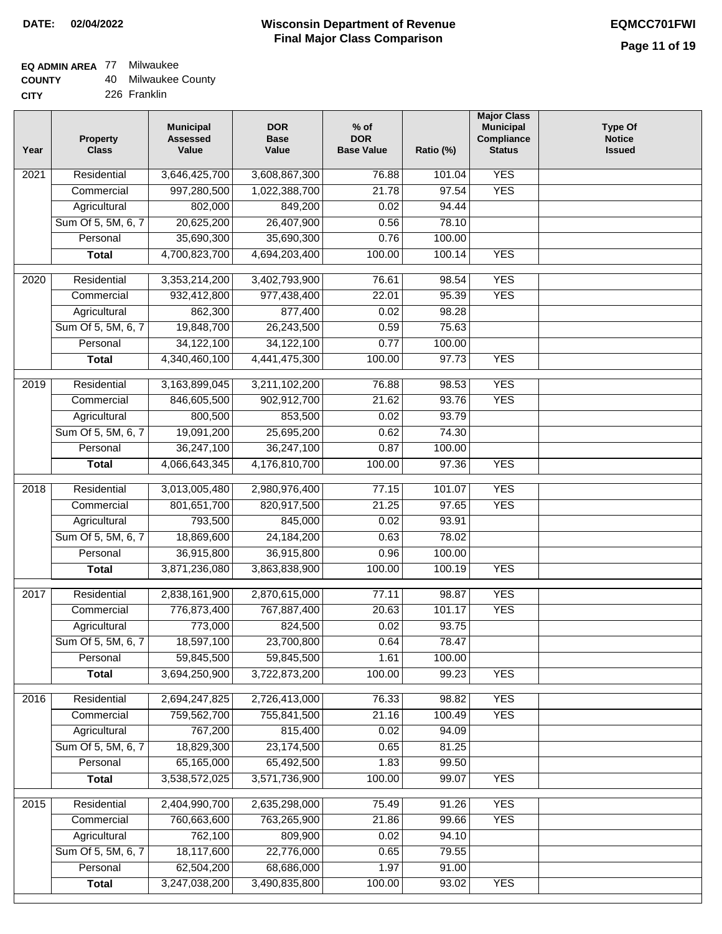| <b>COUNTY</b> |  | 40 Milwaukee County |
|---------------|--|---------------------|
|---------------|--|---------------------|

| <b>CITY</b> | 226 Franklin |
|-------------|--------------|
|             |              |

| Year              | <b>Property</b><br><b>Class</b>    | <b>Municipal</b><br><b>Assessed</b><br>Value | <b>DOR</b><br><b>Base</b><br>Value | % of<br><b>DOR</b><br><b>Base Value</b> | Ratio (%)       | <b>Major Class</b><br><b>Municipal</b><br>Compliance<br><b>Status</b> | <b>Type Of</b><br><b>Notice</b><br><b>Issued</b> |
|-------------------|------------------------------------|----------------------------------------------|------------------------------------|-----------------------------------------|-----------------|-----------------------------------------------------------------------|--------------------------------------------------|
| $\overline{202}1$ | Residential                        | 3,646,425,700                                | 3,608,867,300                      | 76.88                                   | 101.04          | <b>YES</b>                                                            |                                                  |
|                   | Commercial                         | 997,280,500                                  | 1,022,388,700                      | 21.78                                   | 97.54           | <b>YES</b>                                                            |                                                  |
|                   | Agricultural                       | 802,000                                      | 849,200                            | 0.02                                    | 94.44           |                                                                       |                                                  |
|                   | Sum Of 5, 5M, 6, 7                 | 20,625,200                                   | 26,407,900                         | 0.56                                    | 78.10           |                                                                       |                                                  |
|                   | Personal                           | 35,690,300                                   | 35,690,300                         | 0.76                                    | 100.00          |                                                                       |                                                  |
|                   | <b>Total</b>                       | 4,700,823,700                                | 4,694,203,400                      | 100.00                                  | 100.14          | <b>YES</b>                                                            |                                                  |
| $\overline{2020}$ | Residential                        | 3,353,214,200                                | 3,402,793,900                      | 76.61                                   | 98.54           | <b>YES</b>                                                            |                                                  |
|                   | Commercial                         | 932,412,800                                  | 977,438,400                        | 22.01                                   | 95.39           | <b>YES</b>                                                            |                                                  |
|                   | Agricultural                       | 862,300                                      | 877,400                            | $\overline{0.02}$                       | 98.28           |                                                                       |                                                  |
|                   | Sum Of 5, 5M, 6, 7                 | 19,848,700                                   | 26,243,500                         | 0.59                                    | 75.63           |                                                                       |                                                  |
|                   | Personal                           | 34,122,100                                   | 34,122,100                         | 0.77                                    | 100.00          |                                                                       |                                                  |
|                   | <b>Total</b>                       | 4,340,460,100                                | 4,441,475,300                      | 100.00                                  | 97.73           | <b>YES</b>                                                            |                                                  |
| $\frac{1}{2019}$  | Residential                        | 3,163,899,045                                | 3,211,102,200                      | 76.88                                   | 98.53           | <b>YES</b>                                                            |                                                  |
|                   | Commercial                         | 846,605,500                                  | 902,912,700                        | 21.62                                   | 93.76           | <b>YES</b>                                                            |                                                  |
|                   | Agricultural                       | 800,500                                      | 853,500                            | 0.02                                    | 93.79           |                                                                       |                                                  |
|                   | Sum Of 5, 5M, 6, 7                 | 19,091,200                                   | 25,695,200                         | 0.62                                    | 74.30           |                                                                       |                                                  |
|                   | Personal                           | 36,247,100                                   | 36,247,100                         | 0.87                                    | 100.00          |                                                                       |                                                  |
|                   | <b>Total</b>                       | 4,066,643,345                                | 4,176,810,700                      | 100.00                                  | 97.36           | <b>YES</b>                                                            |                                                  |
| 2018              | Residential                        | 3,013,005,480                                | 2,980,976,400                      | 77.15                                   | 101.07          | <b>YES</b>                                                            |                                                  |
|                   | Commercial                         | 801,651,700                                  | 820,917,500                        | 21.25                                   | 97.65           | <b>YES</b>                                                            |                                                  |
|                   | Agricultural                       | 793,500                                      | 845,000                            | 0.02                                    | 93.91           |                                                                       |                                                  |
|                   | Sum Of 5, 5M, 6, 7                 | 18,869,600                                   | 24, 184, 200                       | 0.63                                    | 78.02           |                                                                       |                                                  |
|                   | Personal                           | 36,915,800                                   | 36,915,800                         | 0.96                                    | 100.00          |                                                                       |                                                  |
|                   | <b>Total</b>                       | 3,871,236,080                                | 3,863,838,900                      | 100.00                                  | 100.19          | <b>YES</b>                                                            |                                                  |
|                   |                                    |                                              |                                    |                                         |                 |                                                                       |                                                  |
| $\overline{2017}$ | Residential                        | 2,838,161,900                                | 2,870,615,000                      | 77.11                                   | 98.87           | <b>YES</b>                                                            |                                                  |
|                   | Commercial                         | 776,873,400<br>773,000                       | 767,887,400<br>824,500             | 20.63                                   | 101.17<br>93.75 | <b>YES</b>                                                            |                                                  |
|                   | Agricultural<br>Sum Of 5, 5M, 6, 7 | 18,597,100                                   | 23,700,800                         | 0.02<br>0.64                            | 78.47           |                                                                       |                                                  |
|                   | Personal                           | 59,845,500                                   | 59,845,500                         | 1.61                                    | 100.00          |                                                                       |                                                  |
|                   | <b>Total</b>                       | 3,694,250,900                                | 3,722,873,200                      | 100.00                                  | 99.23           | <b>YES</b>                                                            |                                                  |
| 2016              | Residential                        | 2,694,247,825                                | 2,726,413,000                      | 76.33                                   | 98.82           | <b>YES</b>                                                            |                                                  |
|                   | Commercial                         | 759,562,700                                  | 755,841,500                        | 21.16                                   | 100.49          | <b>YES</b>                                                            |                                                  |
|                   | Agricultural                       | 767,200                                      | 815,400                            | 0.02                                    | 94.09           |                                                                       |                                                  |
|                   | Sum Of 5, 5M, 6, 7                 | 18,829,300                                   | 23,174,500                         | 0.65                                    | 81.25           |                                                                       |                                                  |
|                   | Personal                           | 65,165,000                                   | 65,492,500                         | 1.83                                    | 99.50           |                                                                       |                                                  |
|                   | <b>Total</b>                       | 3,538,572,025                                | 3,571,736,900                      | 100.00                                  | 99.07           | <b>YES</b>                                                            |                                                  |
| 2015              | Residential                        | 2,404,990,700                                | 2,635,298,000                      | 75.49                                   | 91.26           | <b>YES</b>                                                            |                                                  |
|                   | Commercial                         | 760,663,600                                  | 763,265,900                        | 21.86                                   | 99.66           | <b>YES</b>                                                            |                                                  |
|                   | Agricultural                       | 762,100                                      | 809,900                            | 0.02                                    | 94.10           |                                                                       |                                                  |
|                   | Sum Of 5, 5M, 6, 7                 | 18,117,600                                   | 22,776,000                         | 0.65                                    | 79.55           |                                                                       |                                                  |
|                   | Personal                           | 62,504,200                                   | 68,686,000                         | 1.97                                    | 91.00           |                                                                       |                                                  |
|                   | <b>Total</b>                       | 3,247,038,200                                | 3,490,835,800                      | 100.00                                  | 93.02           | <b>YES</b>                                                            |                                                  |
|                   |                                    |                                              |                                    |                                         |                 |                                                                       |                                                  |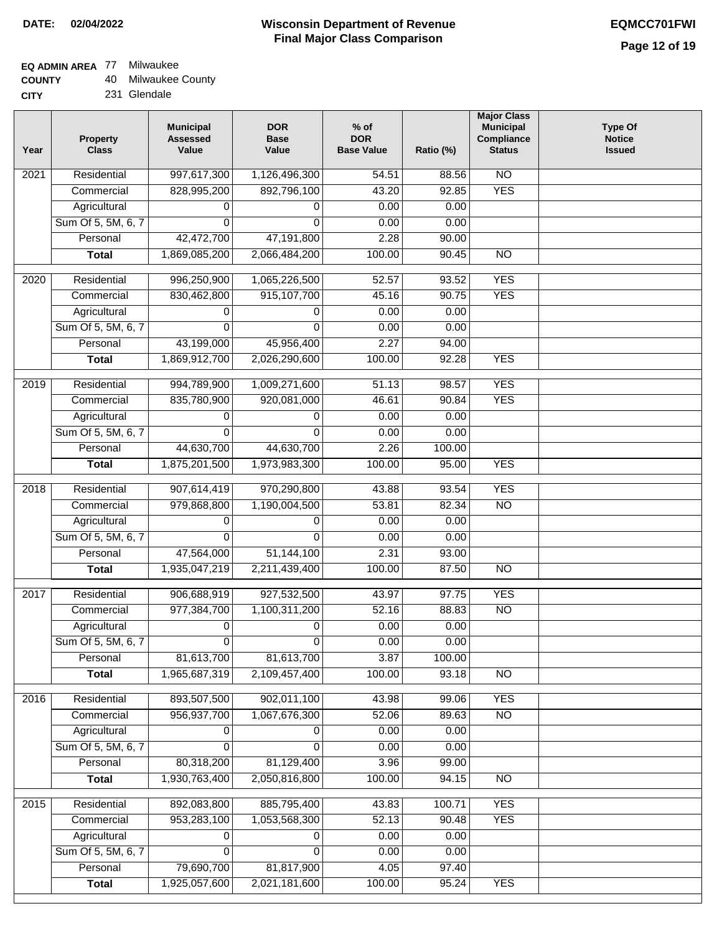## **EQ ADMIN AREA** 77 Milwaukee

| <b>COUNTY</b> | 40 Milwaukee County |
|---------------|---------------------|
|---------------|---------------------|

**CITY** 231 Glendale

| Year              | <b>Property</b><br><b>Class</b> | <b>Municipal</b><br><b>Assessed</b><br>Value | <b>DOR</b><br><b>Base</b><br>Value | $%$ of<br><b>DOR</b><br><b>Base Value</b> | Ratio (%) | <b>Major Class</b><br><b>Municipal</b><br>Compliance<br><b>Status</b> | <b>Type Of</b><br><b>Notice</b><br><b>Issued</b> |
|-------------------|---------------------------------|----------------------------------------------|------------------------------------|-------------------------------------------|-----------|-----------------------------------------------------------------------|--------------------------------------------------|
| 2021              | Residential                     | 997,617,300                                  | 1,126,496,300                      | 54.51                                     | 88.56     | $\overline{NO}$                                                       |                                                  |
|                   | Commercial                      | 828,995,200                                  | 892,796,100                        | 43.20                                     | 92.85     | <b>YES</b>                                                            |                                                  |
|                   | Agricultural                    | 0                                            | 0                                  | 0.00                                      | 0.00      |                                                                       |                                                  |
|                   | Sum Of 5, 5M, 6, 7              | 0                                            | $\Omega$                           | 0.00                                      | 0.00      |                                                                       |                                                  |
|                   | Personal                        | 42,472,700                                   | 47,191,800                         | 2.28                                      | 90.00     |                                                                       |                                                  |
|                   | <b>Total</b>                    | 1,869,085,200                                | 2,066,484,200                      | 100.00                                    | 90.45     | $\overline{NO}$                                                       |                                                  |
| $\overline{2020}$ | Residential                     | 996,250,900                                  | 1,065,226,500                      | 52.57                                     | 93.52     | <b>YES</b>                                                            |                                                  |
|                   | Commercial                      | 830,462,800                                  | 915, 107, 700                      | 45.16                                     | 90.75     | <b>YES</b>                                                            |                                                  |
|                   | Agricultural                    | 0                                            | 0                                  | 0.00                                      | 0.00      |                                                                       |                                                  |
|                   | Sum Of 5, 5M, 6, 7              | 0                                            | $\mathbf{0}$                       | 0.00                                      | 0.00      |                                                                       |                                                  |
|                   | Personal                        | 43,199,000                                   | 45,956,400                         | 2.27                                      | 94.00     |                                                                       |                                                  |
|                   | <b>Total</b>                    | 1,869,912,700                                | 2,026,290,600                      | 100.00                                    | 92.28     | <b>YES</b>                                                            |                                                  |
|                   |                                 |                                              |                                    |                                           |           |                                                                       |                                                  |
| 2019              | Residential                     | 994,789,900                                  | 1,009,271,600                      | 51.13                                     | 98.57     | <b>YES</b>                                                            |                                                  |
|                   | Commercial                      | 835,780,900                                  | 920,081,000                        | 46.61                                     | 90.84     | <b>YES</b>                                                            |                                                  |
|                   | Agricultural                    | 0                                            | 0                                  | 0.00                                      | 0.00      |                                                                       |                                                  |
|                   | Sum Of 5, 5M, 6, 7              | 0                                            | $\Omega$                           | 0.00                                      | 0.00      |                                                                       |                                                  |
|                   | Personal                        | 44,630,700                                   | 44,630,700                         | 2.26                                      | 100.00    |                                                                       |                                                  |
|                   | <b>Total</b>                    | 1,875,201,500                                | 1,973,983,300                      | 100.00                                    | 95.00     | <b>YES</b>                                                            |                                                  |
| 2018              | Residential                     | 907,614,419                                  | 970,290,800                        | 43.88                                     | 93.54     | <b>YES</b>                                                            |                                                  |
|                   | Commercial                      | 979,868,800                                  | 1,190,004,500                      | 53.81                                     | 82.34     | <b>NO</b>                                                             |                                                  |
|                   | Agricultural                    | 0                                            | 0                                  | 0.00                                      | 0.00      |                                                                       |                                                  |
|                   | Sum Of 5, 5M, 6, 7              | 0                                            | $\mathbf 0$                        | 0.00                                      | 0.00      |                                                                       |                                                  |
|                   | Personal                        | 47,564,000                                   | 51,144,100                         | 2.31                                      | 93.00     |                                                                       |                                                  |
|                   | <b>Total</b>                    | 1,935,047,219                                | 2,211,439,400                      | 100.00                                    | 87.50     | NO                                                                    |                                                  |
| 2017              | Residential                     | 906,688,919                                  | 927,532,500                        | 43.97                                     | 97.75     | <b>YES</b>                                                            |                                                  |
|                   | Commercial                      | 977,384,700                                  | 1,100,311,200                      | 52.16                                     | 88.83     | $\overline{NO}$                                                       |                                                  |
|                   | Agricultural                    | 0                                            | 0                                  | 0.00                                      | 0.00      |                                                                       |                                                  |
|                   | Sum Of 5, 5M, 6, 7              |                                              | $\overline{0}$                     | 0.00                                      | 0.00      |                                                                       |                                                  |
|                   | Personal                        | 81,613,700                                   | 81,613,700                         | 3.87                                      | 100.00    |                                                                       |                                                  |
|                   | <b>Total</b>                    | 1,965,687,319                                | 2,109,457,400                      | 100.00                                    | 93.18     | <b>NO</b>                                                             |                                                  |
|                   |                                 |                                              |                                    |                                           |           |                                                                       |                                                  |
| 2016              | Residential                     | 893,507,500                                  | 902,011,100                        | 43.98                                     | 99.06     | <b>YES</b>                                                            |                                                  |
|                   | Commercial                      | 956, 937, 700                                | 1,067,676,300                      | 52.06                                     | 89.63     | $\overline{NO}$                                                       |                                                  |
|                   | Agricultural                    | 0                                            | 0                                  | 0.00                                      | 0.00      |                                                                       |                                                  |
|                   | Sum Of 5, 5M, 6, 7              | 0                                            | $\Omega$                           | 0.00                                      | 0.00      |                                                                       |                                                  |
|                   | Personal                        | 80,318,200                                   | 81,129,400                         | 3.96                                      | 99.00     |                                                                       |                                                  |
|                   | <b>Total</b>                    | 1,930,763,400                                | 2,050,816,800                      | 100.00                                    | 94.15     | N <sub>O</sub>                                                        |                                                  |
| 2015              | Residential                     | 892,083,800                                  | 885,795,400                        | 43.83                                     | 100.71    | <b>YES</b>                                                            |                                                  |
|                   | Commercial                      | 953,283,100                                  | 1,053,568,300                      | 52.13                                     | 90.48     | <b>YES</b>                                                            |                                                  |
|                   | Agricultural                    | 0                                            | 0                                  | 0.00                                      | 0.00      |                                                                       |                                                  |
|                   | Sum Of 5, 5M, 6, 7              | 0                                            | 0                                  | 0.00                                      | 0.00      |                                                                       |                                                  |
|                   | Personal                        | 79,690,700                                   | 81,817,900                         | 4.05                                      | 97.40     |                                                                       |                                                  |
|                   | <b>Total</b>                    | 1,925,057,600                                | 2,021,181,600                      | 100.00                                    | 95.24     | <b>YES</b>                                                            |                                                  |
|                   |                                 |                                              |                                    |                                           |           |                                                                       |                                                  |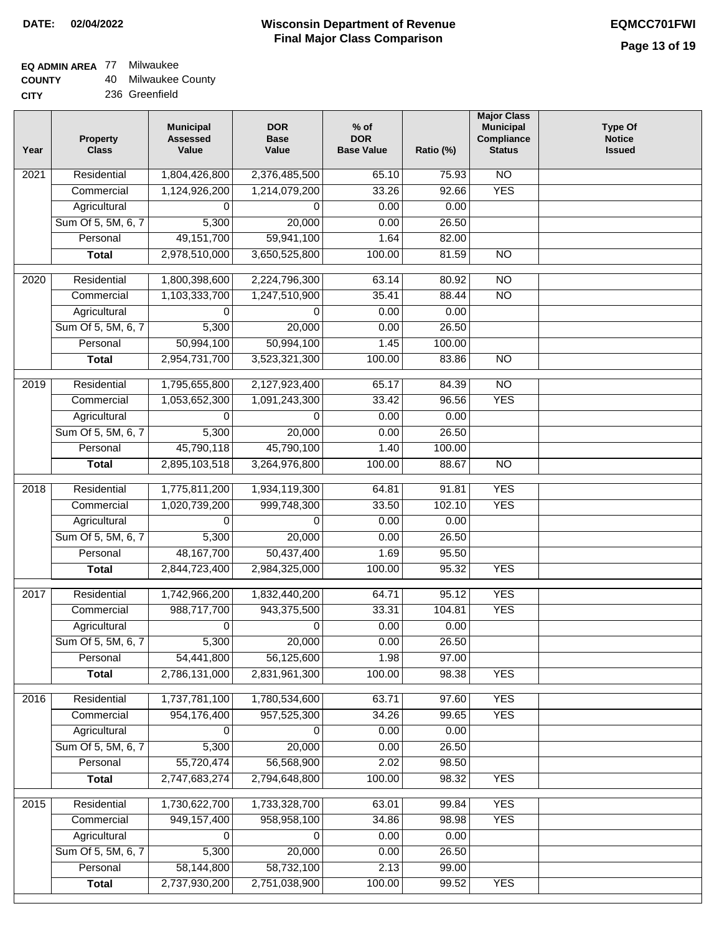| <b>COUNTY</b> | 40 Milwaukee County |
|---------------|---------------------|
|---------------|---------------------|

| <b>CITY</b> | 236 Greenfield |
|-------------|----------------|
|-------------|----------------|

| Year              | <b>Property</b><br><b>Class</b> | <b>Municipal</b><br><b>Assessed</b><br>Value | <b>DOR</b><br><b>Base</b><br>Value | % of<br><b>DOR</b><br><b>Base Value</b> | Ratio (%) | <b>Major Class</b><br><b>Municipal</b><br>Compliance<br><b>Status</b> | <b>Type Of</b><br><b>Notice</b><br><b>Issued</b> |
|-------------------|---------------------------------|----------------------------------------------|------------------------------------|-----------------------------------------|-----------|-----------------------------------------------------------------------|--------------------------------------------------|
| $\overline{202}1$ | Residential                     | 1,804,426,800                                | 2,376,485,500                      | 65.10                                   | 75.93     | $\overline{NO}$                                                       |                                                  |
|                   | Commercial                      | 1,124,926,200                                | 1,214,079,200                      | 33.26                                   | 92.66     | <b>YES</b>                                                            |                                                  |
|                   | Agricultural                    | 0                                            | 0                                  | 0.00                                    | 0.00      |                                                                       |                                                  |
|                   | Sum Of 5, 5M, 6, 7              | 5,300                                        | 20,000                             | 0.00                                    | 26.50     |                                                                       |                                                  |
|                   | Personal                        | 49, 151, 700                                 | 59,941,100                         | 1.64                                    | 82.00     |                                                                       |                                                  |
|                   | <b>Total</b>                    | 2,978,510,000                                | 3,650,525,800                      | 100.00                                  | 81.59     | $\overline{NO}$                                                       |                                                  |
| $\overline{2020}$ | Residential                     | 1,800,398,600                                | 2,224,796,300                      | 63.14                                   | 80.92     | $\overline{NO}$                                                       |                                                  |
|                   | Commercial                      | 1,103,333,700                                | 1,247,510,900                      | 35.41                                   | 88.44     | $\overline{NO}$                                                       |                                                  |
|                   | Agricultural                    | 0                                            | 0                                  | 0.00                                    | 0.00      |                                                                       |                                                  |
|                   | Sum Of 5, 5M, 6, 7              | 5,300                                        | 20,000                             | 0.00                                    | 26.50     |                                                                       |                                                  |
|                   | Personal                        | 50,994,100                                   | 50,994,100                         | 1.45                                    | 100.00    |                                                                       |                                                  |
|                   | <b>Total</b>                    | 2,954,731,700                                | 3,523,321,300                      | 100.00                                  | 83.86     | $\overline{NO}$                                                       |                                                  |
| 2019              | Residential                     | 1,795,655,800                                | 2,127,923,400                      | 65.17                                   | 84.39     | N <sub>O</sub>                                                        |                                                  |
|                   | Commercial                      | 1,053,652,300                                | 1,091,243,300                      | 33.42                                   | 96.56     | <b>YES</b>                                                            |                                                  |
|                   | Agricultural                    | 0                                            | $\Omega$                           | 0.00                                    | 0.00      |                                                                       |                                                  |
|                   | Sum Of 5, 5M, 6, 7              | 5,300                                        | 20,000                             | 0.00                                    | 26.50     |                                                                       |                                                  |
|                   | Personal                        | 45,790,118                                   | 45,790,100                         | 1.40                                    | 100.00    |                                                                       |                                                  |
|                   | <b>Total</b>                    | 2,895,103,518                                | 3,264,976,800                      | 100.00                                  | 88.67     | $\overline{NO}$                                                       |                                                  |
| 2018              | Residential                     | 1,775,811,200                                | 1,934,119,300                      | 64.81                                   | 91.81     | <b>YES</b>                                                            |                                                  |
|                   | Commercial                      | 1,020,739,200                                | 999,748,300                        | 33.50                                   | 102.10    | <b>YES</b>                                                            |                                                  |
|                   | Agricultural                    | 0                                            | 0                                  | 0.00                                    | 0.00      |                                                                       |                                                  |
|                   | Sum Of 5, 5M, 6, 7              | 5,300                                        | 20,000                             | 0.00                                    | 26.50     |                                                                       |                                                  |
|                   | Personal                        | 48, 167, 700                                 | 50,437,400                         | 1.69                                    | 95.50     |                                                                       |                                                  |
|                   | <b>Total</b>                    | 2,844,723,400                                | 2,984,325,000                      | 100.00                                  | 95.32     | <b>YES</b>                                                            |                                                  |
| 2017              | Residential                     | 1,742,966,200                                | 1,832,440,200                      | 64.71                                   | 95.12     | <b>YES</b>                                                            |                                                  |
|                   | Commercial                      | 988,717,700                                  | 943,375,500                        | 33.31                                   | 104.81    | <b>YES</b>                                                            |                                                  |
|                   | Agricultural                    | 0                                            | 0                                  | 0.00                                    | 0.00      |                                                                       |                                                  |
|                   | Sum Of 5, 5M, 6, 7              | 5,300                                        | 20,000                             | 0.00                                    | 26.50     |                                                                       |                                                  |
|                   | Personal                        | 54,441,800                                   | 56,125,600                         | 1.98                                    | 97.00     |                                                                       |                                                  |
|                   | <b>Total</b>                    | 2,786,131,000                                | 2,831,961,300                      | 100.00                                  | 98.38     | <b>YES</b>                                                            |                                                  |
| 2016              | Residential                     | 1,737,781,100                                | 1,780,534,600                      | 63.71                                   | 97.60     | <b>YES</b>                                                            |                                                  |
|                   | Commercial                      | 954,176,400                                  | 957,525,300                        | 34.26                                   | 99.65     | <b>YES</b>                                                            |                                                  |
|                   | Agricultural                    | 0                                            | 0                                  | 0.00                                    | 0.00      |                                                                       |                                                  |
|                   | Sum Of 5, 5M, 6, 7              | 5,300                                        | 20,000                             | 0.00                                    | 26.50     |                                                                       |                                                  |
|                   | Personal                        | 55,720,474                                   | 56,568,900                         | 2.02                                    | 98.50     |                                                                       |                                                  |
|                   | <b>Total</b>                    | 2,747,683,274                                | 2,794,648,800                      | 100.00                                  | 98.32     | <b>YES</b>                                                            |                                                  |
| 2015              | Residential                     | 1,730,622,700                                | 1,733,328,700                      | 63.01                                   | 99.84     | <b>YES</b>                                                            |                                                  |
|                   | Commercial                      | 949,157,400                                  | 958,958,100                        | 34.86                                   | 98.98     | <b>YES</b>                                                            |                                                  |
|                   | Agricultural                    |                                              | 0                                  | 0.00                                    | 0.00      |                                                                       |                                                  |
|                   | Sum Of 5, 5M, 6, 7              | 5,300                                        | 20,000                             | 0.00                                    | 26.50     |                                                                       |                                                  |
|                   | Personal                        | 58,144,800                                   | 58,732,100                         | 2.13                                    | 99.00     |                                                                       |                                                  |
|                   | <b>Total</b>                    | 2,737,930,200                                | 2,751,038,900                      | 100.00                                  | 99.52     | <b>YES</b>                                                            |                                                  |
|                   |                                 |                                              |                                    |                                         |           |                                                                       |                                                  |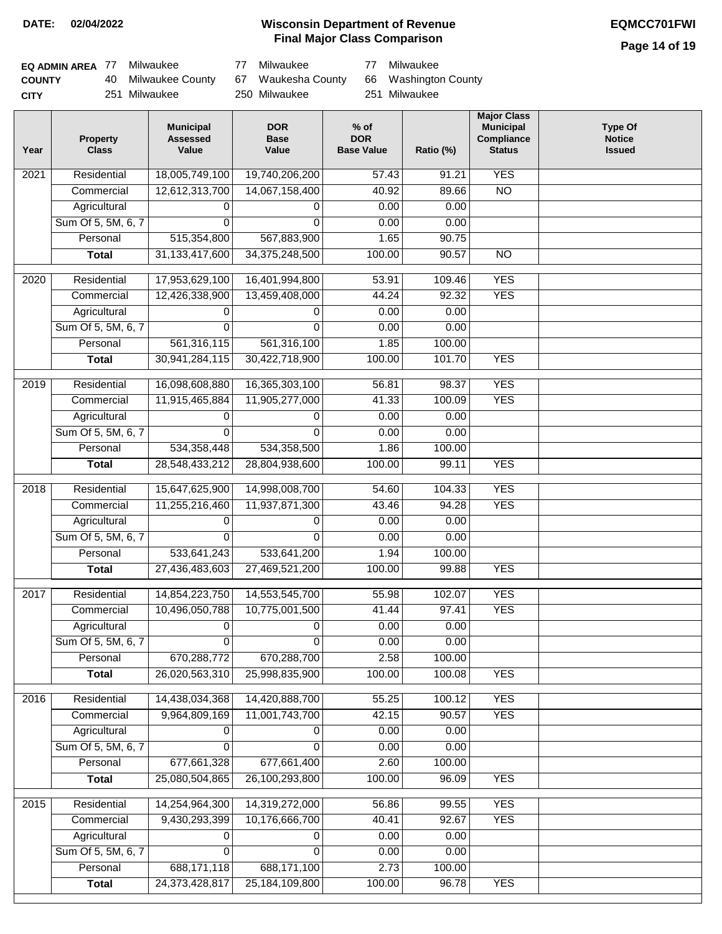**Page 14 of 19**

| EQ ADMIN AREA 77 | Milwaukee                              | 77 | Milwaukee     | -77 | Milwaukee            |
|------------------|----------------------------------------|----|---------------|-----|----------------------|
| <b>COUNTY</b>    | 40 Milwaukee County 67 Waukesha County |    |               |     | 66 Washington County |
| <b>CITY</b>      | 251 Milwaukee                          |    | 250 Milwaukee |     | 251 Milwaukee        |

| Year | <b>Property</b><br><b>Class</b> | <b>Municipal</b><br><b>Assessed</b><br>Value | <b>DOR</b><br><b>Base</b><br>Value | $%$ of<br><b>DOR</b><br><b>Base Value</b> | Ratio (%) | <b>Major Class</b><br><b>Municipal</b><br><b>Compliance</b><br><b>Status</b> | <b>Type Of</b><br><b>Notice</b><br><b>Issued</b> |
|------|---------------------------------|----------------------------------------------|------------------------------------|-------------------------------------------|-----------|------------------------------------------------------------------------------|--------------------------------------------------|
| 2021 | Residential                     | 18,005,749,100                               | 19,740,206,200                     | 57.43                                     | 91.21     | <b>YES</b>                                                                   |                                                  |
|      | Commercial                      | 12,612,313,700                               | 14,067,158,400                     | 40.92                                     | 89.66     | $\overline{NO}$                                                              |                                                  |
|      | Agricultural                    | 0                                            | 0                                  | 0.00                                      | 0.00      |                                                                              |                                                  |
|      | Sum Of 5, 5M, 6, 7              | 0                                            | $\Omega$                           | 0.00                                      | 0.00      |                                                                              |                                                  |
|      | Personal                        | 515,354,800                                  | 567,883,900                        | 1.65                                      | 90.75     |                                                                              |                                                  |
|      | <b>Total</b>                    | 31, 133, 417, 600                            | 34,375,248,500                     | 100.00                                    | 90.57     | $\overline{NO}$                                                              |                                                  |
| 2020 | Residential                     | 17,953,629,100                               | 16,401,994,800                     | 53.91                                     | 109.46    | <b>YES</b>                                                                   |                                                  |
|      | Commercial                      | 12,426,338,900                               | 13,459,408,000                     | 44.24                                     | 92.32     | <b>YES</b>                                                                   |                                                  |
|      | Agricultural                    | 0                                            | 0                                  | 0.00                                      | 0.00      |                                                                              |                                                  |
|      | Sum Of 5, 5M, 6, 7              | $\Omega$                                     | $\Omega$                           | 0.00                                      | 0.00      |                                                                              |                                                  |
|      | Personal                        | 561,316,115                                  | 561,316,100                        | 1.85                                      | 100.00    |                                                                              |                                                  |
|      | <b>Total</b>                    | 30,941,284,115                               | 30,422,718,900                     | 100.00                                    | 101.70    | <b>YES</b>                                                                   |                                                  |
|      |                                 |                                              |                                    |                                           |           |                                                                              |                                                  |
| 2019 | Residential                     | 16,098,608,880                               | 16,365,303,100                     | 56.81                                     | 98.37     | <b>YES</b>                                                                   |                                                  |
|      | Commercial                      | 11,915,465,884                               | 11,905,277,000                     | 41.33                                     | 100.09    | <b>YES</b>                                                                   |                                                  |
|      | Agricultural                    | 0                                            | 0                                  | 0.00                                      | 0.00      |                                                                              |                                                  |
|      | Sum Of 5, 5M, 6, 7              | $\Omega$                                     | $\Omega$                           | 0.00                                      | 0.00      |                                                                              |                                                  |
|      | Personal                        | 534,358,448                                  | 534,358,500                        | 1.86                                      | 100.00    |                                                                              |                                                  |
|      | <b>Total</b>                    | 28,548,433,212                               | 28,804,938,600                     | 100.00                                    | 99.11     | <b>YES</b>                                                                   |                                                  |
| 2018 | Residential                     | 15,647,625,900                               | 14,998,008,700                     | 54.60                                     | 104.33    | <b>YES</b>                                                                   |                                                  |
|      | Commercial                      | 11,255,216,460                               | 11,937,871,300                     | 43.46                                     | 94.28     | <b>YES</b>                                                                   |                                                  |
|      | Agricultural                    | 0                                            | 0                                  | 0.00                                      | 0.00      |                                                                              |                                                  |
|      | Sum Of 5, 5M, 6, 7              | $\Omega$                                     | $\Omega$                           | 0.00                                      | 0.00      |                                                                              |                                                  |
|      | Personal                        | 533,641,243                                  | 533,641,200                        | 1.94                                      | 100.00    |                                                                              |                                                  |
|      | <b>Total</b>                    | 27,436,483,603                               | 27,469,521,200                     | 100.00                                    | 99.88     | <b>YES</b>                                                                   |                                                  |
|      |                                 |                                              |                                    |                                           |           |                                                                              |                                                  |
| 2017 | Residential                     | 14,854,223,750                               | 14,553,545,700                     | 55.98                                     | 102.07    | <b>YES</b>                                                                   |                                                  |
|      | Commercial                      | 10,496,050,788                               | 10,775,001,500                     | 41.44                                     | 97.41     | <b>YES</b>                                                                   |                                                  |
|      | Agricultural                    | 0                                            | 0                                  | 0.00                                      | 0.00      |                                                                              |                                                  |
|      | Sum Of 5, 5M, 6, 7              | 0                                            | 0                                  | 0.00                                      | 0.00      |                                                                              |                                                  |
|      | Personal                        | 670,288,772                                  | 670,288,700                        | 2.58                                      | 100.00    |                                                                              |                                                  |
|      | <b>Total</b>                    | 26,020,563,310                               | 25,998,835,900                     | 100.00                                    | 100.08    | <b>YES</b>                                                                   |                                                  |
| 2016 | Residential                     | 14,438,034,368                               | 14,420,888,700                     | 55.25                                     | 100.12    | <b>YES</b>                                                                   |                                                  |
|      | Commercial                      | 9,964,809,169                                | 11,001,743,700                     | 42.15                                     | 90.57     | <b>YES</b>                                                                   |                                                  |
|      | Agricultural                    | 0                                            | 0                                  | 0.00                                      | 0.00      |                                                                              |                                                  |
|      | Sum Of 5, 5M, 6, 7              | 0                                            | $\Omega$                           | 0.00                                      | 0.00      |                                                                              |                                                  |
|      | Personal                        | 677,661,328                                  | 677,661,400                        | 2.60                                      | 100.00    |                                                                              |                                                  |
|      | <b>Total</b>                    | 25,080,504,865                               | 26,100,293,800                     | 100.00                                    | 96.09     | <b>YES</b>                                                                   |                                                  |
| 2015 | Residential                     | 14,254,964,300                               | 14,319,272,000                     | 56.86                                     | 99.55     | <b>YES</b>                                                                   |                                                  |
|      | Commercial                      | 9,430,293,399                                | 10,176,666,700                     | 40.41                                     | 92.67     | <b>YES</b>                                                                   |                                                  |
|      | Agricultural                    | 0                                            | 0                                  | 0.00                                      | 0.00      |                                                                              |                                                  |
|      | Sum Of 5, 5M, 6, 7              | 0                                            | $\mathbf 0$                        | 0.00                                      | 0.00      |                                                                              |                                                  |
|      | Personal                        | 688, 171, 118                                | 688,171,100                        | 2.73                                      | 100.00    |                                                                              |                                                  |
|      | <b>Total</b>                    | 24,373,428,817                               | 25, 184, 109, 800                  | 100.00                                    | 96.78     | <b>YES</b>                                                                   |                                                  |
|      |                                 |                                              |                                    |                                           |           |                                                                              |                                                  |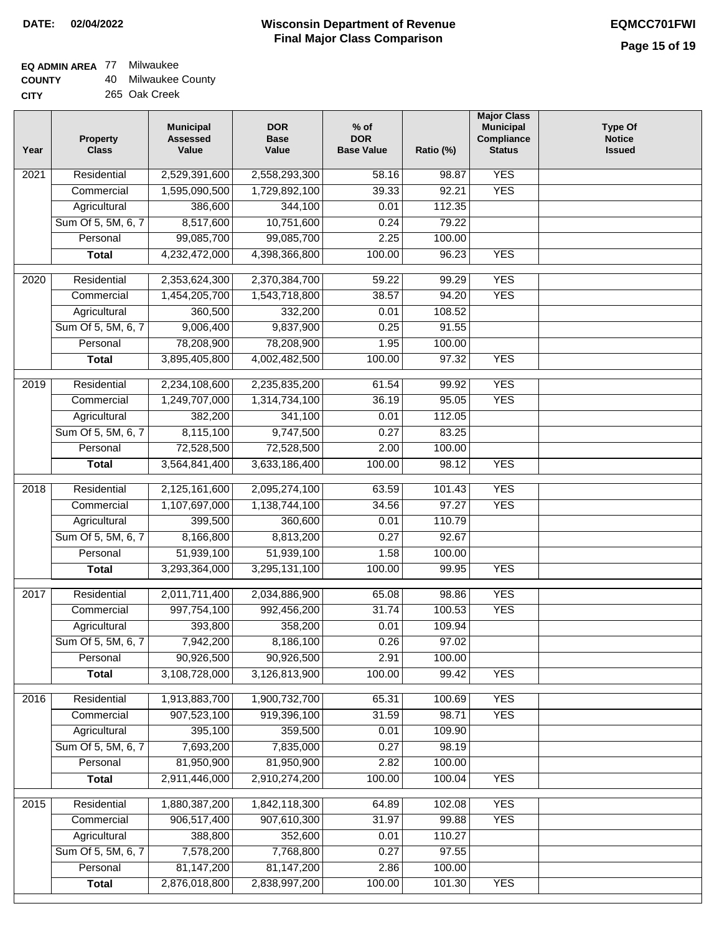| <b>COUNTY</b> | 40 Milwaukee County |
|---------------|---------------------|
| CITY          | 265 Oak Creek       |

| 2,529,391,600<br><b>YES</b><br>Residential<br>2,558,293,300<br>58.16<br>98.87<br>2021<br><b>YES</b><br>1,595,090,500<br>1,729,892,100<br>39.33<br>92.21<br>Commercial<br>344,100<br>Agricultural<br>386,600<br>0.01<br>112.35<br>8,517,600<br>0.24<br>Sum Of 5, 5M, 6, 7<br>10,751,600<br>79.22<br>99,085,700<br>99,085,700<br>2.25<br>Personal<br>100.00<br>4,232,472,000<br>4,398,366,800<br>100.00<br><b>YES</b><br>96.23<br><b>Total</b><br><b>YES</b><br>$\frac{1}{2020}$<br>Residential<br>2,353,624,300<br>2,370,384,700<br>59.22<br>99.29<br><b>YES</b><br>Commercial<br>1,454,205,700<br>1,543,718,800<br>38.57<br>94.20<br>360,500<br>108.52<br>Agricultural<br>332,200<br>0.01<br>9,006,400<br>Sum Of 5, 5M, 6, 7<br>9,837,900<br>0.25<br>91.55<br>78,208,900<br>Personal<br>78,208,900<br>1.95<br>100.00<br><b>YES</b><br><b>Total</b><br>3,895,405,800<br>4,002,482,500<br>100.00<br>97.32<br><b>YES</b><br>$\frac{1}{2019}$<br>Residential<br>2,234,108,600<br>61.54<br>99.92<br>2,235,835,200<br>36.19<br>95.05<br><b>YES</b><br>Commercial<br>1,249,707,000<br>1,314,734,100<br>382,200<br>341,100<br>112.05<br>Agricultural<br>0.01<br>Sum Of 5, 5M, 6, 7<br>8,115,100<br>9,747,500<br>0.27<br>83.25<br>Personal<br>72,528,500<br>72,528,500<br>2.00<br>100.00<br>3,564,841,400<br>3,633,186,400<br>100.00<br><b>YES</b><br>98.12<br><b>Total</b><br><b>YES</b><br>2,125,161,600<br>2018<br>Residential<br>2,095,274,100<br>63.59<br>101.43<br>97.27<br><b>YES</b><br>Commercial<br>1,107,697,000<br>1,138,744,100<br>34.56<br>399,500<br>Agricultural<br>360,600<br>0.01<br>110.79<br>Sum Of 5, 5M, 6, 7<br>8,166,800<br>8,813,200<br>0.27<br>92.67<br>51,939,100<br>51,939,100<br>1.58<br>100.00<br>Personal<br><b>YES</b><br>3,293,364,000<br>3,295,131,100<br>100.00<br>99.95<br><b>Total</b><br><b>YES</b><br>Residential<br>2,011,711,400<br>2,034,886,900<br>65.08<br>98.86<br>2017<br>997,754,100<br>992,456,200<br>31.74<br>100.53<br><b>YES</b><br>Commercial<br>393,800<br>358,200<br>0.01<br>109.94<br>Agricultural<br>Sum Of 5, 5M, 6, 7<br>7,942,200<br>8,186,100<br>0.26<br>97.02<br>90,926,500<br>90,926,500<br>2.91<br>Personal<br>100.00<br>3,108,728,000<br>3,126,813,900<br>100.00<br>99.42<br><b>YES</b><br><b>Total</b><br><b>YES</b><br>2016<br>Residential<br>1,913,883,700<br>1,900,732,700<br>65.31<br>100.69<br><b>YES</b><br>907,523,100<br>31.59<br>Commercial<br>919,396,100<br>98.71<br>395,100<br>359,500<br>109.90<br>Agricultural<br>0.01<br>7,693,200<br>Sum Of 5, 5M, 6, 7<br>7,835,000<br>0.27<br>98.19<br>81,950,900<br>Personal<br>81,950,900<br>2.82<br>100.00<br>2,911,446,000<br><b>YES</b><br>2,910,274,200<br>100.00<br>100.04<br><b>Total</b><br>1,880,387,200<br>1,842,118,300<br>102.08<br><b>YES</b><br>2015<br>Residential<br>64.89<br>31.97<br><b>YES</b><br>906,517,400<br>907,610,300<br>99.88<br>Commercial<br>Agricultural<br>388,800<br>352,600<br>110.27<br>0.01<br>Sum Of 5, 5M, 6, 7<br>7,578,200<br>7,768,800<br>0.27<br>97.55<br>81, 147, 200<br>81, 147, 200<br>Personal<br>2.86<br>100.00<br>2,876,018,800<br>100.00<br><b>YES</b><br>2,838,997,200<br>101.30<br><b>Total</b> | Year | <b>Property</b><br><b>Class</b> | <b>Municipal</b><br><b>Assessed</b><br>Value | <b>DOR</b><br><b>Base</b><br>Value | $%$ of<br><b>DOR</b><br><b>Base Value</b> | Ratio (%) | <b>Major Class</b><br><b>Municipal</b><br>Compliance<br><b>Status</b> | <b>Type Of</b><br><b>Notice</b><br><b>Issued</b> |
|--------------------------------------------------------------------------------------------------------------------------------------------------------------------------------------------------------------------------------------------------------------------------------------------------------------------------------------------------------------------------------------------------------------------------------------------------------------------------------------------------------------------------------------------------------------------------------------------------------------------------------------------------------------------------------------------------------------------------------------------------------------------------------------------------------------------------------------------------------------------------------------------------------------------------------------------------------------------------------------------------------------------------------------------------------------------------------------------------------------------------------------------------------------------------------------------------------------------------------------------------------------------------------------------------------------------------------------------------------------------------------------------------------------------------------------------------------------------------------------------------------------------------------------------------------------------------------------------------------------------------------------------------------------------------------------------------------------------------------------------------------------------------------------------------------------------------------------------------------------------------------------------------------------------------------------------------------------------------------------------------------------------------------------------------------------------------------------------------------------------------------------------------------------------------------------------------------------------------------------------------------------------------------------------------------------------------------------------------------------------------------------------------------------------------------------------------------------------------------------------------------------------------------------------------------------------------------------------------------------------------------------------------------------------------------------------------------------------------------------------------------------------------------------------------------------------------------------------------------------------------------------------------------------------------------------------------------------------------------------------------------------------------------------------------------------------------------------------------------------------------------------------------------------|------|---------------------------------|----------------------------------------------|------------------------------------|-------------------------------------------|-----------|-----------------------------------------------------------------------|--------------------------------------------------|
|                                                                                                                                                                                                                                                                                                                                                                                                                                                                                                                                                                                                                                                                                                                                                                                                                                                                                                                                                                                                                                                                                                                                                                                                                                                                                                                                                                                                                                                                                                                                                                                                                                                                                                                                                                                                                                                                                                                                                                                                                                                                                                                                                                                                                                                                                                                                                                                                                                                                                                                                                                                                                                                                                                                                                                                                                                                                                                                                                                                                                                                                                                                                                              |      |                                 |                                              |                                    |                                           |           |                                                                       |                                                  |
|                                                                                                                                                                                                                                                                                                                                                                                                                                                                                                                                                                                                                                                                                                                                                                                                                                                                                                                                                                                                                                                                                                                                                                                                                                                                                                                                                                                                                                                                                                                                                                                                                                                                                                                                                                                                                                                                                                                                                                                                                                                                                                                                                                                                                                                                                                                                                                                                                                                                                                                                                                                                                                                                                                                                                                                                                                                                                                                                                                                                                                                                                                                                                              |      |                                 |                                              |                                    |                                           |           |                                                                       |                                                  |
|                                                                                                                                                                                                                                                                                                                                                                                                                                                                                                                                                                                                                                                                                                                                                                                                                                                                                                                                                                                                                                                                                                                                                                                                                                                                                                                                                                                                                                                                                                                                                                                                                                                                                                                                                                                                                                                                                                                                                                                                                                                                                                                                                                                                                                                                                                                                                                                                                                                                                                                                                                                                                                                                                                                                                                                                                                                                                                                                                                                                                                                                                                                                                              |      |                                 |                                              |                                    |                                           |           |                                                                       |                                                  |
|                                                                                                                                                                                                                                                                                                                                                                                                                                                                                                                                                                                                                                                                                                                                                                                                                                                                                                                                                                                                                                                                                                                                                                                                                                                                                                                                                                                                                                                                                                                                                                                                                                                                                                                                                                                                                                                                                                                                                                                                                                                                                                                                                                                                                                                                                                                                                                                                                                                                                                                                                                                                                                                                                                                                                                                                                                                                                                                                                                                                                                                                                                                                                              |      |                                 |                                              |                                    |                                           |           |                                                                       |                                                  |
|                                                                                                                                                                                                                                                                                                                                                                                                                                                                                                                                                                                                                                                                                                                                                                                                                                                                                                                                                                                                                                                                                                                                                                                                                                                                                                                                                                                                                                                                                                                                                                                                                                                                                                                                                                                                                                                                                                                                                                                                                                                                                                                                                                                                                                                                                                                                                                                                                                                                                                                                                                                                                                                                                                                                                                                                                                                                                                                                                                                                                                                                                                                                                              |      |                                 |                                              |                                    |                                           |           |                                                                       |                                                  |
|                                                                                                                                                                                                                                                                                                                                                                                                                                                                                                                                                                                                                                                                                                                                                                                                                                                                                                                                                                                                                                                                                                                                                                                                                                                                                                                                                                                                                                                                                                                                                                                                                                                                                                                                                                                                                                                                                                                                                                                                                                                                                                                                                                                                                                                                                                                                                                                                                                                                                                                                                                                                                                                                                                                                                                                                                                                                                                                                                                                                                                                                                                                                                              |      |                                 |                                              |                                    |                                           |           |                                                                       |                                                  |
|                                                                                                                                                                                                                                                                                                                                                                                                                                                                                                                                                                                                                                                                                                                                                                                                                                                                                                                                                                                                                                                                                                                                                                                                                                                                                                                                                                                                                                                                                                                                                                                                                                                                                                                                                                                                                                                                                                                                                                                                                                                                                                                                                                                                                                                                                                                                                                                                                                                                                                                                                                                                                                                                                                                                                                                                                                                                                                                                                                                                                                                                                                                                                              |      |                                 |                                              |                                    |                                           |           |                                                                       |                                                  |
|                                                                                                                                                                                                                                                                                                                                                                                                                                                                                                                                                                                                                                                                                                                                                                                                                                                                                                                                                                                                                                                                                                                                                                                                                                                                                                                                                                                                                                                                                                                                                                                                                                                                                                                                                                                                                                                                                                                                                                                                                                                                                                                                                                                                                                                                                                                                                                                                                                                                                                                                                                                                                                                                                                                                                                                                                                                                                                                                                                                                                                                                                                                                                              |      |                                 |                                              |                                    |                                           |           |                                                                       |                                                  |
|                                                                                                                                                                                                                                                                                                                                                                                                                                                                                                                                                                                                                                                                                                                                                                                                                                                                                                                                                                                                                                                                                                                                                                                                                                                                                                                                                                                                                                                                                                                                                                                                                                                                                                                                                                                                                                                                                                                                                                                                                                                                                                                                                                                                                                                                                                                                                                                                                                                                                                                                                                                                                                                                                                                                                                                                                                                                                                                                                                                                                                                                                                                                                              |      |                                 |                                              |                                    |                                           |           |                                                                       |                                                  |
|                                                                                                                                                                                                                                                                                                                                                                                                                                                                                                                                                                                                                                                                                                                                                                                                                                                                                                                                                                                                                                                                                                                                                                                                                                                                                                                                                                                                                                                                                                                                                                                                                                                                                                                                                                                                                                                                                                                                                                                                                                                                                                                                                                                                                                                                                                                                                                                                                                                                                                                                                                                                                                                                                                                                                                                                                                                                                                                                                                                                                                                                                                                                                              |      |                                 |                                              |                                    |                                           |           |                                                                       |                                                  |
|                                                                                                                                                                                                                                                                                                                                                                                                                                                                                                                                                                                                                                                                                                                                                                                                                                                                                                                                                                                                                                                                                                                                                                                                                                                                                                                                                                                                                                                                                                                                                                                                                                                                                                                                                                                                                                                                                                                                                                                                                                                                                                                                                                                                                                                                                                                                                                                                                                                                                                                                                                                                                                                                                                                                                                                                                                                                                                                                                                                                                                                                                                                                                              |      |                                 |                                              |                                    |                                           |           |                                                                       |                                                  |
|                                                                                                                                                                                                                                                                                                                                                                                                                                                                                                                                                                                                                                                                                                                                                                                                                                                                                                                                                                                                                                                                                                                                                                                                                                                                                                                                                                                                                                                                                                                                                                                                                                                                                                                                                                                                                                                                                                                                                                                                                                                                                                                                                                                                                                                                                                                                                                                                                                                                                                                                                                                                                                                                                                                                                                                                                                                                                                                                                                                                                                                                                                                                                              |      |                                 |                                              |                                    |                                           |           |                                                                       |                                                  |
|                                                                                                                                                                                                                                                                                                                                                                                                                                                                                                                                                                                                                                                                                                                                                                                                                                                                                                                                                                                                                                                                                                                                                                                                                                                                                                                                                                                                                                                                                                                                                                                                                                                                                                                                                                                                                                                                                                                                                                                                                                                                                                                                                                                                                                                                                                                                                                                                                                                                                                                                                                                                                                                                                                                                                                                                                                                                                                                                                                                                                                                                                                                                                              |      |                                 |                                              |                                    |                                           |           |                                                                       |                                                  |
|                                                                                                                                                                                                                                                                                                                                                                                                                                                                                                                                                                                                                                                                                                                                                                                                                                                                                                                                                                                                                                                                                                                                                                                                                                                                                                                                                                                                                                                                                                                                                                                                                                                                                                                                                                                                                                                                                                                                                                                                                                                                                                                                                                                                                                                                                                                                                                                                                                                                                                                                                                                                                                                                                                                                                                                                                                                                                                                                                                                                                                                                                                                                                              |      |                                 |                                              |                                    |                                           |           |                                                                       |                                                  |
|                                                                                                                                                                                                                                                                                                                                                                                                                                                                                                                                                                                                                                                                                                                                                                                                                                                                                                                                                                                                                                                                                                                                                                                                                                                                                                                                                                                                                                                                                                                                                                                                                                                                                                                                                                                                                                                                                                                                                                                                                                                                                                                                                                                                                                                                                                                                                                                                                                                                                                                                                                                                                                                                                                                                                                                                                                                                                                                                                                                                                                                                                                                                                              |      |                                 |                                              |                                    |                                           |           |                                                                       |                                                  |
|                                                                                                                                                                                                                                                                                                                                                                                                                                                                                                                                                                                                                                                                                                                                                                                                                                                                                                                                                                                                                                                                                                                                                                                                                                                                                                                                                                                                                                                                                                                                                                                                                                                                                                                                                                                                                                                                                                                                                                                                                                                                                                                                                                                                                                                                                                                                                                                                                                                                                                                                                                                                                                                                                                                                                                                                                                                                                                                                                                                                                                                                                                                                                              |      |                                 |                                              |                                    |                                           |           |                                                                       |                                                  |
|                                                                                                                                                                                                                                                                                                                                                                                                                                                                                                                                                                                                                                                                                                                                                                                                                                                                                                                                                                                                                                                                                                                                                                                                                                                                                                                                                                                                                                                                                                                                                                                                                                                                                                                                                                                                                                                                                                                                                                                                                                                                                                                                                                                                                                                                                                                                                                                                                                                                                                                                                                                                                                                                                                                                                                                                                                                                                                                                                                                                                                                                                                                                                              |      |                                 |                                              |                                    |                                           |           |                                                                       |                                                  |
|                                                                                                                                                                                                                                                                                                                                                                                                                                                                                                                                                                                                                                                                                                                                                                                                                                                                                                                                                                                                                                                                                                                                                                                                                                                                                                                                                                                                                                                                                                                                                                                                                                                                                                                                                                                                                                                                                                                                                                                                                                                                                                                                                                                                                                                                                                                                                                                                                                                                                                                                                                                                                                                                                                                                                                                                                                                                                                                                                                                                                                                                                                                                                              |      |                                 |                                              |                                    |                                           |           |                                                                       |                                                  |
|                                                                                                                                                                                                                                                                                                                                                                                                                                                                                                                                                                                                                                                                                                                                                                                                                                                                                                                                                                                                                                                                                                                                                                                                                                                                                                                                                                                                                                                                                                                                                                                                                                                                                                                                                                                                                                                                                                                                                                                                                                                                                                                                                                                                                                                                                                                                                                                                                                                                                                                                                                                                                                                                                                                                                                                                                                                                                                                                                                                                                                                                                                                                                              |      |                                 |                                              |                                    |                                           |           |                                                                       |                                                  |
|                                                                                                                                                                                                                                                                                                                                                                                                                                                                                                                                                                                                                                                                                                                                                                                                                                                                                                                                                                                                                                                                                                                                                                                                                                                                                                                                                                                                                                                                                                                                                                                                                                                                                                                                                                                                                                                                                                                                                                                                                                                                                                                                                                                                                                                                                                                                                                                                                                                                                                                                                                                                                                                                                                                                                                                                                                                                                                                                                                                                                                                                                                                                                              |      |                                 |                                              |                                    |                                           |           |                                                                       |                                                  |
|                                                                                                                                                                                                                                                                                                                                                                                                                                                                                                                                                                                                                                                                                                                                                                                                                                                                                                                                                                                                                                                                                                                                                                                                                                                                                                                                                                                                                                                                                                                                                                                                                                                                                                                                                                                                                                                                                                                                                                                                                                                                                                                                                                                                                                                                                                                                                                                                                                                                                                                                                                                                                                                                                                                                                                                                                                                                                                                                                                                                                                                                                                                                                              |      |                                 |                                              |                                    |                                           |           |                                                                       |                                                  |
|                                                                                                                                                                                                                                                                                                                                                                                                                                                                                                                                                                                                                                                                                                                                                                                                                                                                                                                                                                                                                                                                                                                                                                                                                                                                                                                                                                                                                                                                                                                                                                                                                                                                                                                                                                                                                                                                                                                                                                                                                                                                                                                                                                                                                                                                                                                                                                                                                                                                                                                                                                                                                                                                                                                                                                                                                                                                                                                                                                                                                                                                                                                                                              |      |                                 |                                              |                                    |                                           |           |                                                                       |                                                  |
|                                                                                                                                                                                                                                                                                                                                                                                                                                                                                                                                                                                                                                                                                                                                                                                                                                                                                                                                                                                                                                                                                                                                                                                                                                                                                                                                                                                                                                                                                                                                                                                                                                                                                                                                                                                                                                                                                                                                                                                                                                                                                                                                                                                                                                                                                                                                                                                                                                                                                                                                                                                                                                                                                                                                                                                                                                                                                                                                                                                                                                                                                                                                                              |      |                                 |                                              |                                    |                                           |           |                                                                       |                                                  |
|                                                                                                                                                                                                                                                                                                                                                                                                                                                                                                                                                                                                                                                                                                                                                                                                                                                                                                                                                                                                                                                                                                                                                                                                                                                                                                                                                                                                                                                                                                                                                                                                                                                                                                                                                                                                                                                                                                                                                                                                                                                                                                                                                                                                                                                                                                                                                                                                                                                                                                                                                                                                                                                                                                                                                                                                                                                                                                                                                                                                                                                                                                                                                              |      |                                 |                                              |                                    |                                           |           |                                                                       |                                                  |
|                                                                                                                                                                                                                                                                                                                                                                                                                                                                                                                                                                                                                                                                                                                                                                                                                                                                                                                                                                                                                                                                                                                                                                                                                                                                                                                                                                                                                                                                                                                                                                                                                                                                                                                                                                                                                                                                                                                                                                                                                                                                                                                                                                                                                                                                                                                                                                                                                                                                                                                                                                                                                                                                                                                                                                                                                                                                                                                                                                                                                                                                                                                                                              |      |                                 |                                              |                                    |                                           |           |                                                                       |                                                  |
|                                                                                                                                                                                                                                                                                                                                                                                                                                                                                                                                                                                                                                                                                                                                                                                                                                                                                                                                                                                                                                                                                                                                                                                                                                                                                                                                                                                                                                                                                                                                                                                                                                                                                                                                                                                                                                                                                                                                                                                                                                                                                                                                                                                                                                                                                                                                                                                                                                                                                                                                                                                                                                                                                                                                                                                                                                                                                                                                                                                                                                                                                                                                                              |      |                                 |                                              |                                    |                                           |           |                                                                       |                                                  |
|                                                                                                                                                                                                                                                                                                                                                                                                                                                                                                                                                                                                                                                                                                                                                                                                                                                                                                                                                                                                                                                                                                                                                                                                                                                                                                                                                                                                                                                                                                                                                                                                                                                                                                                                                                                                                                                                                                                                                                                                                                                                                                                                                                                                                                                                                                                                                                                                                                                                                                                                                                                                                                                                                                                                                                                                                                                                                                                                                                                                                                                                                                                                                              |      |                                 |                                              |                                    |                                           |           |                                                                       |                                                  |
|                                                                                                                                                                                                                                                                                                                                                                                                                                                                                                                                                                                                                                                                                                                                                                                                                                                                                                                                                                                                                                                                                                                                                                                                                                                                                                                                                                                                                                                                                                                                                                                                                                                                                                                                                                                                                                                                                                                                                                                                                                                                                                                                                                                                                                                                                                                                                                                                                                                                                                                                                                                                                                                                                                                                                                                                                                                                                                                                                                                                                                                                                                                                                              |      |                                 |                                              |                                    |                                           |           |                                                                       |                                                  |
|                                                                                                                                                                                                                                                                                                                                                                                                                                                                                                                                                                                                                                                                                                                                                                                                                                                                                                                                                                                                                                                                                                                                                                                                                                                                                                                                                                                                                                                                                                                                                                                                                                                                                                                                                                                                                                                                                                                                                                                                                                                                                                                                                                                                                                                                                                                                                                                                                                                                                                                                                                                                                                                                                                                                                                                                                                                                                                                                                                                                                                                                                                                                                              |      |                                 |                                              |                                    |                                           |           |                                                                       |                                                  |
|                                                                                                                                                                                                                                                                                                                                                                                                                                                                                                                                                                                                                                                                                                                                                                                                                                                                                                                                                                                                                                                                                                                                                                                                                                                                                                                                                                                                                                                                                                                                                                                                                                                                                                                                                                                                                                                                                                                                                                                                                                                                                                                                                                                                                                                                                                                                                                                                                                                                                                                                                                                                                                                                                                                                                                                                                                                                                                                                                                                                                                                                                                                                                              |      |                                 |                                              |                                    |                                           |           |                                                                       |                                                  |
|                                                                                                                                                                                                                                                                                                                                                                                                                                                                                                                                                                                                                                                                                                                                                                                                                                                                                                                                                                                                                                                                                                                                                                                                                                                                                                                                                                                                                                                                                                                                                                                                                                                                                                                                                                                                                                                                                                                                                                                                                                                                                                                                                                                                                                                                                                                                                                                                                                                                                                                                                                                                                                                                                                                                                                                                                                                                                                                                                                                                                                                                                                                                                              |      |                                 |                                              |                                    |                                           |           |                                                                       |                                                  |
|                                                                                                                                                                                                                                                                                                                                                                                                                                                                                                                                                                                                                                                                                                                                                                                                                                                                                                                                                                                                                                                                                                                                                                                                                                                                                                                                                                                                                                                                                                                                                                                                                                                                                                                                                                                                                                                                                                                                                                                                                                                                                                                                                                                                                                                                                                                                                                                                                                                                                                                                                                                                                                                                                                                                                                                                                                                                                                                                                                                                                                                                                                                                                              |      |                                 |                                              |                                    |                                           |           |                                                                       |                                                  |
|                                                                                                                                                                                                                                                                                                                                                                                                                                                                                                                                                                                                                                                                                                                                                                                                                                                                                                                                                                                                                                                                                                                                                                                                                                                                                                                                                                                                                                                                                                                                                                                                                                                                                                                                                                                                                                                                                                                                                                                                                                                                                                                                                                                                                                                                                                                                                                                                                                                                                                                                                                                                                                                                                                                                                                                                                                                                                                                                                                                                                                                                                                                                                              |      |                                 |                                              |                                    |                                           |           |                                                                       |                                                  |
|                                                                                                                                                                                                                                                                                                                                                                                                                                                                                                                                                                                                                                                                                                                                                                                                                                                                                                                                                                                                                                                                                                                                                                                                                                                                                                                                                                                                                                                                                                                                                                                                                                                                                                                                                                                                                                                                                                                                                                                                                                                                                                                                                                                                                                                                                                                                                                                                                                                                                                                                                                                                                                                                                                                                                                                                                                                                                                                                                                                                                                                                                                                                                              |      |                                 |                                              |                                    |                                           |           |                                                                       |                                                  |
|                                                                                                                                                                                                                                                                                                                                                                                                                                                                                                                                                                                                                                                                                                                                                                                                                                                                                                                                                                                                                                                                                                                                                                                                                                                                                                                                                                                                                                                                                                                                                                                                                                                                                                                                                                                                                                                                                                                                                                                                                                                                                                                                                                                                                                                                                                                                                                                                                                                                                                                                                                                                                                                                                                                                                                                                                                                                                                                                                                                                                                                                                                                                                              |      |                                 |                                              |                                    |                                           |           |                                                                       |                                                  |
|                                                                                                                                                                                                                                                                                                                                                                                                                                                                                                                                                                                                                                                                                                                                                                                                                                                                                                                                                                                                                                                                                                                                                                                                                                                                                                                                                                                                                                                                                                                                                                                                                                                                                                                                                                                                                                                                                                                                                                                                                                                                                                                                                                                                                                                                                                                                                                                                                                                                                                                                                                                                                                                                                                                                                                                                                                                                                                                                                                                                                                                                                                                                                              |      |                                 |                                              |                                    |                                           |           |                                                                       |                                                  |
|                                                                                                                                                                                                                                                                                                                                                                                                                                                                                                                                                                                                                                                                                                                                                                                                                                                                                                                                                                                                                                                                                                                                                                                                                                                                                                                                                                                                                                                                                                                                                                                                                                                                                                                                                                                                                                                                                                                                                                                                                                                                                                                                                                                                                                                                                                                                                                                                                                                                                                                                                                                                                                                                                                                                                                                                                                                                                                                                                                                                                                                                                                                                                              |      |                                 |                                              |                                    |                                           |           |                                                                       |                                                  |
|                                                                                                                                                                                                                                                                                                                                                                                                                                                                                                                                                                                                                                                                                                                                                                                                                                                                                                                                                                                                                                                                                                                                                                                                                                                                                                                                                                                                                                                                                                                                                                                                                                                                                                                                                                                                                                                                                                                                                                                                                                                                                                                                                                                                                                                                                                                                                                                                                                                                                                                                                                                                                                                                                                                                                                                                                                                                                                                                                                                                                                                                                                                                                              |      |                                 |                                              |                                    |                                           |           |                                                                       |                                                  |
|                                                                                                                                                                                                                                                                                                                                                                                                                                                                                                                                                                                                                                                                                                                                                                                                                                                                                                                                                                                                                                                                                                                                                                                                                                                                                                                                                                                                                                                                                                                                                                                                                                                                                                                                                                                                                                                                                                                                                                                                                                                                                                                                                                                                                                                                                                                                                                                                                                                                                                                                                                                                                                                                                                                                                                                                                                                                                                                                                                                                                                                                                                                                                              |      |                                 |                                              |                                    |                                           |           |                                                                       |                                                  |
|                                                                                                                                                                                                                                                                                                                                                                                                                                                                                                                                                                                                                                                                                                                                                                                                                                                                                                                                                                                                                                                                                                                                                                                                                                                                                                                                                                                                                                                                                                                                                                                                                                                                                                                                                                                                                                                                                                                                                                                                                                                                                                                                                                                                                                                                                                                                                                                                                                                                                                                                                                                                                                                                                                                                                                                                                                                                                                                                                                                                                                                                                                                                                              |      |                                 |                                              |                                    |                                           |           |                                                                       |                                                  |
|                                                                                                                                                                                                                                                                                                                                                                                                                                                                                                                                                                                                                                                                                                                                                                                                                                                                                                                                                                                                                                                                                                                                                                                                                                                                                                                                                                                                                                                                                                                                                                                                                                                                                                                                                                                                                                                                                                                                                                                                                                                                                                                                                                                                                                                                                                                                                                                                                                                                                                                                                                                                                                                                                                                                                                                                                                                                                                                                                                                                                                                                                                                                                              |      |                                 |                                              |                                    |                                           |           |                                                                       |                                                  |
|                                                                                                                                                                                                                                                                                                                                                                                                                                                                                                                                                                                                                                                                                                                                                                                                                                                                                                                                                                                                                                                                                                                                                                                                                                                                                                                                                                                                                                                                                                                                                                                                                                                                                                                                                                                                                                                                                                                                                                                                                                                                                                                                                                                                                                                                                                                                                                                                                                                                                                                                                                                                                                                                                                                                                                                                                                                                                                                                                                                                                                                                                                                                                              |      |                                 |                                              |                                    |                                           |           |                                                                       |                                                  |
|                                                                                                                                                                                                                                                                                                                                                                                                                                                                                                                                                                                                                                                                                                                                                                                                                                                                                                                                                                                                                                                                                                                                                                                                                                                                                                                                                                                                                                                                                                                                                                                                                                                                                                                                                                                                                                                                                                                                                                                                                                                                                                                                                                                                                                                                                                                                                                                                                                                                                                                                                                                                                                                                                                                                                                                                                                                                                                                                                                                                                                                                                                                                                              |      |                                 |                                              |                                    |                                           |           |                                                                       |                                                  |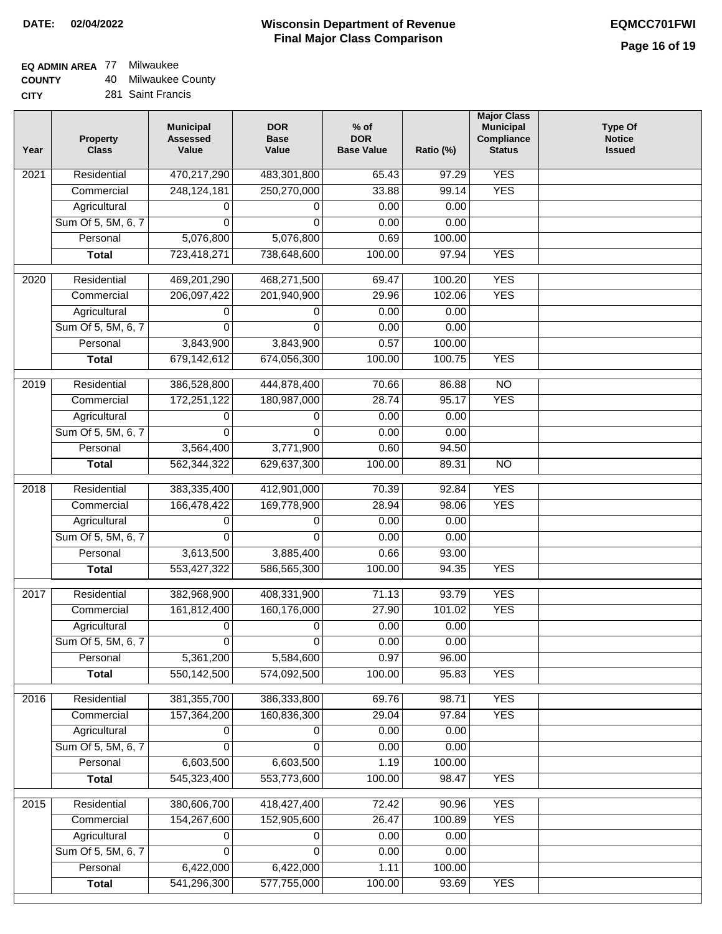#### **Wisconsin Department of Revenue Final Major Class Comparison DATE: 02/04/2022 EQMCC701FWI**

٦

# **EQ ADMIN AREA** 77 Milwaukee

**COUNTY CITY** 40 Milwaukee County

| 281 Saint Francis |
|-------------------|
|                   |

| Year              | <b>Property</b><br><b>Class</b> | <b>Municipal</b><br><b>Assessed</b><br>Value | <b>DOR</b><br><b>Base</b><br>Value | $%$ of<br><b>DOR</b><br><b>Base Value</b> | Ratio (%) | <b>Major Class</b><br><b>Municipal</b><br>Compliance<br><b>Status</b> | <b>Type Of</b><br><b>Notice</b><br><b>Issued</b> |
|-------------------|---------------------------------|----------------------------------------------|------------------------------------|-------------------------------------------|-----------|-----------------------------------------------------------------------|--------------------------------------------------|
| 2021              | Residential                     | 470,217,290                                  | 483,301,800                        | 65.43                                     | 97.29     | <b>YES</b>                                                            |                                                  |
|                   | Commercial                      | 248, 124, 181                                | 250,270,000                        | 33.88                                     | 99.14     | <b>YES</b>                                                            |                                                  |
|                   | Agricultural                    | 0                                            | 0                                  | 0.00                                      | 0.00      |                                                                       |                                                  |
|                   | Sum Of 5, 5M, 6, 7              | 0                                            | $\Omega$                           | 0.00                                      | 0.00      |                                                                       |                                                  |
|                   | Personal                        | 5,076,800                                    | 5,076,800                          | 0.69                                      | 100.00    |                                                                       |                                                  |
|                   | <b>Total</b>                    | 723,418,271                                  | 738,648,600                        | 100.00                                    | 97.94     | <b>YES</b>                                                            |                                                  |
| $\overline{2020}$ | Residential                     | 469,201,290                                  | 468,271,500                        | 69.47                                     | 100.20    | <b>YES</b>                                                            |                                                  |
|                   | Commercial                      | 206,097,422                                  | 201,940,900                        | 29.96                                     | 102.06    | <b>YES</b>                                                            |                                                  |
|                   | Agricultural                    | 0                                            | 0                                  | 0.00                                      | 0.00      |                                                                       |                                                  |
|                   | Sum Of 5, 5M, 6, 7              | 0                                            | $\Omega$                           | 0.00                                      | 0.00      |                                                                       |                                                  |
|                   | Personal                        | 3,843,900                                    | 3,843,900                          | 0.57                                      | 100.00    |                                                                       |                                                  |
|                   | <b>Total</b>                    | 679,142,612                                  | 674,056,300                        | 100.00                                    | 100.75    | <b>YES</b>                                                            |                                                  |
|                   |                                 |                                              |                                    |                                           |           |                                                                       |                                                  |
| 2019              | Residential                     | 386,528,800                                  | 444,878,400                        | 70.66                                     | 86.88     | $\overline{NO}$                                                       |                                                  |
|                   | Commercial                      | 172,251,122                                  | 180,987,000                        | 28.74                                     | 95.17     | <b>YES</b>                                                            |                                                  |
|                   | Agricultural                    | 0                                            | 0                                  | 0.00                                      | 0.00      |                                                                       |                                                  |
|                   | Sum Of 5, 5M, 6, 7              | 0                                            | $\Omega$                           | 0.00                                      | 0.00      |                                                                       |                                                  |
|                   | Personal                        | 3,564,400                                    | 3,771,900                          | 0.60                                      | 94.50     |                                                                       |                                                  |
|                   | <b>Total</b>                    | 562,344,322                                  | 629,637,300                        | 100.00                                    | 89.31     | $\overline{NO}$                                                       |                                                  |
| 2018              | Residential                     | 383,335,400                                  | 412,901,000                        | 70.39                                     | 92.84     | <b>YES</b>                                                            |                                                  |
|                   | Commercial                      | 166,478,422                                  | 169,778,900                        | 28.94                                     | 98.06     | <b>YES</b>                                                            |                                                  |
|                   | Agricultural                    | 0                                            | 0                                  | 0.00                                      | 0.00      |                                                                       |                                                  |
|                   | Sum Of 5, 5M, 6, 7              | 0                                            | $\Omega$                           | 0.00                                      | 0.00      |                                                                       |                                                  |
|                   | Personal                        | 3,613,500                                    | 3,885,400                          | 0.66                                      | 93.00     |                                                                       |                                                  |
|                   | <b>Total</b>                    | 553,427,322                                  | 586,565,300                        | 100.00                                    | 94.35     | <b>YES</b>                                                            |                                                  |
| 2017              | Residential                     | 382,968,900                                  | 408,331,900                        | 71.13                                     | 93.79     | <b>YES</b>                                                            |                                                  |
|                   | Commercial                      | 161,812,400                                  | 160,176,000                        | 27.90                                     | 101.02    | <b>YES</b>                                                            |                                                  |
|                   | Agricultural                    | 0                                            | 0                                  | 0.00                                      | 0.00      |                                                                       |                                                  |
|                   | Sum Of 5, 5M, 6, 7              | $\boldsymbol{0}$                             | 0                                  | 0.00                                      | 0.00      |                                                                       |                                                  |
|                   | Personal                        | 5,361,200                                    | 5,584,600                          | 0.97                                      | 96.00     |                                                                       |                                                  |
|                   | <b>Total</b>                    | 550,142,500                                  | 574,092,500                        | 100.00                                    | 95.83     | <b>YES</b>                                                            |                                                  |
| 2016              | Residential                     | 381, 355, 700                                | 386,333,800                        | 69.76                                     | 98.71     | <b>YES</b>                                                            |                                                  |
|                   | Commercial                      | 157,364,200                                  | 160,836,300                        | 29.04                                     | 97.84     | <b>YES</b>                                                            |                                                  |
|                   | Agricultural                    | 0                                            | 0                                  | 0.00                                      | 0.00      |                                                                       |                                                  |
|                   | Sum Of 5, 5M, 6, 7              | 0                                            | 0                                  | 0.00                                      | 0.00      |                                                                       |                                                  |
|                   | Personal                        | 6,603,500                                    | 6,603,500                          | 1.19                                      | 100.00    |                                                                       |                                                  |
|                   | <b>Total</b>                    | 545,323,400                                  | 553,773,600                        | 100.00                                    | 98.47     | <b>YES</b>                                                            |                                                  |
|                   |                                 |                                              |                                    |                                           |           |                                                                       |                                                  |
| 2015              | Residential                     | 380,606,700                                  | 418,427,400                        | 72.42                                     | 90.96     | <b>YES</b>                                                            |                                                  |
|                   | Commercial                      | 154,267,600                                  | 152,905,600                        | 26.47                                     | 100.89    | <b>YES</b>                                                            |                                                  |
|                   | Agricultural                    | 0                                            | 0                                  | 0.00                                      | 0.00      |                                                                       |                                                  |
|                   | Sum Of 5, 5M, 6, 7              | 0                                            | 0                                  | 0.00                                      | 0.00      |                                                                       |                                                  |
|                   | Personal                        | 6,422,000                                    | 6,422,000                          | 1.11                                      | 100.00    |                                                                       |                                                  |
|                   | <b>Total</b>                    | 541,296,300                                  | 577,755,000                        | 100.00                                    | 93.69     | <b>YES</b>                                                            |                                                  |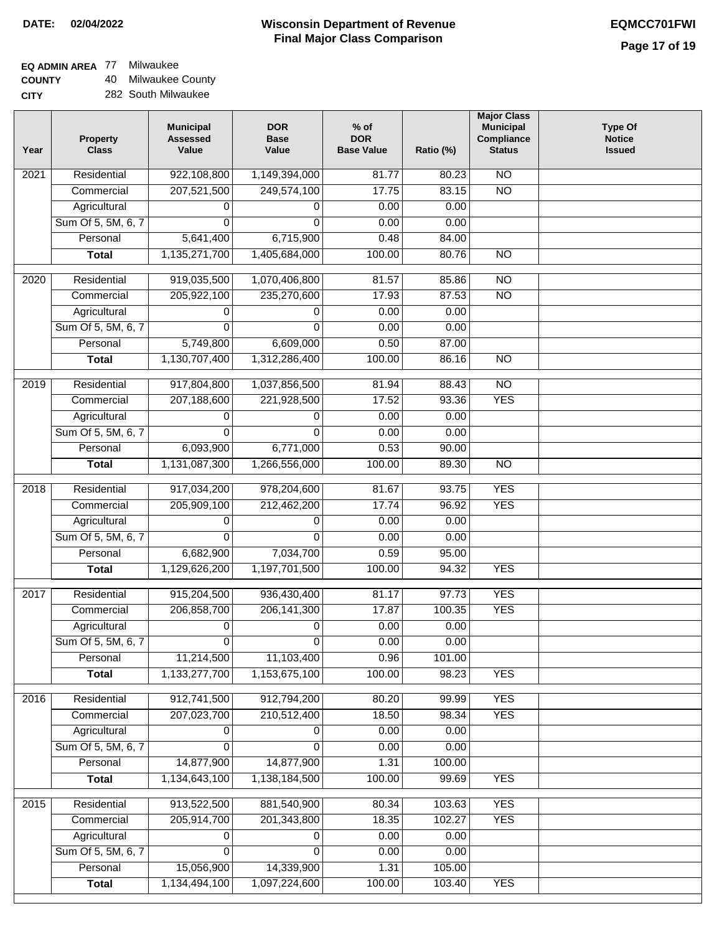### **EQ ADMIN AREA** 77 Milwaukee

**COUNTY CITY** 40 Milwaukee County

|  | 282 South Milwaukee |
|--|---------------------|
|  |                     |

| Year | Property<br><b>Class</b> | <b>Municipal</b><br><b>Assessed</b><br>Value | <b>DOR</b><br><b>Base</b><br>Value | $%$ of<br><b>DOR</b><br><b>Base Value</b> | Ratio (%) | <b>Major Class</b><br><b>Municipal</b><br>Compliance<br><b>Status</b> | <b>Type Of</b><br><b>Notice</b><br><b>Issued</b> |
|------|--------------------------|----------------------------------------------|------------------------------------|-------------------------------------------|-----------|-----------------------------------------------------------------------|--------------------------------------------------|
| 2021 | Residential              | 922,108,800                                  | 1,149,394,000                      | 81.77                                     | 80.23     | N <sub>O</sub>                                                        |                                                  |
|      | Commercial               | 207,521,500                                  | 249,574,100                        | 17.75                                     | 83.15     | $\overline{NO}$                                                       |                                                  |
|      | Agricultural             | 0                                            | 0                                  | 0.00                                      | 0.00      |                                                                       |                                                  |
|      | Sum Of 5, 5M, 6, 7       | 0                                            | $\Omega$                           | 0.00                                      | 0.00      |                                                                       |                                                  |
|      | Personal                 | 5,641,400                                    | 6,715,900                          | 0.48                                      | 84.00     |                                                                       |                                                  |
|      | <b>Total</b>             | 1,135,271,700                                | 1,405,684,000                      | 100.00                                    | 80.76     | $\overline{NO}$                                                       |                                                  |
| 2020 | Residential              | 919,035,500                                  | 1,070,406,800                      | 81.57                                     | 85.86     | $\overline{NO}$                                                       |                                                  |
|      | Commercial               | 205,922,100                                  | 235,270,600                        | 17.93                                     | 87.53     | $\overline{NO}$                                                       |                                                  |
|      | Agricultural             | 0                                            | $\Omega$                           | 0.00                                      | 0.00      |                                                                       |                                                  |
|      | Sum Of 5, 5M, 6, 7       | 0                                            | $\Omega$                           | 0.00                                      | 0.00      |                                                                       |                                                  |
|      | Personal                 | 5,749,800                                    | 6,609,000                          | 0.50                                      | 87.00     |                                                                       |                                                  |
|      | <b>Total</b>             | 1,130,707,400                                | 1,312,286,400                      | 100.00                                    | 86.16     | $\overline{NO}$                                                       |                                                  |
|      |                          |                                              |                                    |                                           |           |                                                                       |                                                  |
| 2019 | Residential              | 917,804,800                                  | 1,037,856,500                      | 81.94                                     | 88.43     | $\overline{NO}$                                                       |                                                  |
|      | Commercial               | 207,188,600                                  | 221,928,500                        | 17.52                                     | 93.36     | <b>YES</b>                                                            |                                                  |
|      | Agricultural             | 0                                            | 0                                  | 0.00                                      | 0.00      |                                                                       |                                                  |
|      | Sum Of 5, 5M, 6, 7       | $\Omega$                                     | $\Omega$                           | 0.00                                      | 0.00      |                                                                       |                                                  |
|      | Personal                 | 6,093,900                                    | 6,771,000                          | 0.53                                      | 90.00     |                                                                       |                                                  |
|      | <b>Total</b>             | 1,131,087,300                                | 1,266,556,000                      | 100.00                                    | 89.30     | $\overline{NO}$                                                       |                                                  |
| 2018 | Residential              | 917,034,200                                  | 978,204,600                        | 81.67                                     | 93.75     | <b>YES</b>                                                            |                                                  |
|      | Commercial               | 205,909,100                                  | 212,462,200                        | 17.74                                     | 96.92     | <b>YES</b>                                                            |                                                  |
|      | Agricultural             | 0                                            | 0                                  | 0.00                                      | 0.00      |                                                                       |                                                  |
|      | Sum Of 5, 5M, 6, 7       | $\Omega$                                     | $\Omega$                           | 0.00                                      | 0.00      |                                                                       |                                                  |
|      | Personal                 | 6,682,900                                    | 7,034,700                          | 0.59                                      | 95.00     |                                                                       |                                                  |
|      | <b>Total</b>             | 1,129,626,200                                | 1,197,701,500                      | 100.00                                    | 94.32     | <b>YES</b>                                                            |                                                  |
| 2017 | Residential              | 915,204,500                                  | 936,430,400                        | 81.17                                     | 97.73     | <b>YES</b>                                                            |                                                  |
|      | Commercial               | 206,858,700                                  | 206, 141, 300                      | 17.87                                     | 100.35    | <b>YES</b>                                                            |                                                  |
|      | Agricultural             | $\mathbf 0$                                  | 0                                  | 0.00                                      | 0.00      |                                                                       |                                                  |
|      | Sum Of 5, 5M, 6, 7       | 0                                            | 0                                  | 0.00                                      | 0.00      |                                                                       |                                                  |
|      | Personal                 | 11,214,500                                   | 11,103,400                         | 0.96                                      | 101.00    |                                                                       |                                                  |
|      | <b>Total</b>             | 1,133,277,700                                | 1,153,675,100                      | 100.00                                    | 98.23     | <b>YES</b>                                                            |                                                  |
| 2016 | Residential              | 912,741,500                                  | 912,794,200                        | 80.20                                     | 99.99     | <b>YES</b>                                                            |                                                  |
|      | Commercial               | 207,023,700                                  | 210,512,400                        | 18.50                                     | 98.34     | <b>YES</b>                                                            |                                                  |
|      | Agricultural             | 0                                            | 0                                  | 0.00                                      | 0.00      |                                                                       |                                                  |
|      | Sum Of 5, 5M, 6, 7       | 0                                            | 0                                  | 0.00                                      | 0.00      |                                                                       |                                                  |
|      | Personal                 | 14,877,900                                   | 14,877,900                         | 1.31                                      | 100.00    |                                                                       |                                                  |
|      | <b>Total</b>             | 1,134,643,100                                | 1,138,184,500                      | 100.00                                    | 99.69     | <b>YES</b>                                                            |                                                  |
|      |                          |                                              |                                    |                                           |           |                                                                       |                                                  |
| 2015 | Residential              | 913,522,500                                  | 881,540,900                        | 80.34                                     | 103.63    | <b>YES</b>                                                            |                                                  |
|      | Commercial               | 205,914,700                                  | 201,343,800                        | 18.35                                     | 102.27    | <b>YES</b>                                                            |                                                  |
|      | Agricultural             | 0                                            | 0                                  | 0.00                                      | 0.00      |                                                                       |                                                  |
|      | Sum Of 5, 5M, 6, 7       | 0                                            | 0                                  | 0.00                                      | 0.00      |                                                                       |                                                  |
|      | Personal                 | 15,056,900                                   | 14,339,900                         | 1.31                                      | 105.00    |                                                                       |                                                  |
|      | <b>Total</b>             | 1,134,494,100                                | 1,097,224,600                      | 100.00                                    | 103.40    | <b>YES</b>                                                            |                                                  |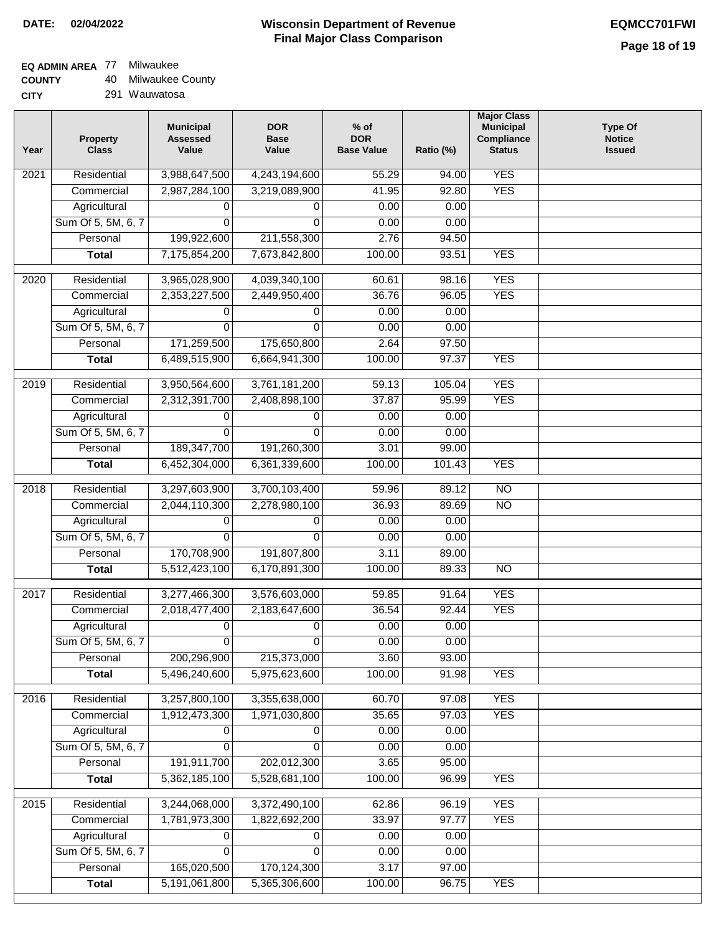## **EQ ADMIN AREA** 77 Milwaukee

**COUNTY** 40 Milwaukee County

| Year              | <b>Property</b><br><b>Class</b> | <b>Municipal</b><br><b>Assessed</b><br>Value | <b>DOR</b><br><b>Base</b><br>Value | $%$ of<br><b>DOR</b><br><b>Base Value</b> | Ratio (%)     | <b>Major Class</b><br><b>Municipal</b><br>Compliance<br><b>Status</b> | <b>Type Of</b><br><b>Notice</b><br><b>Issued</b> |
|-------------------|---------------------------------|----------------------------------------------|------------------------------------|-------------------------------------------|---------------|-----------------------------------------------------------------------|--------------------------------------------------|
| $\overline{202}1$ | Residential                     | 3,988,647,500                                | 4,243,194,600                      | 55.29                                     | 94.00         | <b>YES</b>                                                            |                                                  |
|                   | Commercial                      | 2,987,284,100                                | 3,219,089,900                      | 41.95                                     | 92.80         | <b>YES</b>                                                            |                                                  |
|                   | Agricultural                    | 0                                            | 0                                  | 0.00                                      | 0.00          |                                                                       |                                                  |
|                   | Sum Of 5, 5M, 6, 7              | $\Omega$                                     | $\Omega$                           | 0.00                                      | 0.00          |                                                                       |                                                  |
|                   | Personal                        | 199,922,600                                  | 211,558,300                        | 2.76                                      | 94.50         |                                                                       |                                                  |
|                   | <b>Total</b>                    | 7,175,854,200                                | 7,673,842,800                      | 100.00                                    | 93.51         | <b>YES</b>                                                            |                                                  |
| $\overline{2020}$ | Residential                     | 3,965,028,900                                | 4,039,340,100                      | 60.61                                     | 98.16         | <b>YES</b>                                                            |                                                  |
|                   | Commercial                      | 2,353,227,500                                | 2,449,950,400                      | 36.76                                     | 96.05         | <b>YES</b>                                                            |                                                  |
|                   | Agricultural                    | 0                                            | 0                                  | 0.00                                      | 0.00          |                                                                       |                                                  |
|                   | Sum Of 5, 5M, 6, 7              | 0                                            | $\Omega$                           | 0.00                                      | 0.00          |                                                                       |                                                  |
|                   | Personal                        | 171,259,500                                  | 175,650,800                        | 2.64                                      | 97.50         |                                                                       |                                                  |
|                   | <b>Total</b>                    | 6,489,515,900                                | 6,664,941,300                      | 100.00                                    | 97.37         | <b>YES</b>                                                            |                                                  |
| 2019              | Residential                     | 3,950,564,600                                | 3,761,181,200                      | 59.13                                     | 105.04        | <b>YES</b>                                                            |                                                  |
|                   | Commercial                      | 2,312,391,700                                | 2,408,898,100                      | 37.87                                     | 95.99         | <b>YES</b>                                                            |                                                  |
|                   | Agricultural                    | 0                                            | 0                                  | 0.00                                      | 0.00          |                                                                       |                                                  |
|                   | Sum Of 5, 5M, 6, 7              | 0                                            | 0                                  | 0.00                                      | 0.00          |                                                                       |                                                  |
|                   | Personal                        | 189,347,700                                  | 191,260,300                        | 3.01                                      | 99.00         |                                                                       |                                                  |
|                   | <b>Total</b>                    | 6,452,304,000                                | 6,361,339,600                      | 100.00                                    | 101.43        | <b>YES</b>                                                            |                                                  |
| 2018              | Residential                     | 3,297,603,900                                | 3,700,103,400                      | 59.96                                     | 89.12         | N <sub>O</sub>                                                        |                                                  |
|                   | Commercial                      | 2,044,110,300                                | 2,278,980,100                      | 36.93                                     | 89.69         | NO                                                                    |                                                  |
|                   | Agricultural                    | 0                                            | 0                                  | 0.00                                      | 0.00          |                                                                       |                                                  |
|                   | Sum Of 5, 5M, 6, 7              | 0                                            | $\mathbf{0}$                       | 0.00                                      | 0.00          |                                                                       |                                                  |
|                   | Personal                        | 170,708,900                                  | 191,807,800                        | 3.11                                      | 89.00         |                                                                       |                                                  |
|                   | <b>Total</b>                    | 5,512,423,100                                | 6,170,891,300                      | 100.00                                    | 89.33         | N <sub>O</sub>                                                        |                                                  |
|                   |                                 |                                              |                                    |                                           |               |                                                                       |                                                  |
| 2017              | Residential                     | 3,277,466,300                                | 3,576,603,000                      | 59.85                                     | 91.64         | <b>YES</b>                                                            |                                                  |
|                   | Commercial<br>Agricultural      | 2,018,477,400                                | 2,183,647,600                      | 36.54<br>0.00                             | 92.44<br>0.00 | <b>YES</b>                                                            |                                                  |
|                   | Sum Of 5, 5M, 6, 7              | 0                                            | 0<br>0                             | 0.00                                      | 0.00          |                                                                       |                                                  |
|                   | Personal                        | $\overline{0}$<br>200,296,900                | 215,373,000                        | 3.60                                      | 93.00         |                                                                       |                                                  |
|                   | <b>Total</b>                    | 5,496,240,600                                | 5,975,623,600                      | 100.00                                    | 91.98         | <b>YES</b>                                                            |                                                  |
| 2016              | Residential                     | 3,257,800,100                                | 3,355,638,000                      | 60.70                                     | 97.08         | <b>YES</b>                                                            |                                                  |
|                   | Commercial                      | 1,912,473,300                                | 1,971,030,800                      | 35.65                                     | 97.03         | <b>YES</b>                                                            |                                                  |
|                   | Agricultural                    | 0                                            | 0                                  | 0.00                                      | 0.00          |                                                                       |                                                  |
|                   | Sum Of 5, 5M, 6, 7              | $\Omega$                                     | $\Omega$                           | 0.00                                      | 0.00          |                                                                       |                                                  |
|                   | Personal                        | 191,911,700                                  | 202,012,300                        | 3.65                                      | 95.00         |                                                                       |                                                  |
|                   | <b>Total</b>                    | 5,362,185,100                                | 5,528,681,100                      | 100.00                                    | 96.99         | <b>YES</b>                                                            |                                                  |
|                   |                                 |                                              |                                    |                                           |               |                                                                       |                                                  |
| 2015              | Residential                     | 3,244,068,000                                | 3,372,490,100                      | 62.86                                     | 96.19         | <b>YES</b>                                                            |                                                  |
|                   | Commercial                      | 1,781,973,300                                | 1,822,692,200                      | 33.97                                     | 97.77         | <b>YES</b>                                                            |                                                  |
|                   | Agricultural                    | 0                                            | 0                                  | 0.00                                      | 0.00          |                                                                       |                                                  |
|                   | Sum Of 5, 5M, 6, 7<br>Personal  | 0<br>165,020,500                             | 0<br>170,124,300                   | 0.00<br>3.17                              | 0.00<br>97.00 |                                                                       |                                                  |
|                   | <b>Total</b>                    | 5,191,061,800                                | 5,365,306,600                      | 100.00                                    | 96.75         | <b>YES</b>                                                            |                                                  |
|                   |                                 |                                              |                                    |                                           |               |                                                                       |                                                  |